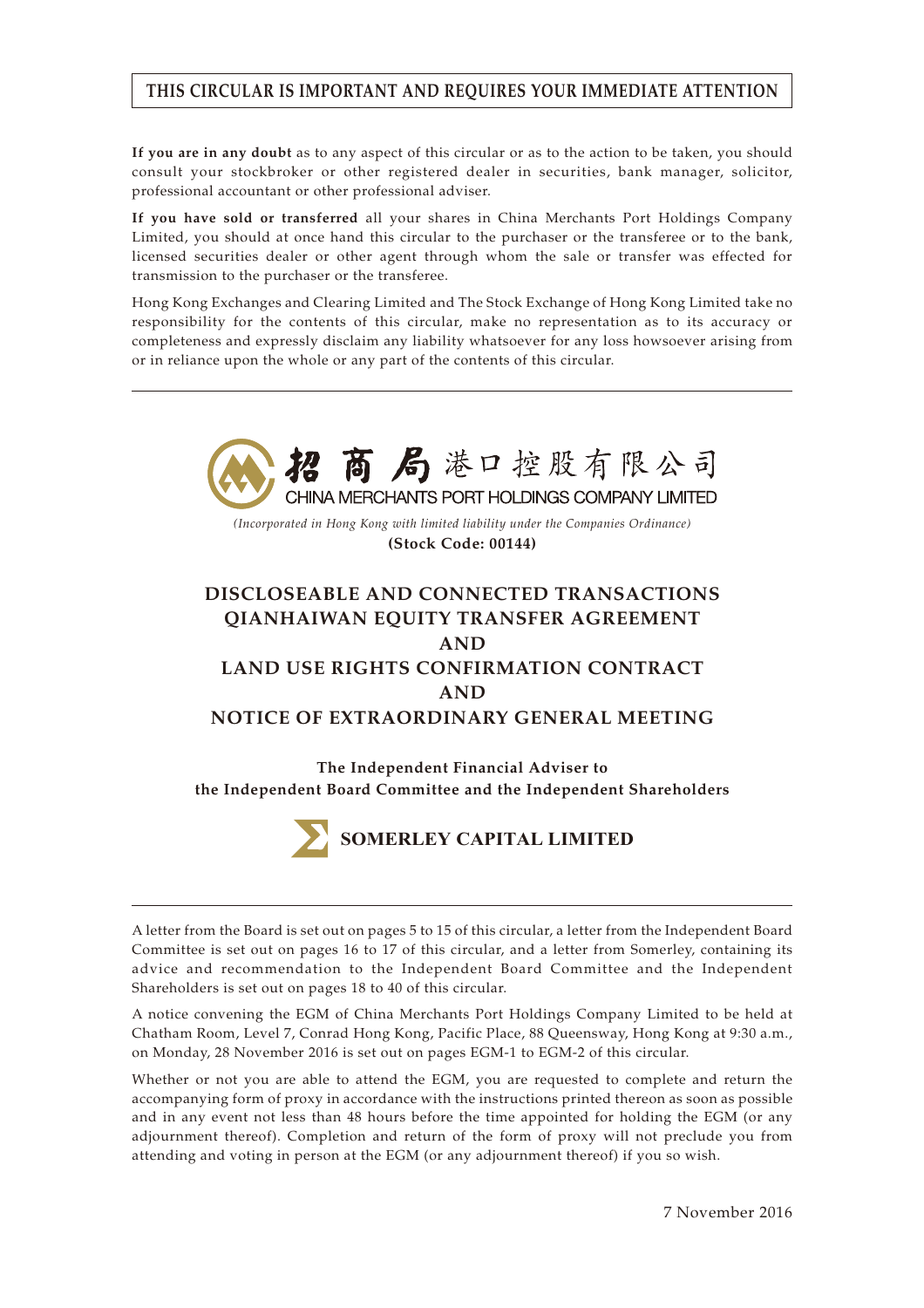# **THIS CIRCULAR IS IMPORTANT AND REQUIRES YOUR IMMEDIATE ATTENTION**

**If you are in any doubt** as to any aspect of this circular or as to the action to be taken, you should consult your stockbroker or other registered dealer in securities, bank manager, solicitor, professional accountant or other professional adviser.

**If you have sold or transferred** all your shares in China Merchants Port Holdings Company Limited, you should at once hand this circular to the purchaser or the transferee or to the bank, licensed securities dealer or other agent through whom the sale or transfer was effected for transmission to the purchaser or the transferee.

Hong Kong Exchanges and Clearing Limited and The Stock Exchange of Hong Kong Limited take no responsibility for the contents of this circular, make no representation as to its accuracy or completeness and expressly disclaim any liability whatsoever for any loss howsoever arising from or in reliance upon the whole or any part of the contents of this circular.





A letter from the Board is set out on pages 5 to 15 of this circular, a letter from the Independent Board Committee is set out on pages 16 to 17 of this circular, and a letter from Somerley, containing its advice and recommendation to the Independent Board Committee and the Independent Shareholders is set out on pages 18 to 40 of this circular.

A notice convening the EGM of China Merchants Port Holdings Company Limited to be held at Chatham Room, Level 7, Conrad Hong Kong, Pacific Place, 88 Queensway, Hong Kong at 9:30 a.m., on Monday, 28 November 2016 is set out on pages EGM-1 to EGM-2 of this circular.

Whether or not you are able to attend the EGM, you are requested to complete and return the accompanying form of proxy in accordance with the instructions printed thereon as soon as possible and in any event not less than 48 hours before the time appointed for holding the EGM (or any adjournment thereof). Completion and return of the form of proxy will not preclude you from attending and voting in person at the EGM (or any adjournment thereof) if you so wish.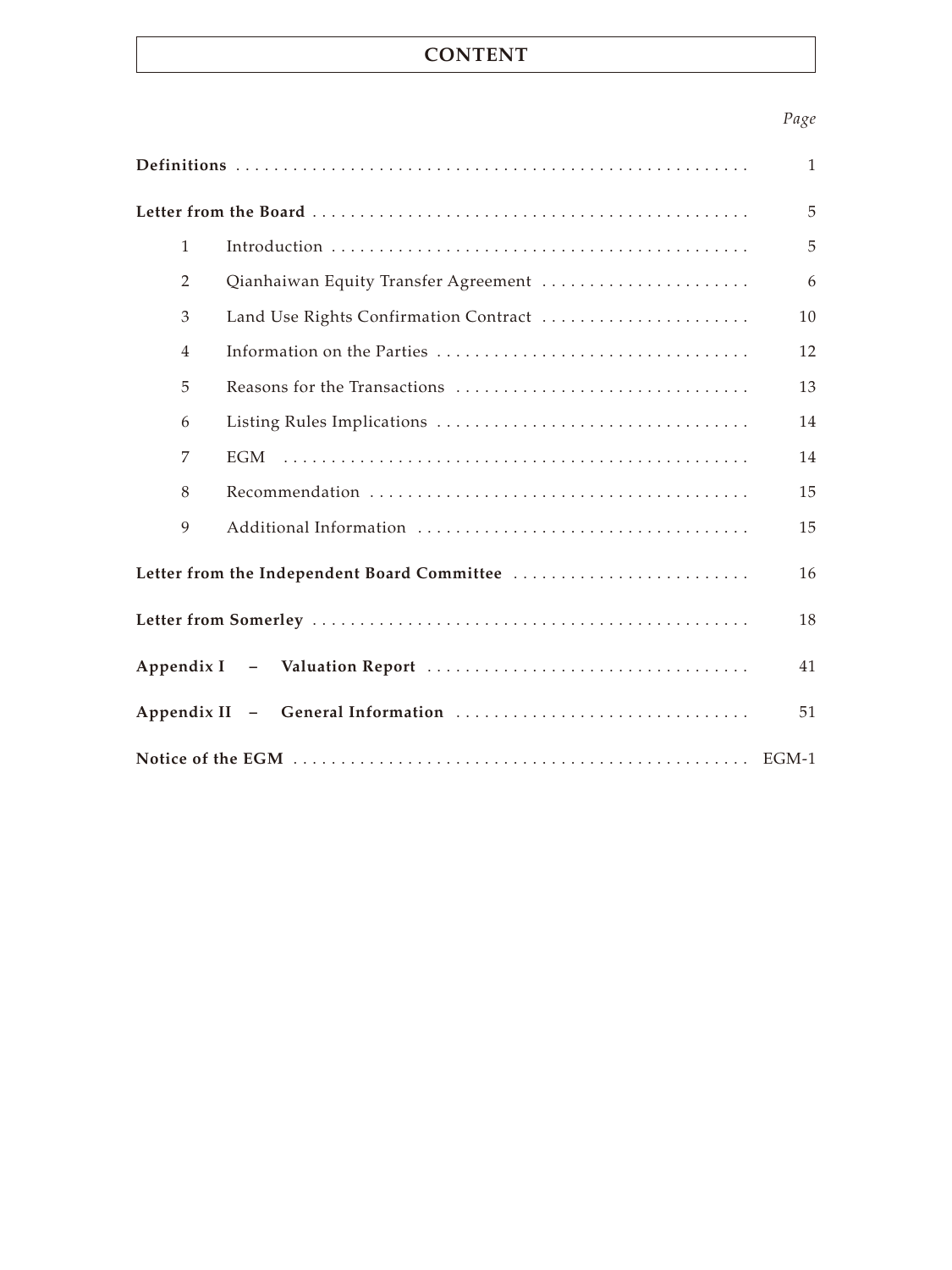# **CONTENT**

# *Page*

|                |                                             | $\mathbf{1}$ |
|----------------|---------------------------------------------|--------------|
|                |                                             | 5            |
| $\mathbf{1}$   |                                             | 5            |
| 2              | Qianhaiwan Equity Transfer Agreement        | 6            |
| 3              | Land Use Rights Confirmation Contract       | 10           |
| $\overline{4}$ |                                             | 12           |
| 5              |                                             | 13           |
| 6              |                                             | 14           |
| 7              | <b>EGM</b>                                  | 14           |
| 8              |                                             | 15           |
| 9              |                                             | 15           |
|                | Letter from the Independent Board Committee | 16           |
|                |                                             | 18           |
|                |                                             | 41           |
|                |                                             | 51           |
|                |                                             |              |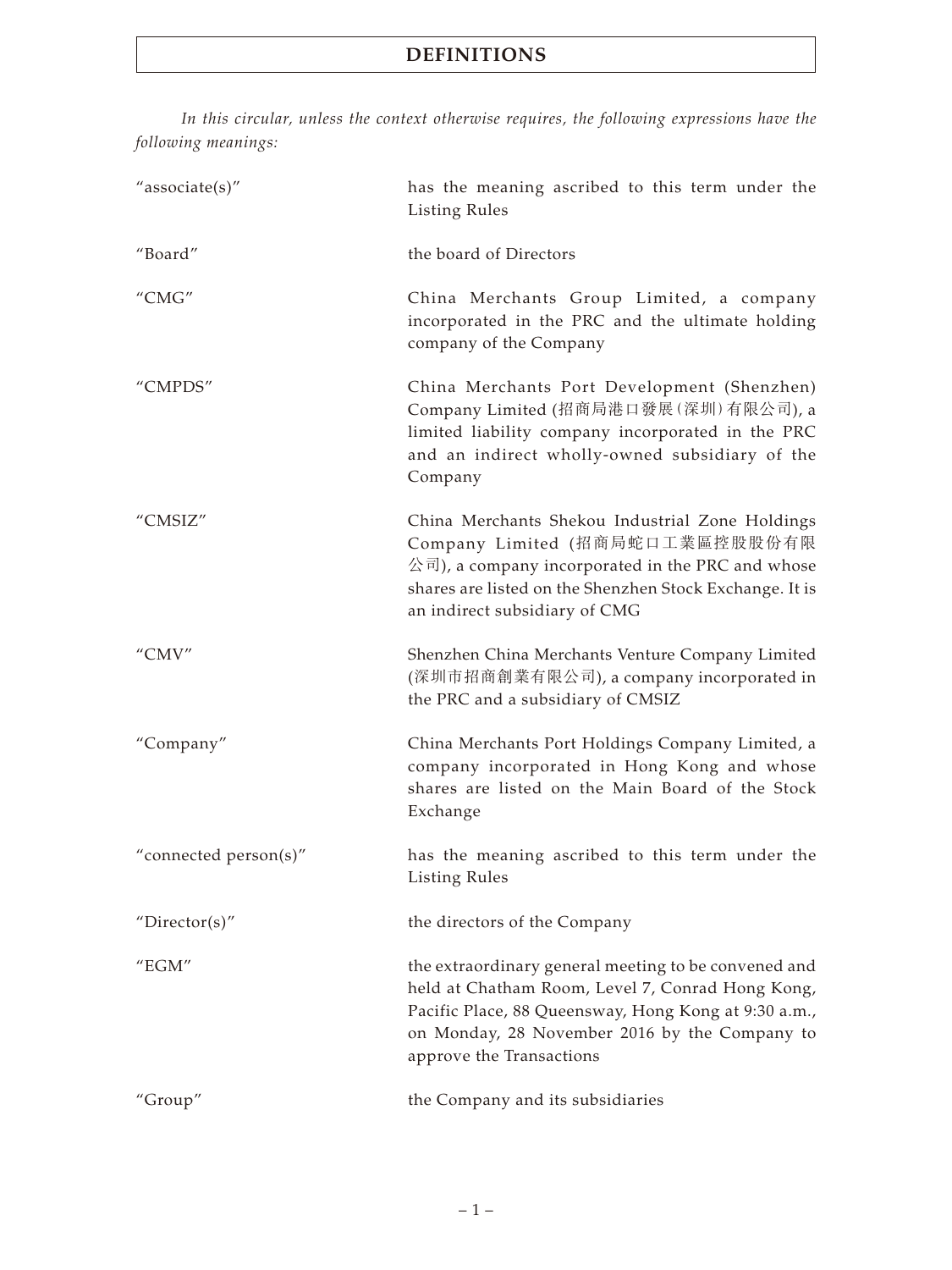*In this circular, unless the context otherwise requires, the following expressions have the following meanings:*

| "associate(s)"        | has the meaning ascribed to this term under the<br><b>Listing Rules</b>                                                                                                                                                                       |
|-----------------------|-----------------------------------------------------------------------------------------------------------------------------------------------------------------------------------------------------------------------------------------------|
| "Board"               | the board of Directors                                                                                                                                                                                                                        |
| "CMG"                 | China Merchants Group Limited, a company<br>incorporated in the PRC and the ultimate holding<br>company of the Company                                                                                                                        |
| "CMPDS"               | China Merchants Port Development (Shenzhen)<br>Company Limited (招商局港口發展(深圳)有限公司), a<br>limited liability company incorporated in the PRC<br>and an indirect wholly-owned subsidiary of the<br>Company                                         |
| "CMSIZ"               | China Merchants Shekou Industrial Zone Holdings<br>Company Limited (招商局蛇口工業區控股股份有限<br>公司), a company incorporated in the PRC and whose<br>shares are listed on the Shenzhen Stock Exchange. It is<br>an indirect subsidiary of CMG            |
| "CMV"                 | Shenzhen China Merchants Venture Company Limited<br>(深圳市招商創業有限公司), a company incorporated in<br>the PRC and a subsidiary of CMSIZ                                                                                                             |
| "Company"             | China Merchants Port Holdings Company Limited, a<br>company incorporated in Hong Kong and whose<br>shares are listed on the Main Board of the Stock<br>Exchange                                                                               |
| "connected person(s)" | has the meaning ascribed to this term under the<br><b>Listing Rules</b>                                                                                                                                                                       |
| "Director(s)"         | the directors of the Company                                                                                                                                                                                                                  |
| " $EGM"$              | the extraordinary general meeting to be convened and<br>held at Chatham Room, Level 7, Conrad Hong Kong,<br>Pacific Place, 88 Queensway, Hong Kong at 9:30 a.m.,<br>on Monday, 28 November 2016 by the Company to<br>approve the Transactions |
| "Group"               | the Company and its subsidiaries                                                                                                                                                                                                              |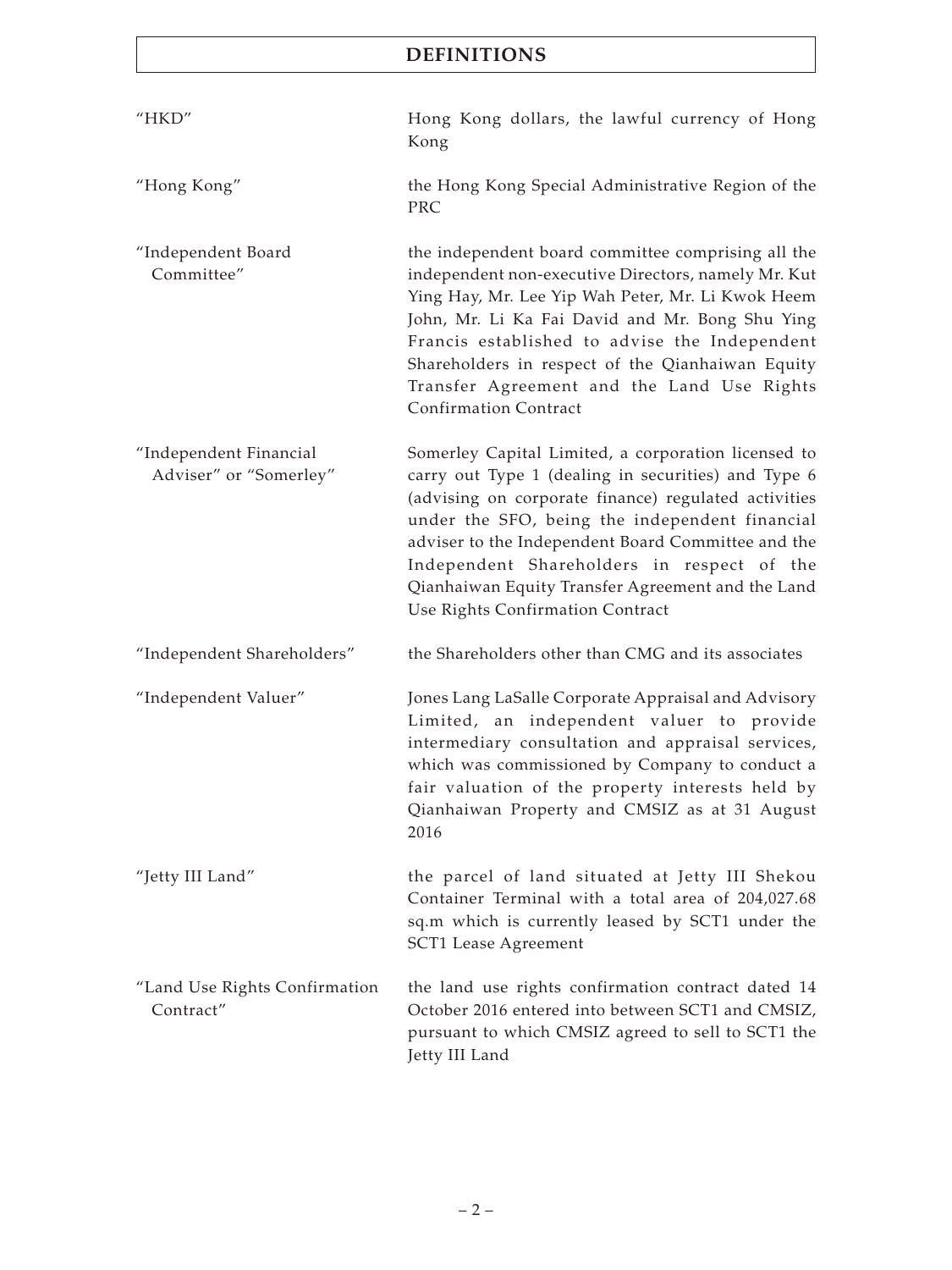| HKD''                                            | Hong Kong dollars, the lawful currency of Hong<br>Kong                                                                                                                                                                                                                                                                                                                                                            |
|--------------------------------------------------|-------------------------------------------------------------------------------------------------------------------------------------------------------------------------------------------------------------------------------------------------------------------------------------------------------------------------------------------------------------------------------------------------------------------|
| "Hong Kong"                                      | the Hong Kong Special Administrative Region of the<br><b>PRC</b>                                                                                                                                                                                                                                                                                                                                                  |
| "Independent Board<br>Committee"                 | the independent board committee comprising all the<br>independent non-executive Directors, namely Mr. Kut<br>Ying Hay, Mr. Lee Yip Wah Peter, Mr. Li Kwok Heem<br>John, Mr. Li Ka Fai David and Mr. Bong Shu Ying<br>Francis established to advise the Independent<br>Shareholders in respect of the Qianhaiwan Equity<br>Transfer Agreement and the Land Use Rights<br><b>Confirmation Contract</b>              |
| "Independent Financial<br>Adviser" or "Somerley" | Somerley Capital Limited, a corporation licensed to<br>carry out Type 1 (dealing in securities) and Type 6<br>(advising on corporate finance) regulated activities<br>under the SFO, being the independent financial<br>adviser to the Independent Board Committee and the<br>Independent Shareholders in respect of the<br>Qianhaiwan Equity Transfer Agreement and the Land<br>Use Rights Confirmation Contract |
| "Independent Shareholders"                       | the Shareholders other than CMG and its associates                                                                                                                                                                                                                                                                                                                                                                |
| "Independent Valuer"                             | Jones Lang LaSalle Corporate Appraisal and Advisory<br>Limited, an independent valuer to provide<br>intermediary consultation and appraisal services,<br>which was commissioned by Company to conduct a<br>fair valuation of the property interests held by<br>Qianhaiwan Property and CMSIZ as at 31 August<br>2016                                                                                              |
| "Jetty III Land"                                 | the parcel of land situated at Jetty III Shekou<br>Container Terminal with a total area of 204,027.68<br>sq.m which is currently leased by SCT1 under the<br>SCT1 Lease Agreement                                                                                                                                                                                                                                 |
| "Land Use Rights Confirmation<br>Contract"       | the land use rights confirmation contract dated 14<br>October 2016 entered into between SCT1 and CMSIZ,<br>pursuant to which CMSIZ agreed to sell to SCT1 the<br>Jetty III Land                                                                                                                                                                                                                                   |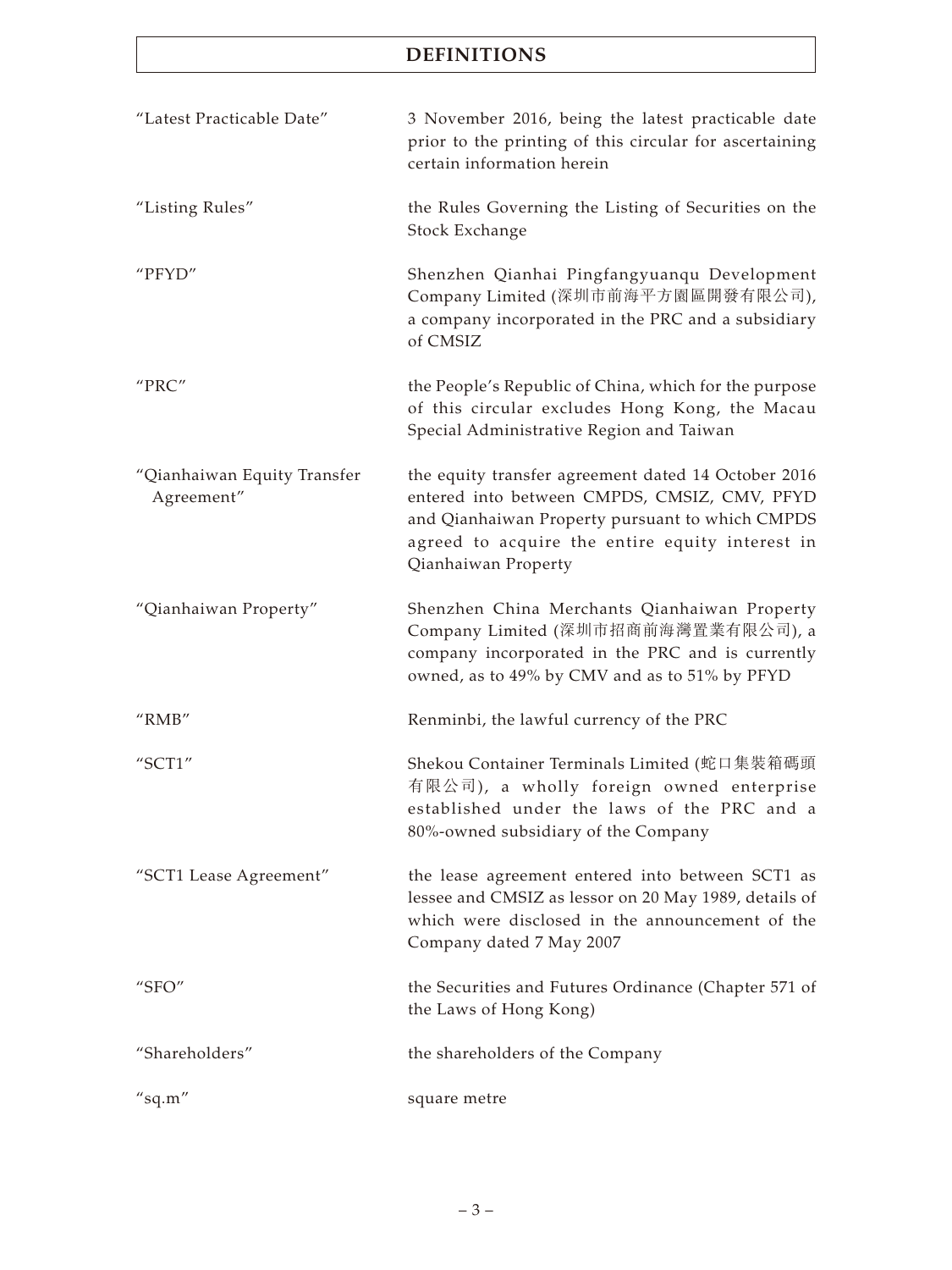| "Latest Practicable Date"                 | 3 November 2016, being the latest practicable date<br>prior to the printing of this circular for ascertaining<br>certain information herein                                                                                      |
|-------------------------------------------|----------------------------------------------------------------------------------------------------------------------------------------------------------------------------------------------------------------------------------|
| "Listing Rules"                           | the Rules Governing the Listing of Securities on the<br>Stock Exchange                                                                                                                                                           |
| "PFYD"                                    | Shenzhen Qianhai Pingfangyuanqu Development<br>Company Limited (深圳市前海平方園區開發有限公司),<br>a company incorporated in the PRC and a subsidiary<br>of CMSIZ                                                                              |
| "PRC"                                     | the People's Republic of China, which for the purpose<br>of this circular excludes Hong Kong, the Macau<br>Special Administrative Region and Taiwan                                                                              |
| "Qianhaiwan Equity Transfer<br>Agreement" | the equity transfer agreement dated 14 October 2016<br>entered into between CMPDS, CMSIZ, CMV, PFYD<br>and Qianhaiwan Property pursuant to which CMPDS<br>agreed to acquire the entire equity interest in<br>Qianhaiwan Property |
| "Qianhaiwan Property"                     | Shenzhen China Merchants Qianhaiwan Property<br>Company Limited (深圳市招商前海灣置業有限公司), a<br>company incorporated in the PRC and is currently<br>owned, as to 49% by CMV and as to 51% by PFYD                                         |
| " $RMB"$                                  | Renminbi, the lawful currency of the PRC                                                                                                                                                                                         |
| "SCT1"                                    | Shekou Container Terminals Limited (蛇口集裝箱碼頭<br>有限公司), a wholly foreign owned enterprise<br>established under the laws of the PRC and a<br>80%-owned subsidiary of the Company                                                    |
| "SCT1 Lease Agreement"                    | the lease agreement entered into between SCT1 as<br>lessee and CMSIZ as lessor on 20 May 1989, details of<br>which were disclosed in the announcement of the<br>Company dated 7 May 2007                                         |
| " $SFO"$                                  | the Securities and Futures Ordinance (Chapter 571 of<br>the Laws of Hong Kong)                                                                                                                                                   |
| "Shareholders"                            | the shareholders of the Company                                                                                                                                                                                                  |
| $''$ sq.m"                                | square metre                                                                                                                                                                                                                     |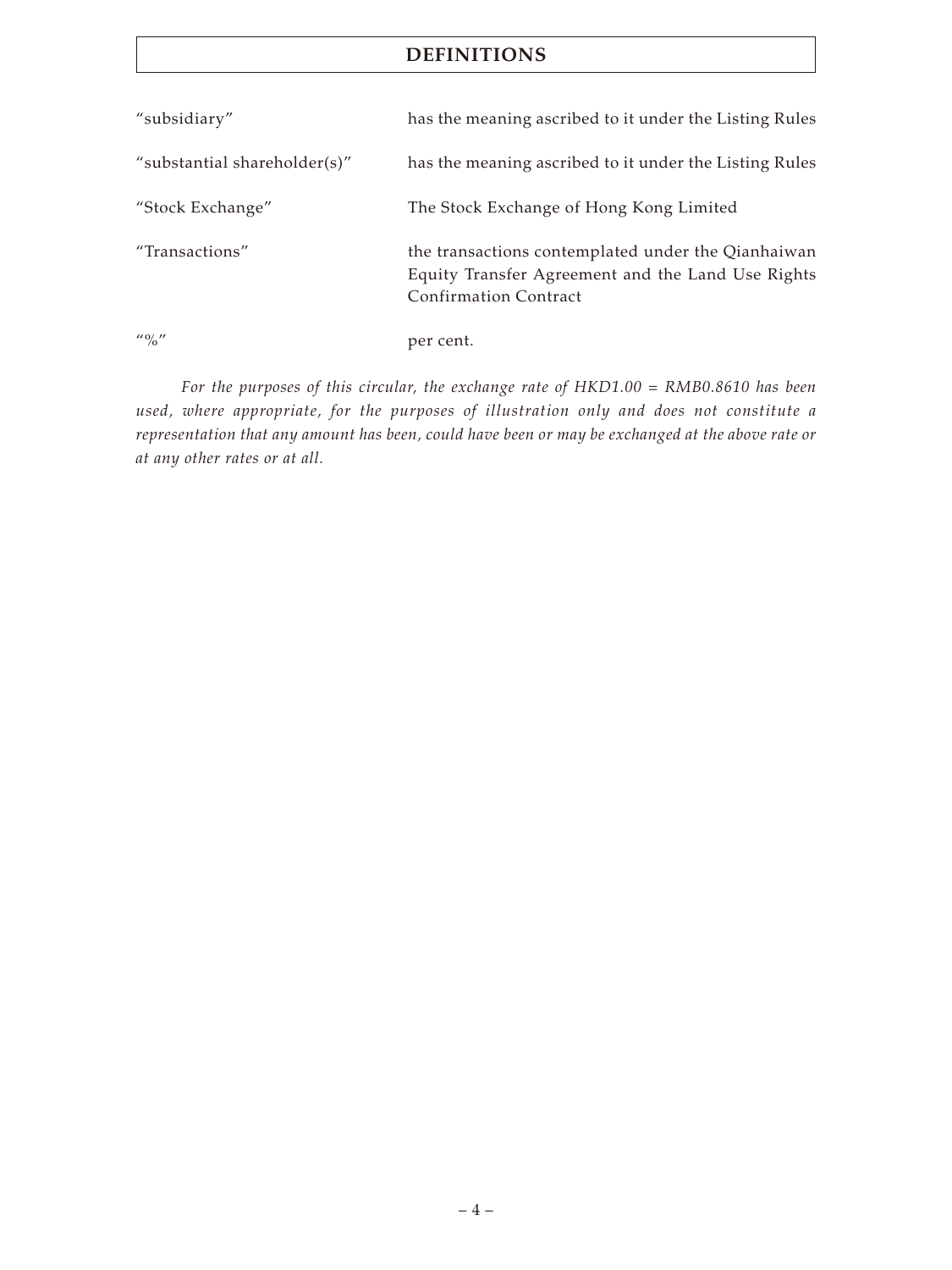| "subsidiary"                          | has the meaning ascribed to it under the Listing Rules                                                                                  |
|---------------------------------------|-----------------------------------------------------------------------------------------------------------------------------------------|
| "substantial shareholder(s)"          | has the meaning ascribed to it under the Listing Rules                                                                                  |
| "Stock Exchange"                      | The Stock Exchange of Hong Kong Limited                                                                                                 |
| "Transactions"                        | the transactions contemplated under the Qianhaiwan<br>Equity Transfer Agreement and the Land Use Rights<br><b>Confirmation Contract</b> |
| $^{\prime\prime}$ % $^{\prime\prime}$ | per cent.                                                                                                                               |

*For the purposes of this circular, the exchange rate of HKD1.00 = RMB0.8610 has been used, where appropriate, for the purposes of illustration only and does not constitute a representation that any amount has been, could have been or may be exchanged at the above rate or at any other rates or at all.*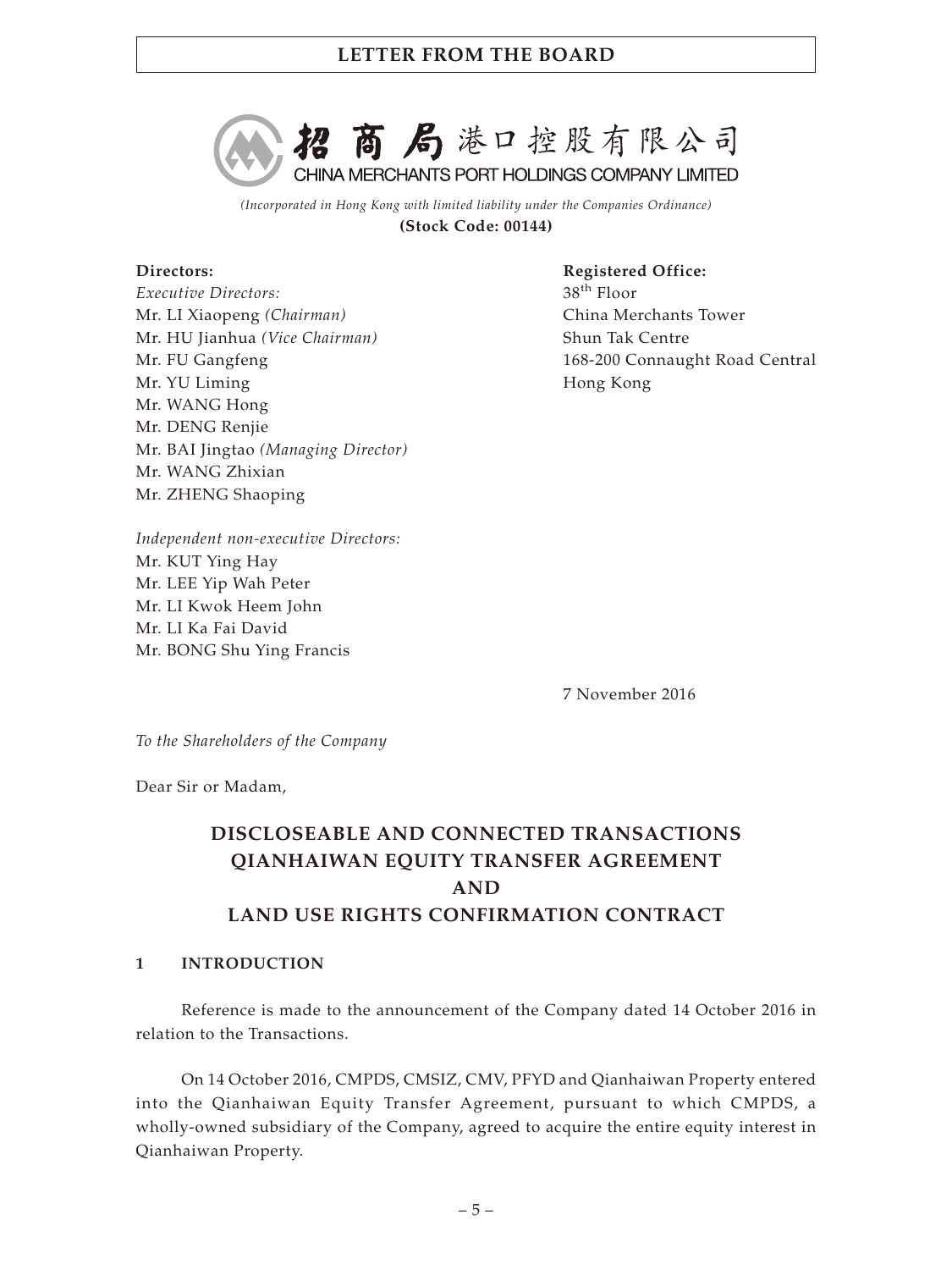

*(Incorporated in Hong Kong with limited liability under the Companies Ordinance)* **(Stock Code: 00144)**

### **Directors:**

*Executive Directors:* Mr. LI Xiaopeng *(Chairman)* Mr. HU Jianhua *(Vice Chairman)* Mr. FU Gangfeng Mr. YU Liming Mr. WANG Hong Mr. DENG Renjie Mr. BAI Jingtao *(Managing Director)* Mr. WANG Zhixian Mr. ZHENG Shaoping

**Registered Office:** 38th Floor China Merchants Tower Shun Tak Centre 168-200 Connaught Road Central Hong Kong

*Independent non-executive Directors:* Mr. KUT Ying Hay Mr. LEE Yip Wah Peter Mr. LI Kwok Heem John Mr. LI Ka Fai David Mr. BONG Shu Ying Francis

7 November 2016

*To the Shareholders of the Company*

Dear Sir or Madam,

# **DISCLOSEABLE AND CONNECTED TRANSACTIONS QIANHAIWAN EQUITY TRANSFER AGREEMENT AND LAND USE RIGHTS CONFIRMATION CONTRACT**

## **1 INTRODUCTION**

Reference is made to the announcement of the Company dated 14 October 2016 in relation to the Transactions.

On 14 October 2016, CMPDS, CMSIZ, CMV, PFYD and Qianhaiwan Property entered into the Qianhaiwan Equity Transfer Agreement, pursuant to which CMPDS, a wholly-owned subsidiary of the Company, agreed to acquire the entire equity interest in Qianhaiwan Property.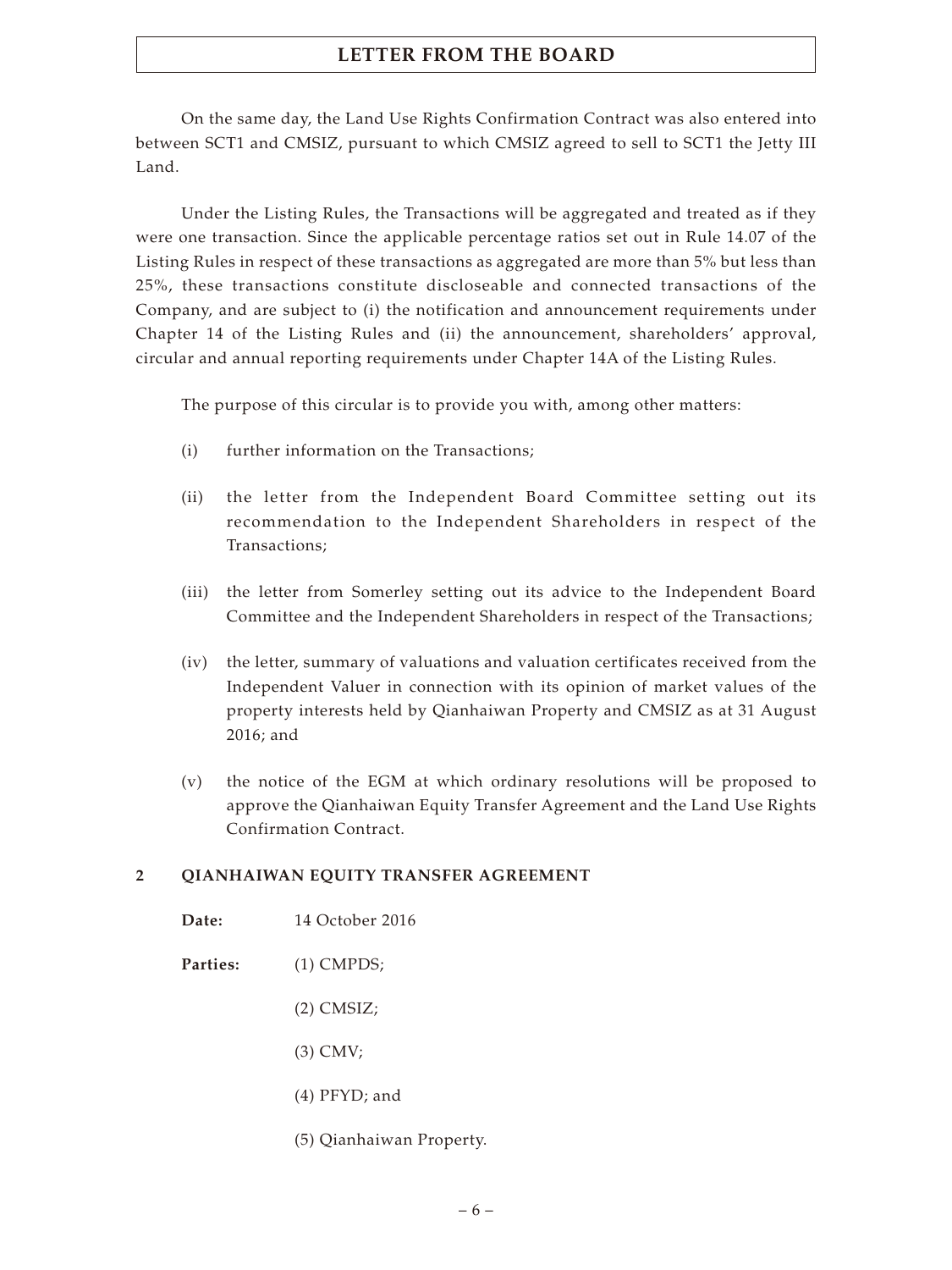On the same day, the Land Use Rights Confirmation Contract was also entered into between SCT1 and CMSIZ, pursuant to which CMSIZ agreed to sell to SCT1 the Jetty III Land.

Under the Listing Rules, the Transactions will be aggregated and treated as if they were one transaction. Since the applicable percentage ratios set out in Rule 14.07 of the Listing Rules in respect of these transactions as aggregated are more than 5% but less than 25%, these transactions constitute discloseable and connected transactions of the Company, and are subject to (i) the notification and announcement requirements under Chapter 14 of the Listing Rules and (ii) the announcement, shareholders' approval, circular and annual reporting requirements under Chapter 14A of the Listing Rules.

The purpose of this circular is to provide you with, among other matters:

- (i) further information on the Transactions;
- (ii) the letter from the Independent Board Committee setting out its recommendation to the Independent Shareholders in respect of the Transactions;
- (iii) the letter from Somerley setting out its advice to the Independent Board Committee and the Independent Shareholders in respect of the Transactions;
- (iv) the letter, summary of valuations and valuation certificates received from the Independent Valuer in connection with its opinion of market values of the property interests held by Qianhaiwan Property and CMSIZ as at 31 August 2016; and
- (v) the notice of the EGM at which ordinary resolutions will be proposed to approve the Qianhaiwan Equity Transfer Agreement and the Land Use Rights Confirmation Contract.

# **2 QIANHAIWAN EQUITY TRANSFER AGREEMENT**

- **Date:** 14 October 2016
- **Parties:** (1) CMPDS;
	- (2) CMSIZ;
	- (3) CMV;
	- (4) PFYD; and
	- (5) Qianhaiwan Property.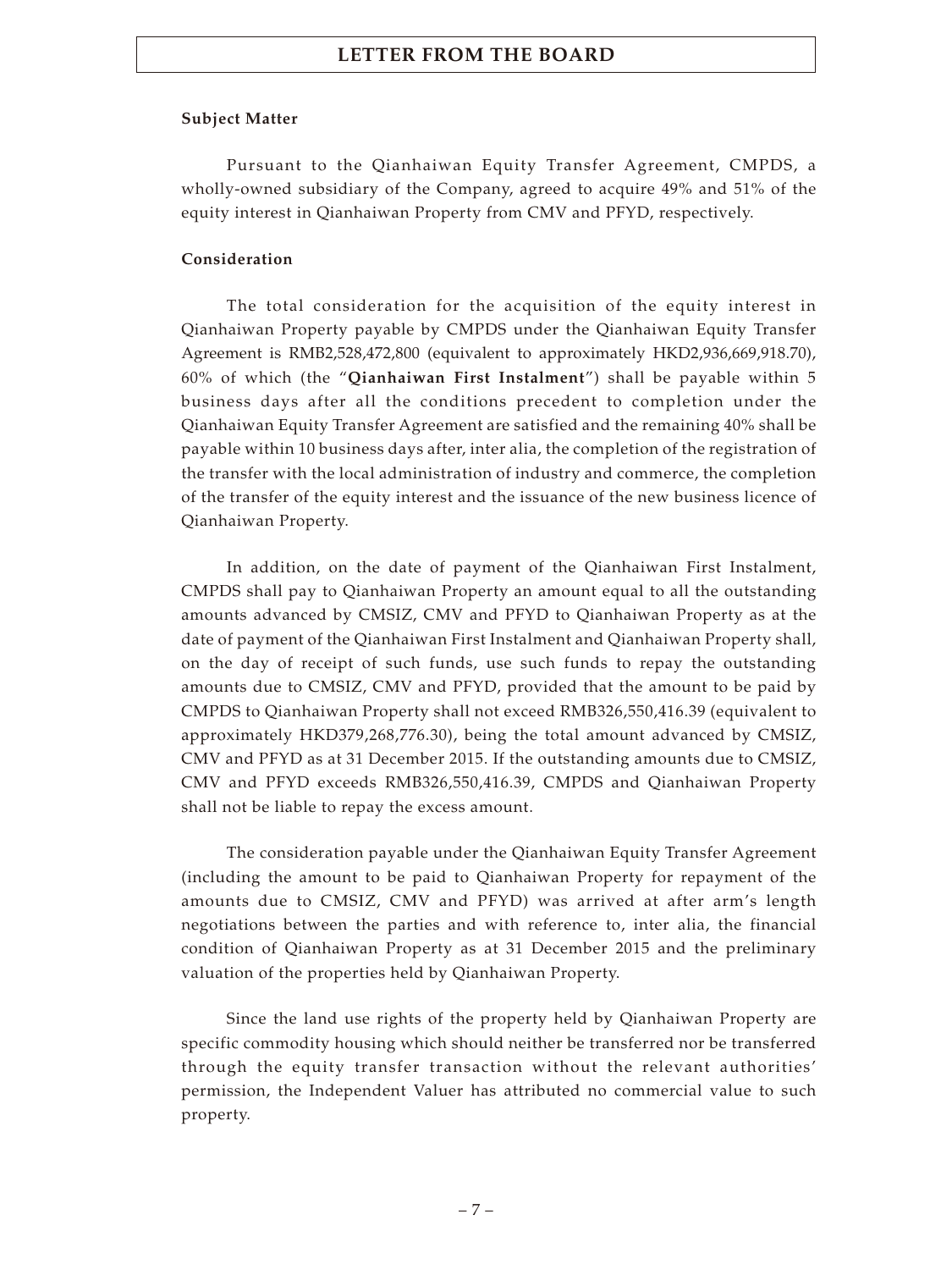#### **Subject Matter**

Pursuant to the Qianhaiwan Equity Transfer Agreement, CMPDS, a wholly-owned subsidiary of the Company, agreed to acquire 49% and 51% of the equity interest in Qianhaiwan Property from CMV and PFYD, respectively.

## **Consideration**

The total consideration for the acquisition of the equity interest in Qianhaiwan Property payable by CMPDS under the Qianhaiwan Equity Transfer Agreement is RMB2,528,472,800 (equivalent to approximately HKD2,936,669,918.70), 60% of which (the "**Qianhaiwan First Instalment**") shall be payable within 5 business days after all the conditions precedent to completion under the Qianhaiwan Equity Transfer Agreement are satisfied and the remaining 40% shall be payable within 10 business days after, inter alia, the completion of the registration of the transfer with the local administration of industry and commerce, the completion of the transfer of the equity interest and the issuance of the new business licence of Qianhaiwan Property.

In addition, on the date of payment of the Qianhaiwan First Instalment, CMPDS shall pay to Qianhaiwan Property an amount equal to all the outstanding amounts advanced by CMSIZ, CMV and PFYD to Qianhaiwan Property as at the date of payment of the Qianhaiwan First Instalment and Qianhaiwan Property shall, on the day of receipt of such funds, use such funds to repay the outstanding amounts due to CMSIZ, CMV and PFYD, provided that the amount to be paid by CMPDS to Qianhaiwan Property shall not exceed RMB326,550,416.39 (equivalent to approximately HKD379,268,776.30), being the total amount advanced by CMSIZ, CMV and PFYD as at 31 December 2015. If the outstanding amounts due to CMSIZ, CMV and PFYD exceeds RMB326,550,416.39, CMPDS and Qianhaiwan Property shall not be liable to repay the excess amount.

The consideration payable under the Qianhaiwan Equity Transfer Agreement (including the amount to be paid to Qianhaiwan Property for repayment of the amounts due to CMSIZ, CMV and PFYD) was arrived at after arm's length negotiations between the parties and with reference to, inter alia, the financial condition of Qianhaiwan Property as at 31 December 2015 and the preliminary valuation of the properties held by Qianhaiwan Property.

Since the land use rights of the property held by Qianhaiwan Property are specific commodity housing which should neither be transferred nor be transferred through the equity transfer transaction without the relevant authorities' permission, the Independent Valuer has attributed no commercial value to such property.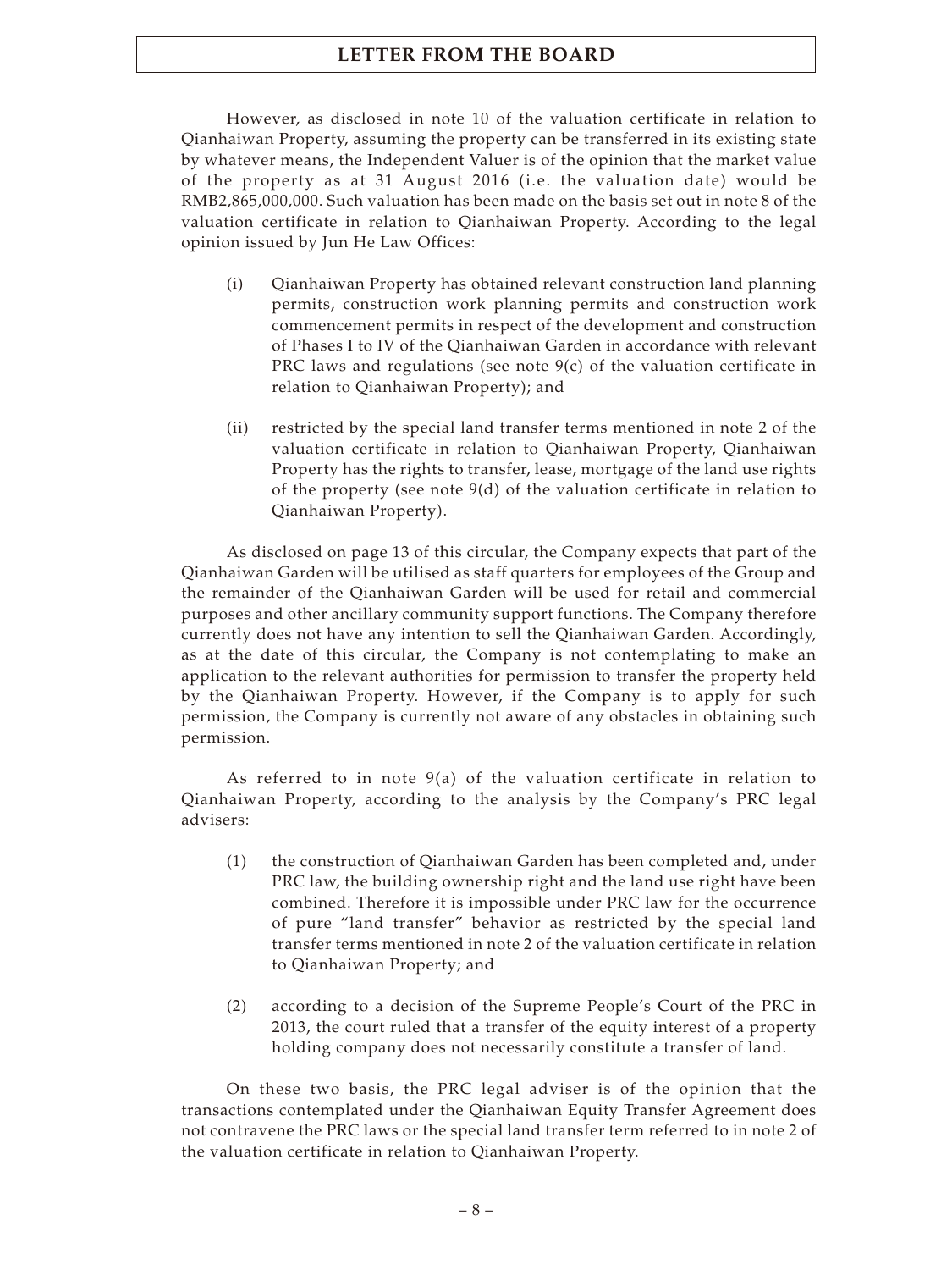However, as disclosed in note 10 of the valuation certificate in relation to Qianhaiwan Property, assuming the property can be transferred in its existing state by whatever means, the Independent Valuer is of the opinion that the market value of the property as at 31 August 2016 (i.e. the valuation date) would be RMB2,865,000,000. Such valuation has been made on the basis set out in note 8 of the valuation certificate in relation to Qianhaiwan Property. According to the legal opinion issued by Jun He Law Offices:

- (i) Qianhaiwan Property has obtained relevant construction land planning permits, construction work planning permits and construction work commencement permits in respect of the development and construction of Phases I to IV of the Qianhaiwan Garden in accordance with relevant PRC laws and regulations (see note 9(c) of the valuation certificate in relation to Qianhaiwan Property); and
- (ii) restricted by the special land transfer terms mentioned in note 2 of the valuation certificate in relation to Qianhaiwan Property, Qianhaiwan Property has the rights to transfer, lease, mortgage of the land use rights of the property (see note 9(d) of the valuation certificate in relation to Qianhaiwan Property).

As disclosed on page 13 of this circular, the Company expects that part of the Qianhaiwan Garden will be utilised as staff quarters for employees of the Group and the remainder of the Qianhaiwan Garden will be used for retail and commercial purposes and other ancillary community support functions. The Company therefore currently does not have any intention to sell the Qianhaiwan Garden. Accordingly, as at the date of this circular, the Company is not contemplating to make an application to the relevant authorities for permission to transfer the property held by the Qianhaiwan Property. However, if the Company is to apply for such permission, the Company is currently not aware of any obstacles in obtaining such permission.

As referred to in note 9(a) of the valuation certificate in relation to Qianhaiwan Property, according to the analysis by the Company's PRC legal advisers:

- (1) the construction of Qianhaiwan Garden has been completed and, under PRC law, the building ownership right and the land use right have been combined. Therefore it is impossible under PRC law for the occurrence of pure "land transfer" behavior as restricted by the special land transfer terms mentioned in note 2 of the valuation certificate in relation to Qianhaiwan Property; and
- (2) according to a decision of the Supreme People's Court of the PRC in 2013, the court ruled that a transfer of the equity interest of a property holding company does not necessarily constitute a transfer of land.

On these two basis, the PRC legal adviser is of the opinion that the transactions contemplated under the Qianhaiwan Equity Transfer Agreement does not contravene the PRC laws or the special land transfer term referred to in note 2 of the valuation certificate in relation to Qianhaiwan Property.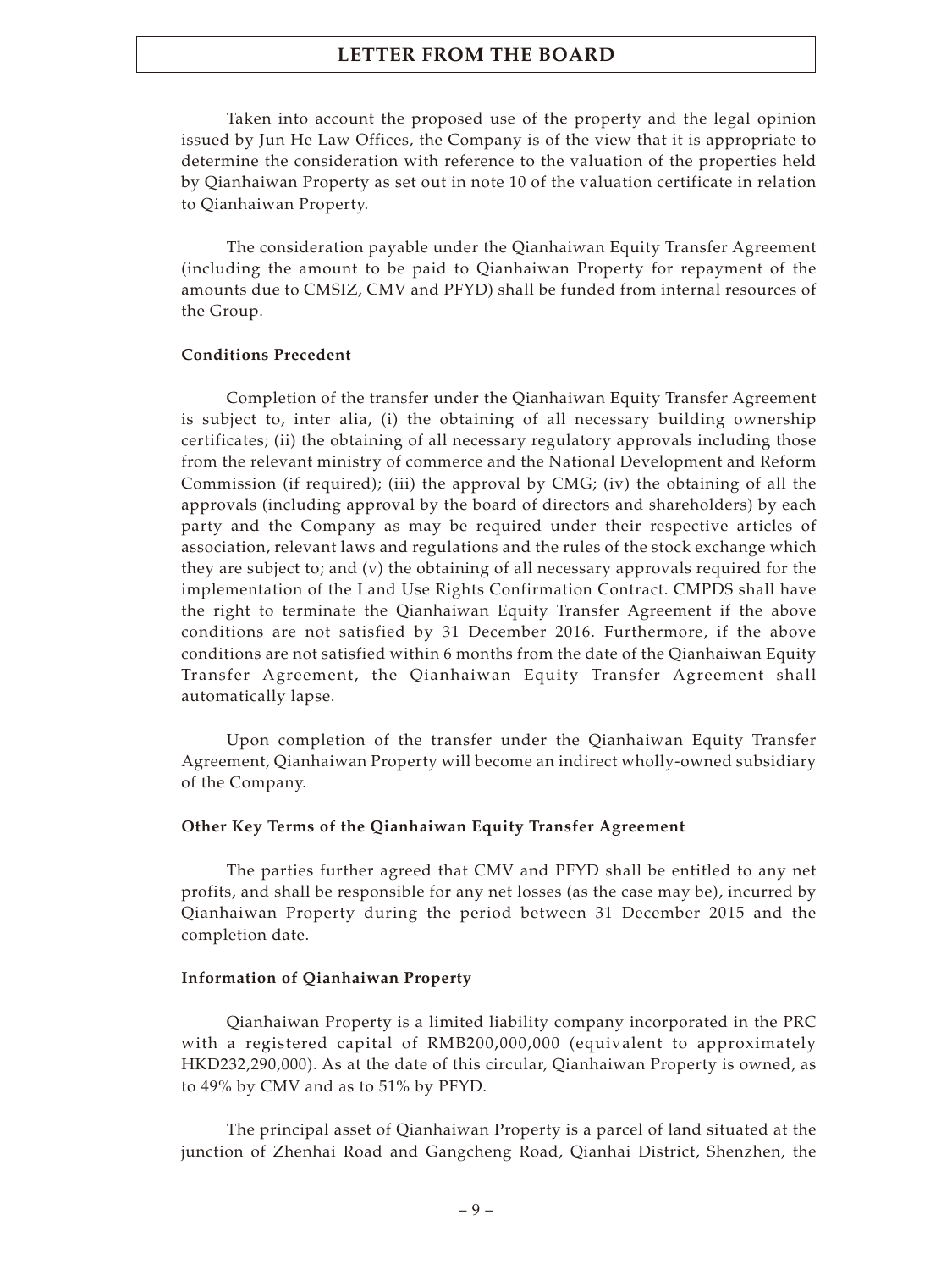Taken into account the proposed use of the property and the legal opinion issued by Jun He Law Offices, the Company is of the view that it is appropriate to determine the consideration with reference to the valuation of the properties held by Qianhaiwan Property as set out in note 10 of the valuation certificate in relation to Qianhaiwan Property.

The consideration payable under the Qianhaiwan Equity Transfer Agreement (including the amount to be paid to Qianhaiwan Property for repayment of the amounts due to CMSIZ, CMV and PFYD) shall be funded from internal resources of the Group.

#### **Conditions Precedent**

Completion of the transfer under the Qianhaiwan Equity Transfer Agreement is subject to, inter alia, (i) the obtaining of all necessary building ownership certificates; (ii) the obtaining of all necessary regulatory approvals including those from the relevant ministry of commerce and the National Development and Reform Commission (if required); (iii) the approval by CMG; (iv) the obtaining of all the approvals (including approval by the board of directors and shareholders) by each party and the Company as may be required under their respective articles of association, relevant laws and regulations and the rules of the stock exchange which they are subject to; and (v) the obtaining of all necessary approvals required for the implementation of the Land Use Rights Confirmation Contract. CMPDS shall have the right to terminate the Qianhaiwan Equity Transfer Agreement if the above conditions are not satisfied by 31 December 2016. Furthermore, if the above conditions are not satisfied within 6 months from the date of the Qianhaiwan Equity Transfer Agreement, the Qianhaiwan Equity Transfer Agreement shall automatically lapse.

Upon completion of the transfer under the Qianhaiwan Equity Transfer Agreement, Qianhaiwan Property will become an indirect wholly-owned subsidiary of the Company.

#### **Other Key Terms of the Qianhaiwan Equity Transfer Agreement**

The parties further agreed that CMV and PFYD shall be entitled to any net profits, and shall be responsible for any net losses (as the case may be), incurred by Qianhaiwan Property during the period between 31 December 2015 and the completion date.

#### **Information of Qianhaiwan Property**

Qianhaiwan Property is a limited liability company incorporated in the PRC with a registered capital of RMB200,000,000 (equivalent to approximately HKD232,290,000). As at the date of this circular, Qianhaiwan Property is owned, as to 49% by CMV and as to 51% by PFYD.

The principal asset of Qianhaiwan Property is a parcel of land situated at the junction of Zhenhai Road and Gangcheng Road, Qianhai District, Shenzhen, the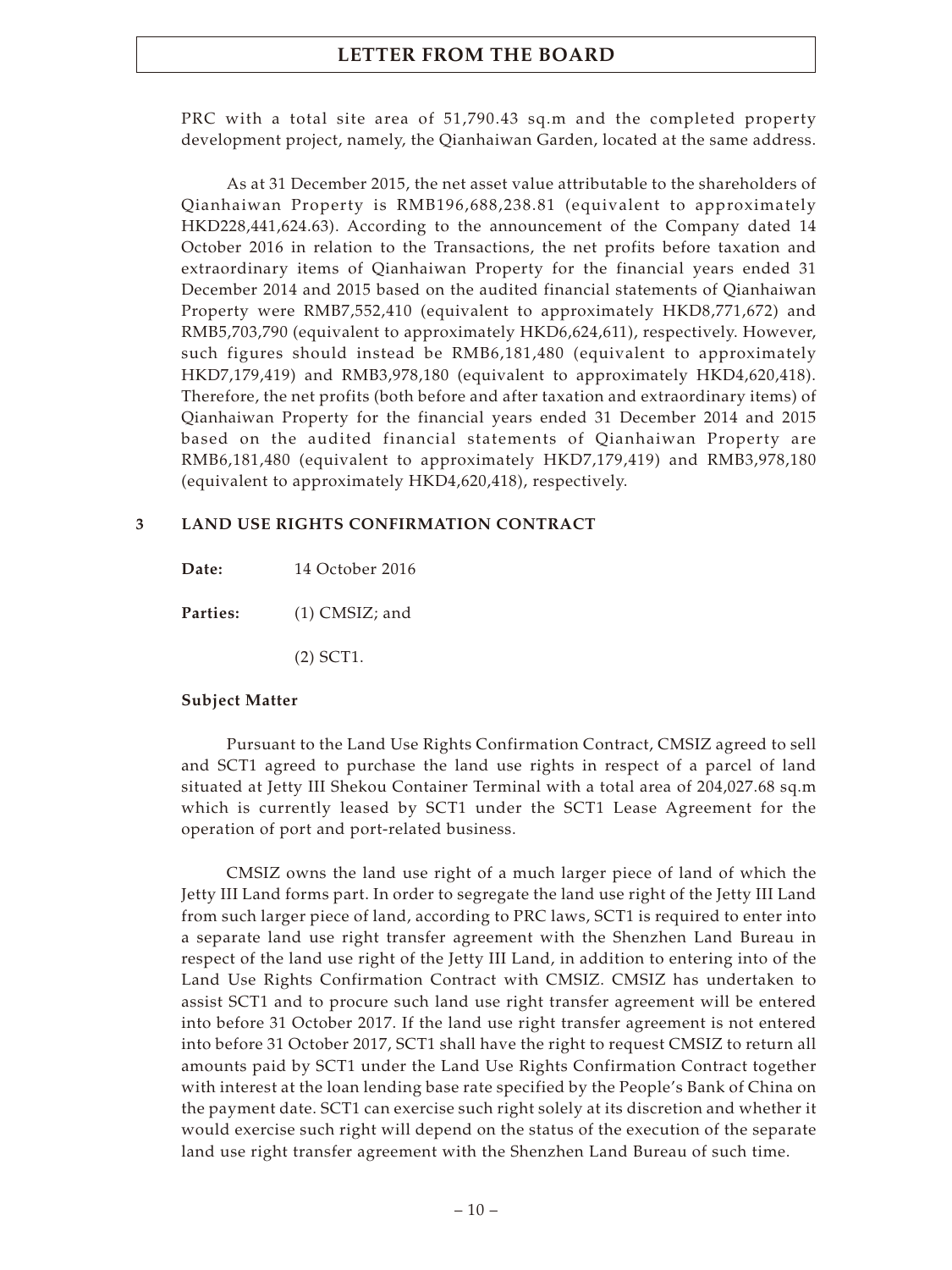PRC with a total site area of 51,790.43 sq.m and the completed property development project, namely, the Qianhaiwan Garden, located at the same address.

As at 31 December 2015, the net asset value attributable to the shareholders of Qianhaiwan Property is RMB196,688,238.81 (equivalent to approximately HKD228,441,624.63). According to the announcement of the Company dated 14 October 2016 in relation to the Transactions, the net profits before taxation and extraordinary items of Qianhaiwan Property for the financial years ended 31 December 2014 and 2015 based on the audited financial statements of Qianhaiwan Property were RMB7,552,410 (equivalent to approximately HKD8,771,672) and RMB5,703,790 (equivalent to approximately HKD6,624,611), respectively. However, such figures should instead be RMB6,181,480 (equivalent to approximately HKD7,179,419) and RMB3,978,180 (equivalent to approximately HKD4,620,418). Therefore, the net profits (both before and after taxation and extraordinary items) of Qianhaiwan Property for the financial years ended 31 December 2014 and 2015 based on the audited financial statements of Qianhaiwan Property are RMB6,181,480 (equivalent to approximately HKD7,179,419) and RMB3,978,180 (equivalent to approximately HKD4,620,418), respectively.

### **3 LAND USE RIGHTS CONFIRMATION CONTRACT**

**Date:** 14 October 2016

Parties: (1) CMSIZ; and

(2) SCT1.

#### **Subject Matter**

Pursuant to the Land Use Rights Confirmation Contract, CMSIZ agreed to sell and SCT1 agreed to purchase the land use rights in respect of a parcel of land situated at Jetty III Shekou Container Terminal with a total area of 204,027.68 sq.m which is currently leased by SCT1 under the SCT1 Lease Agreement for the operation of port and port-related business.

CMSIZ owns the land use right of a much larger piece of land of which the Jetty III Land forms part. In order to segregate the land use right of the Jetty III Land from such larger piece of land, according to PRC laws, SCT1 is required to enter into a separate land use right transfer agreement with the Shenzhen Land Bureau in respect of the land use right of the Jetty III Land, in addition to entering into of the Land Use Rights Confirmation Contract with CMSIZ. CMSIZ has undertaken to assist SCT1 and to procure such land use right transfer agreement will be entered into before 31 October 2017. If the land use right transfer agreement is not entered into before 31 October 2017, SCT1 shall have the right to request CMSIZ to return all amounts paid by SCT1 under the Land Use Rights Confirmation Contract together with interest at the loan lending base rate specified by the People's Bank of China on the payment date. SCT1 can exercise such right solely at its discretion and whether it would exercise such right will depend on the status of the execution of the separate land use right transfer agreement with the Shenzhen Land Bureau of such time.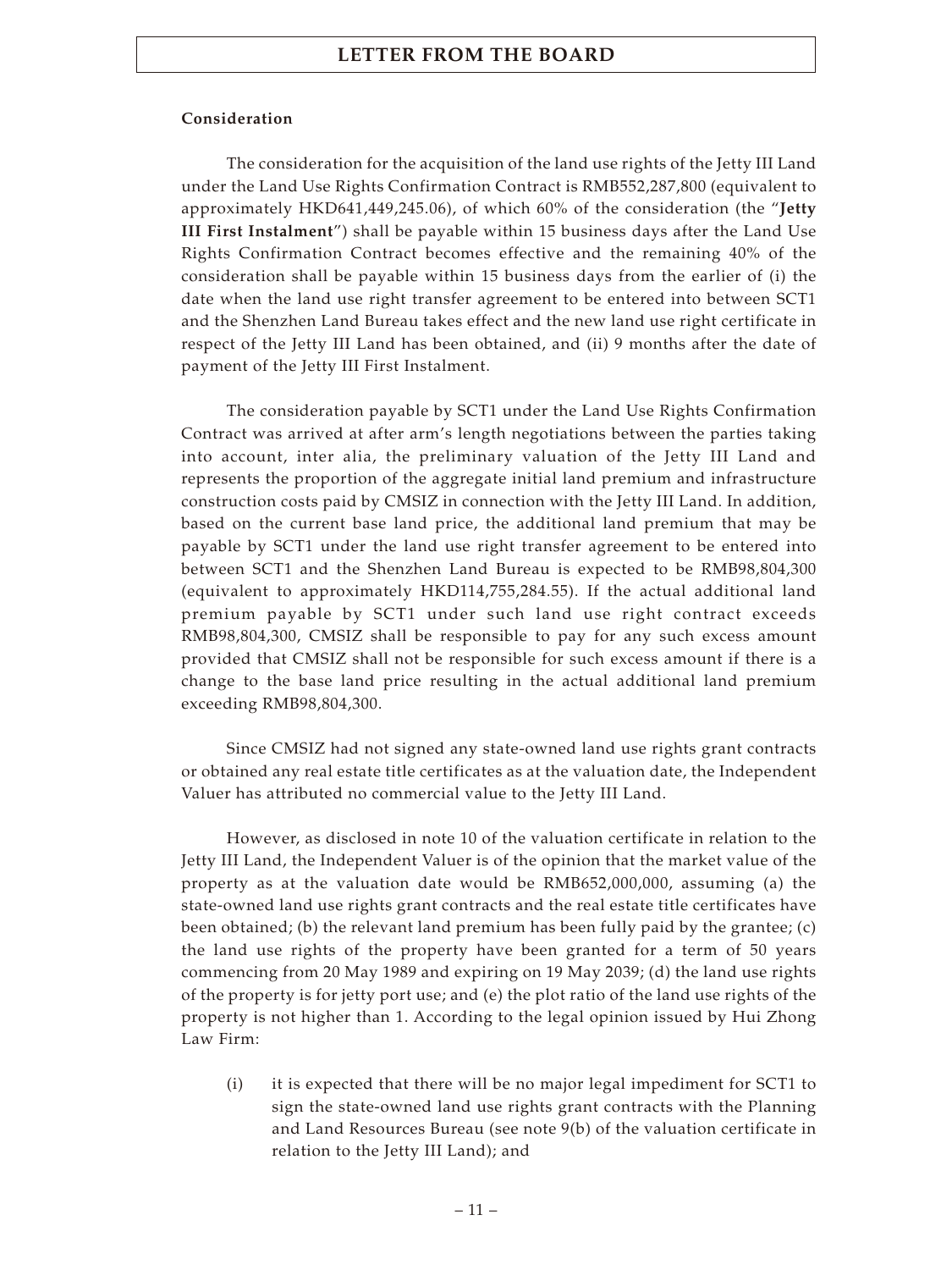## **Consideration**

The consideration for the acquisition of the land use rights of the Jetty III Land under the Land Use Rights Confirmation Contract is RMB552,287,800 (equivalent to approximately HKD641,449,245.06), of which 60% of the consideration (the "**Jetty III First Instalment**") shall be payable within 15 business days after the Land Use Rights Confirmation Contract becomes effective and the remaining 40% of the consideration shall be payable within 15 business days from the earlier of (i) the date when the land use right transfer agreement to be entered into between SCT1 and the Shenzhen Land Bureau takes effect and the new land use right certificate in respect of the Jetty III Land has been obtained, and (ii) 9 months after the date of payment of the Jetty III First Instalment.

The consideration payable by SCT1 under the Land Use Rights Confirmation Contract was arrived at after arm's length negotiations between the parties taking into account, inter alia, the preliminary valuation of the Jetty III Land and represents the proportion of the aggregate initial land premium and infrastructure construction costs paid by CMSIZ in connection with the Jetty III Land. In addition, based on the current base land price, the additional land premium that may be payable by SCT1 under the land use right transfer agreement to be entered into between SCT1 and the Shenzhen Land Bureau is expected to be RMB98,804,300 (equivalent to approximately HKD114,755,284.55). If the actual additional land premium payable by SCT1 under such land use right contract exceeds RMB98,804,300, CMSIZ shall be responsible to pay for any such excess amount provided that CMSIZ shall not be responsible for such excess amount if there is a change to the base land price resulting in the actual additional land premium exceeding RMB98,804,300.

Since CMSIZ had not signed any state-owned land use rights grant contracts or obtained any real estate title certificates as at the valuation date, the Independent Valuer has attributed no commercial value to the Jetty III Land.

However, as disclosed in note 10 of the valuation certificate in relation to the Jetty III Land, the Independent Valuer is of the opinion that the market value of the property as at the valuation date would be RMB652,000,000, assuming (a) the state-owned land use rights grant contracts and the real estate title certificates have been obtained; (b) the relevant land premium has been fully paid by the grantee; (c) the land use rights of the property have been granted for a term of 50 years commencing from 20 May 1989 and expiring on 19 May 2039; (d) the land use rights of the property is for jetty port use; and (e) the plot ratio of the land use rights of the property is not higher than 1. According to the legal opinion issued by Hui Zhong Law Firm:

(i) it is expected that there will be no major legal impediment for SCT1 to sign the state-owned land use rights grant contracts with the Planning and Land Resources Bureau (see note 9(b) of the valuation certificate in relation to the Jetty III Land); and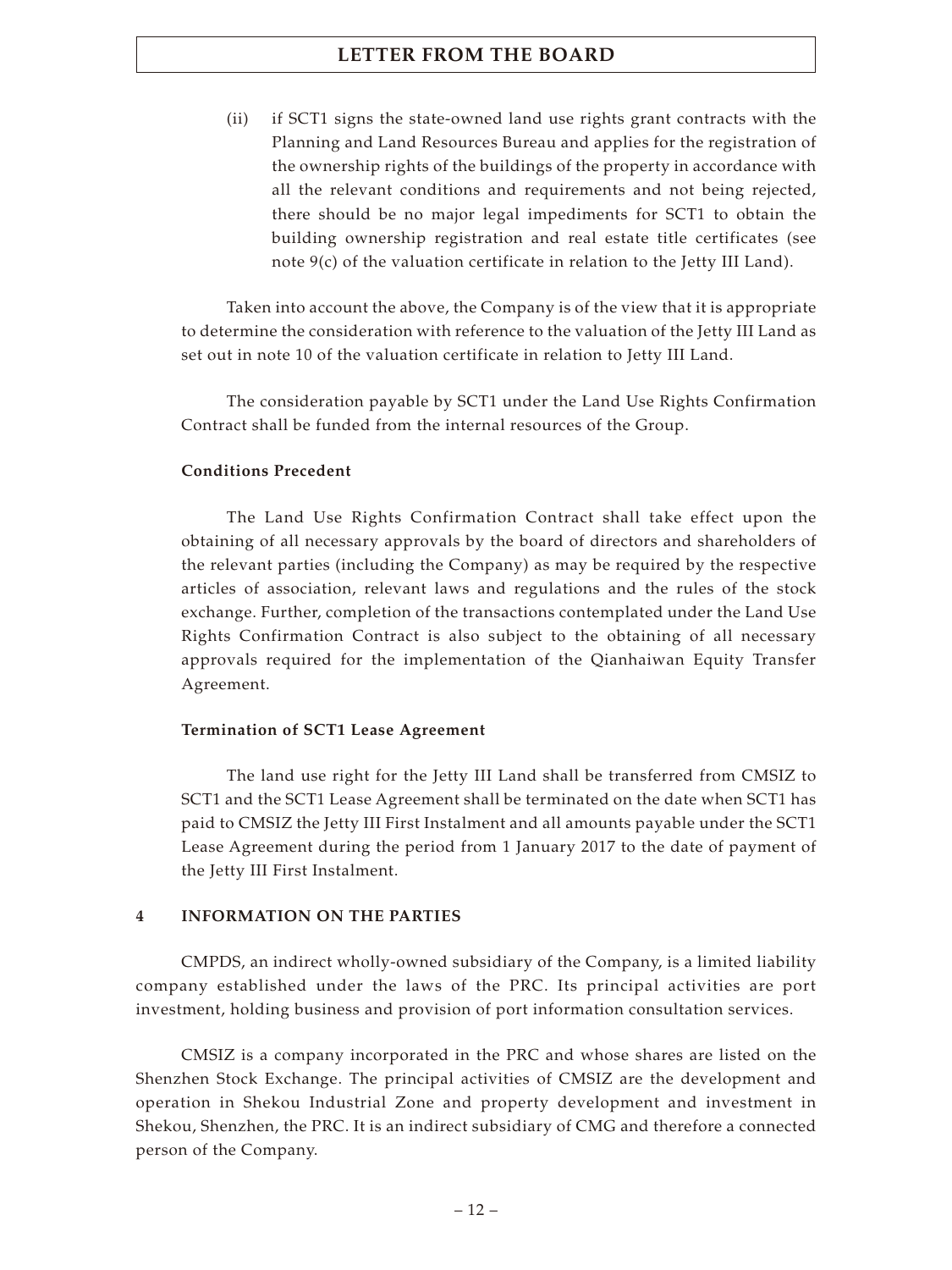(ii) if SCT1 signs the state-owned land use rights grant contracts with the Planning and Land Resources Bureau and applies for the registration of the ownership rights of the buildings of the property in accordance with all the relevant conditions and requirements and not being rejected, there should be no major legal impediments for SCT1 to obtain the building ownership registration and real estate title certificates (see note 9(c) of the valuation certificate in relation to the Jetty III Land).

Taken into account the above, the Company is of the view that it is appropriate to determine the consideration with reference to the valuation of the Jetty III Land as set out in note 10 of the valuation certificate in relation to Jetty III Land.

The consideration payable by SCT1 under the Land Use Rights Confirmation Contract shall be funded from the internal resources of the Group.

## **Conditions Precedent**

The Land Use Rights Confirmation Contract shall take effect upon the obtaining of all necessary approvals by the board of directors and shareholders of the relevant parties (including the Company) as may be required by the respective articles of association, relevant laws and regulations and the rules of the stock exchange. Further, completion of the transactions contemplated under the Land Use Rights Confirmation Contract is also subject to the obtaining of all necessary approvals required for the implementation of the Qianhaiwan Equity Transfer Agreement.

## **Termination of SCT1 Lease Agreement**

The land use right for the Jetty III Land shall be transferred from CMSIZ to SCT1 and the SCT1 Lease Agreement shall be terminated on the date when SCT1 has paid to CMSIZ the Jetty III First Instalment and all amounts payable under the SCT1 Lease Agreement during the period from 1 January 2017 to the date of payment of the Jetty III First Instalment.

## **4 INFORMATION ON THE PARTIES**

CMPDS, an indirect wholly-owned subsidiary of the Company, is a limited liability company established under the laws of the PRC. Its principal activities are port investment, holding business and provision of port information consultation services.

CMSIZ is a company incorporated in the PRC and whose shares are listed on the Shenzhen Stock Exchange. The principal activities of CMSIZ are the development and operation in Shekou Industrial Zone and property development and investment in Shekou, Shenzhen, the PRC. It is an indirect subsidiary of CMG and therefore a connected person of the Company.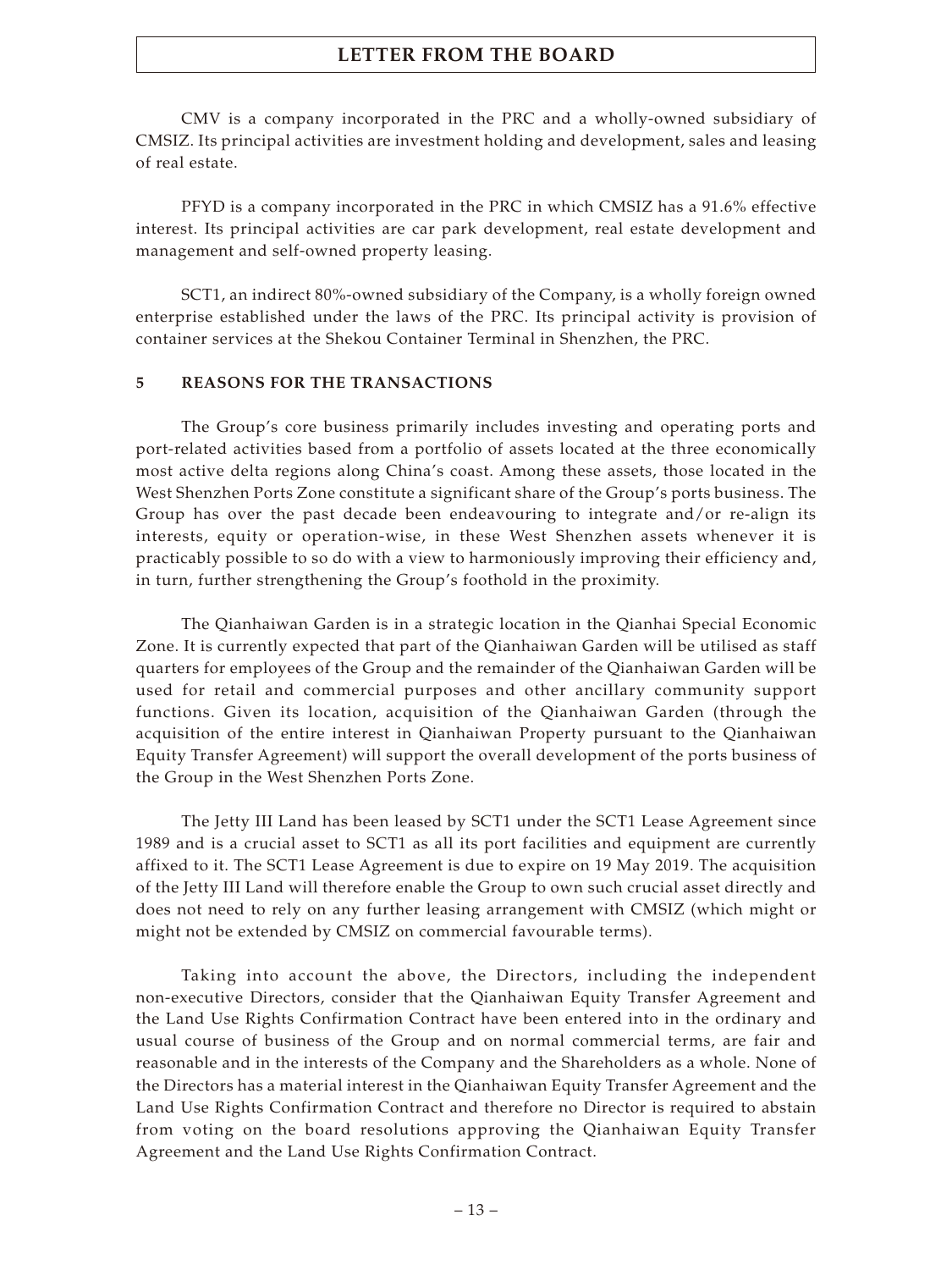CMV is a company incorporated in the PRC and a wholly-owned subsidiary of CMSIZ. Its principal activities are investment holding and development, sales and leasing of real estate.

PFYD is a company incorporated in the PRC in which CMSIZ has a 91.6% effective interest. Its principal activities are car park development, real estate development and management and self-owned property leasing.

SCT1, an indirect 80%-owned subsidiary of the Company, is a wholly foreign owned enterprise established under the laws of the PRC. Its principal activity is provision of container services at the Shekou Container Terminal in Shenzhen, the PRC.

### **5 REASONS FOR THE TRANSACTIONS**

The Group's core business primarily includes investing and operating ports and port-related activities based from a portfolio of assets located at the three economically most active delta regions along China's coast. Among these assets, those located in the West Shenzhen Ports Zone constitute a significant share of the Group's ports business. The Group has over the past decade been endeavouring to integrate and/or re-align its interests, equity or operation-wise, in these West Shenzhen assets whenever it is practicably possible to so do with a view to harmoniously improving their efficiency and, in turn, further strengthening the Group's foothold in the proximity.

The Qianhaiwan Garden is in a strategic location in the Qianhai Special Economic Zone. It is currently expected that part of the Qianhaiwan Garden will be utilised as staff quarters for employees of the Group and the remainder of the Qianhaiwan Garden will be used for retail and commercial purposes and other ancillary community support functions. Given its location, acquisition of the Qianhaiwan Garden (through the acquisition of the entire interest in Qianhaiwan Property pursuant to the Qianhaiwan Equity Transfer Agreement) will support the overall development of the ports business of the Group in the West Shenzhen Ports Zone.

The Jetty III Land has been leased by SCT1 under the SCT1 Lease Agreement since 1989 and is a crucial asset to SCT1 as all its port facilities and equipment are currently affixed to it. The SCT1 Lease Agreement is due to expire on 19 May 2019. The acquisition of the Jetty III Land will therefore enable the Group to own such crucial asset directly and does not need to rely on any further leasing arrangement with CMSIZ (which might or might not be extended by CMSIZ on commercial favourable terms).

Taking into account the above, the Directors, including the independent non-executive Directors, consider that the Qianhaiwan Equity Transfer Agreement and the Land Use Rights Confirmation Contract have been entered into in the ordinary and usual course of business of the Group and on normal commercial terms, are fair and reasonable and in the interests of the Company and the Shareholders as a whole. None of the Directors has a material interest in the Qianhaiwan Equity Transfer Agreement and the Land Use Rights Confirmation Contract and therefore no Director is required to abstain from voting on the board resolutions approving the Qianhaiwan Equity Transfer Agreement and the Land Use Rights Confirmation Contract.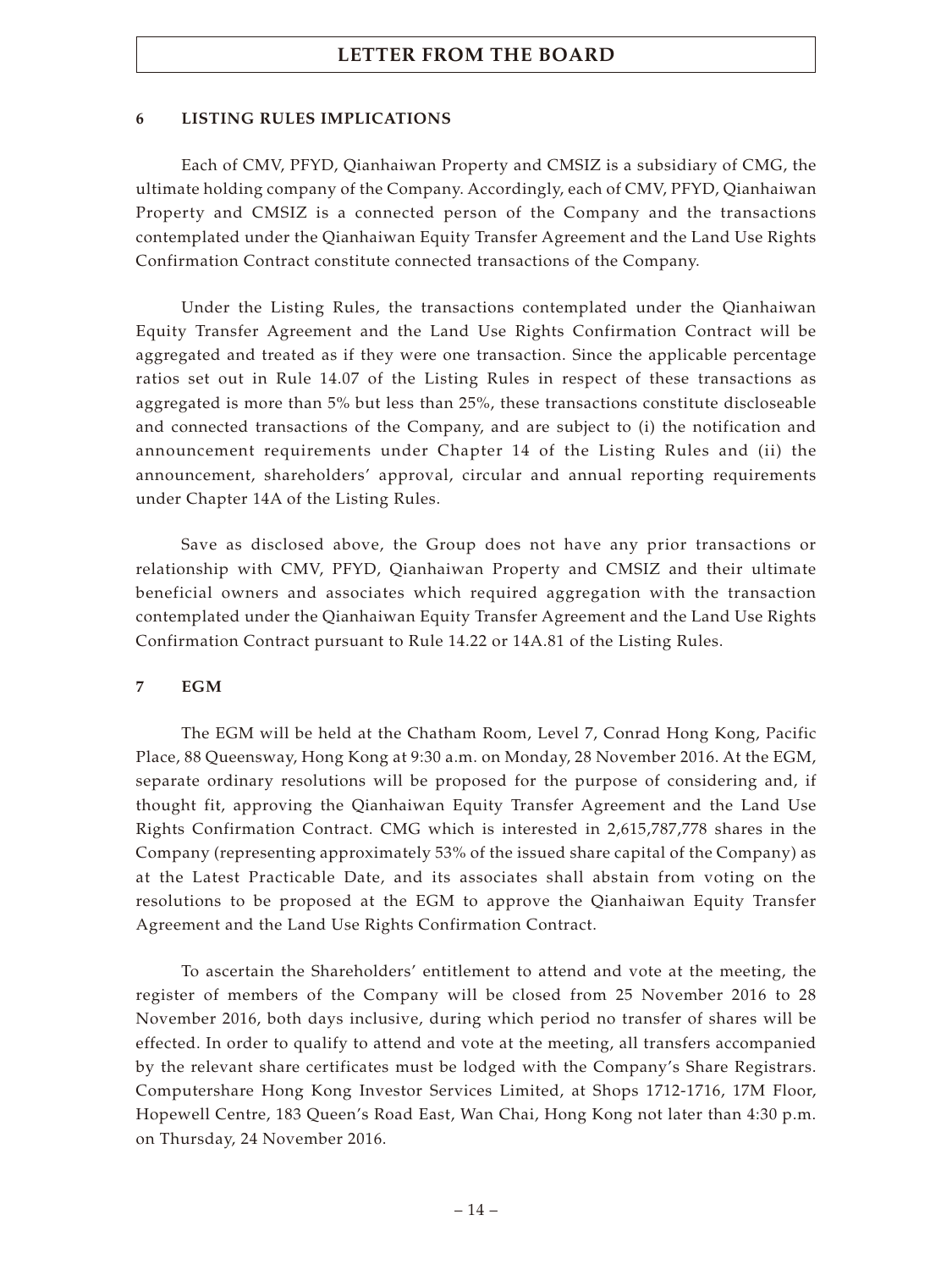## **6 LISTING RULES IMPLICATIONS**

Each of CMV, PFYD, Qianhaiwan Property and CMSIZ is a subsidiary of CMG, the ultimate holding company of the Company. Accordingly, each of CMV, PFYD, Qianhaiwan Property and CMSIZ is a connected person of the Company and the transactions contemplated under the Qianhaiwan Equity Transfer Agreement and the Land Use Rights Confirmation Contract constitute connected transactions of the Company.

Under the Listing Rules, the transactions contemplated under the Qianhaiwan Equity Transfer Agreement and the Land Use Rights Confirmation Contract will be aggregated and treated as if they were one transaction. Since the applicable percentage ratios set out in Rule 14.07 of the Listing Rules in respect of these transactions as aggregated is more than 5% but less than 25%, these transactions constitute discloseable and connected transactions of the Company, and are subject to (i) the notification and announcement requirements under Chapter 14 of the Listing Rules and (ii) the announcement, shareholders' approval, circular and annual reporting requirements under Chapter 14A of the Listing Rules.

Save as disclosed above, the Group does not have any prior transactions or relationship with CMV, PFYD, Qianhaiwan Property and CMSIZ and their ultimate beneficial owners and associates which required aggregation with the transaction contemplated under the Qianhaiwan Equity Transfer Agreement and the Land Use Rights Confirmation Contract pursuant to Rule 14.22 or 14A.81 of the Listing Rules.

## **7 EGM**

The EGM will be held at the Chatham Room, Level 7, Conrad Hong Kong, Pacific Place, 88 Queensway, Hong Kong at 9:30 a.m. on Monday, 28 November 2016. At the EGM, separate ordinary resolutions will be proposed for the purpose of considering and, if thought fit, approving the Qianhaiwan Equity Transfer Agreement and the Land Use Rights Confirmation Contract. CMG which is interested in 2,615,787,778 shares in the Company (representing approximately 53% of the issued share capital of the Company) as at the Latest Practicable Date, and its associates shall abstain from voting on the resolutions to be proposed at the EGM to approve the Qianhaiwan Equity Transfer Agreement and the Land Use Rights Confirmation Contract.

To ascertain the Shareholders' entitlement to attend and vote at the meeting, the register of members of the Company will be closed from 25 November 2016 to 28 November 2016, both days inclusive, during which period no transfer of shares will be effected. In order to qualify to attend and vote at the meeting, all transfers accompanied by the relevant share certificates must be lodged with the Company's Share Registrars. Computershare Hong Kong Investor Services Limited, at Shops 1712-1716, 17M Floor, Hopewell Centre, 183 Queen's Road East, Wan Chai, Hong Kong not later than 4:30 p.m. on Thursday, 24 November 2016.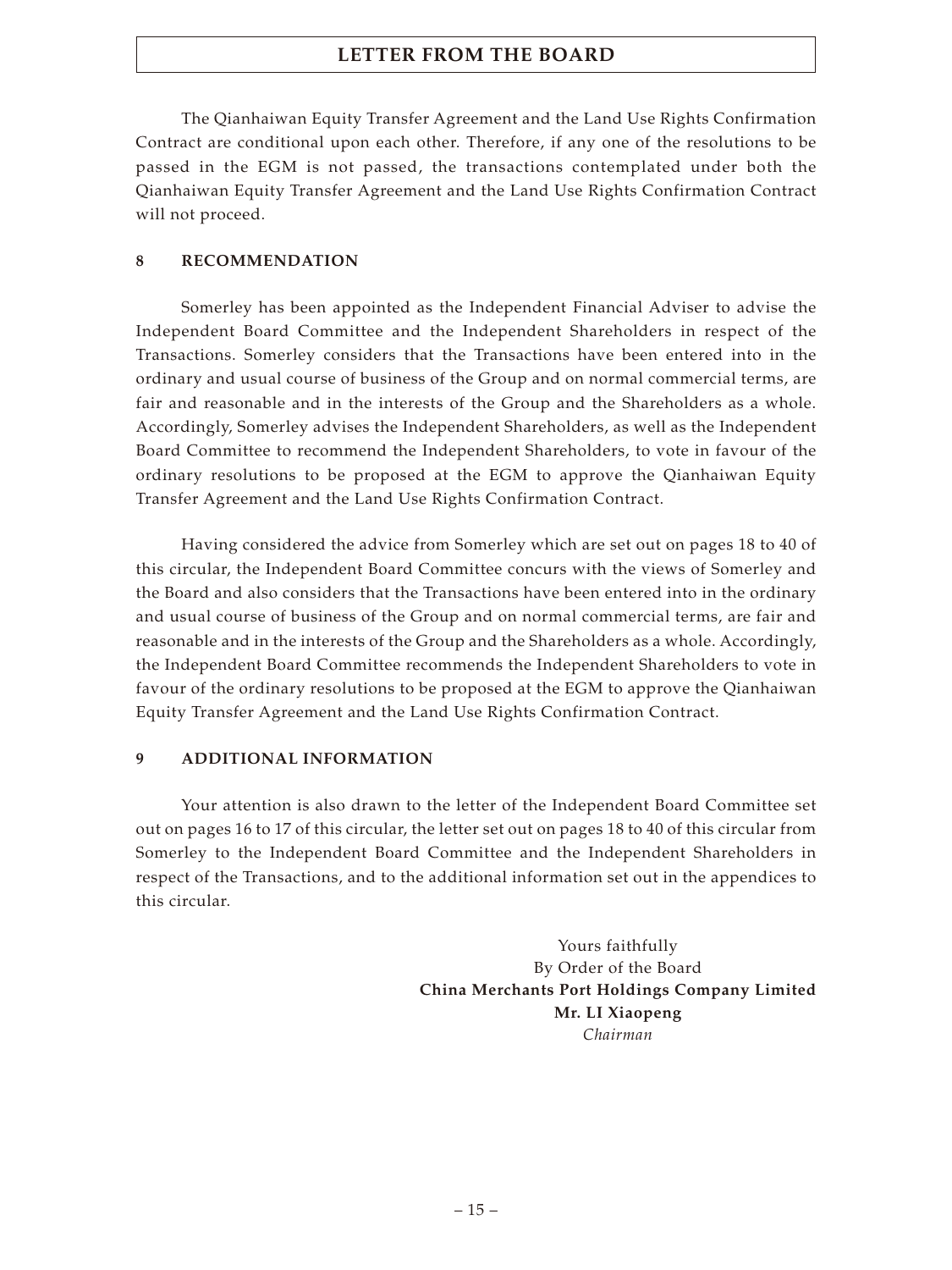The Qianhaiwan Equity Transfer Agreement and the Land Use Rights Confirmation Contract are conditional upon each other. Therefore, if any one of the resolutions to be passed in the EGM is not passed, the transactions contemplated under both the Qianhaiwan Equity Transfer Agreement and the Land Use Rights Confirmation Contract will not proceed.

## **8 RECOMMENDATION**

Somerley has been appointed as the Independent Financial Adviser to advise the Independent Board Committee and the Independent Shareholders in respect of the Transactions. Somerley considers that the Transactions have been entered into in the ordinary and usual course of business of the Group and on normal commercial terms, are fair and reasonable and in the interests of the Group and the Shareholders as a whole. Accordingly, Somerley advises the Independent Shareholders, as well as the Independent Board Committee to recommend the Independent Shareholders, to vote in favour of the ordinary resolutions to be proposed at the EGM to approve the Qianhaiwan Equity Transfer Agreement and the Land Use Rights Confirmation Contract.

Having considered the advice from Somerley which are set out on pages 18 to 40 of this circular, the Independent Board Committee concurs with the views of Somerley and the Board and also considers that the Transactions have been entered into in the ordinary and usual course of business of the Group and on normal commercial terms, are fair and reasonable and in the interests of the Group and the Shareholders as a whole. Accordingly, the Independent Board Committee recommends the Independent Shareholders to vote in favour of the ordinary resolutions to be proposed at the EGM to approve the Qianhaiwan Equity Transfer Agreement and the Land Use Rights Confirmation Contract.

## **9 ADDITIONAL INFORMATION**

Your attention is also drawn to the letter of the Independent Board Committee set out on pages 16 to 17 of this circular, the letter set out on pages 18 to 40 of this circular from Somerley to the Independent Board Committee and the Independent Shareholders in respect of the Transactions, and to the additional information set out in the appendices to this circular.

> Yours faithfully By Order of the Board **China Merchants Port Holdings Company Limited Mr. LI Xiaopeng** *Chairman*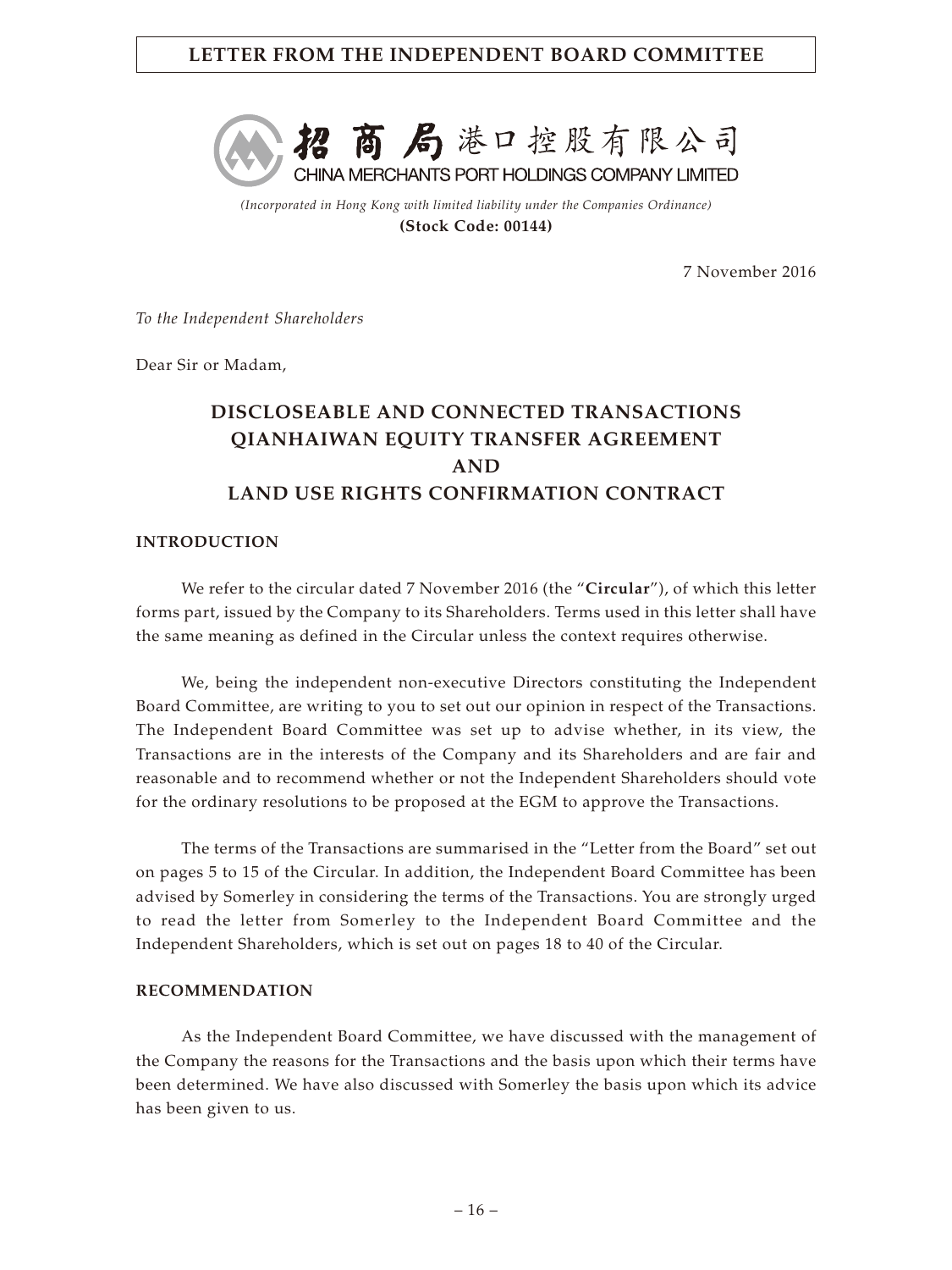# **LETTER FROM THE INDEPENDENT BOARD COMMITTEE**



*(Incorporated in Hong Kong with limited liability under the Companies Ordinance)* **(Stock Code: 00144)**

7 November 2016

*To the Independent Shareholders*

Dear Sir or Madam,

# **DISCLOSEABLE AND CONNECTED TRANSACTIONS QIANHAIWAN EQUITY TRANSFER AGREEMENT AND LAND USE RIGHTS CONFIRMATION CONTRACT**

## **INTRODUCTION**

We refer to the circular dated 7 November 2016 (the "**Circular**"), of which this letter forms part, issued by the Company to its Shareholders. Terms used in this letter shall have the same meaning as defined in the Circular unless the context requires otherwise.

We, being the independent non-executive Directors constituting the Independent Board Committee, are writing to you to set out our opinion in respect of the Transactions. The Independent Board Committee was set up to advise whether, in its view, the Transactions are in the interests of the Company and its Shareholders and are fair and reasonable and to recommend whether or not the Independent Shareholders should vote for the ordinary resolutions to be proposed at the EGM to approve the Transactions.

The terms of the Transactions are summarised in the "Letter from the Board" set out on pages 5 to 15 of the Circular. In addition, the Independent Board Committee has been advised by Somerley in considering the terms of the Transactions. You are strongly urged to read the letter from Somerley to the Independent Board Committee and the Independent Shareholders, which is set out on pages 18 to 40 of the Circular.

#### **RECOMMENDATION**

As the Independent Board Committee, we have discussed with the management of the Company the reasons for the Transactions and the basis upon which their terms have been determined. We have also discussed with Somerley the basis upon which its advice has been given to us.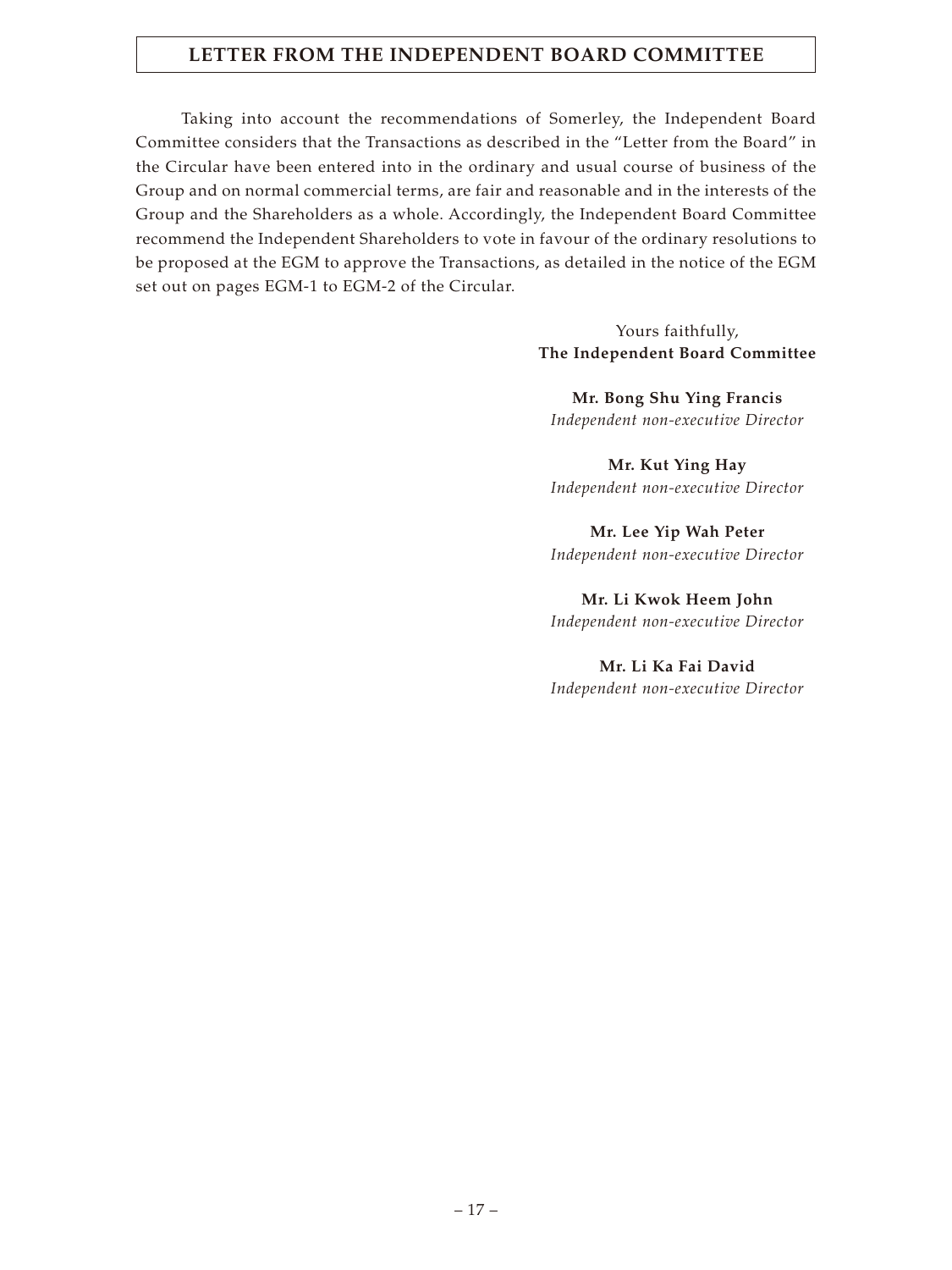# **LETTER FROM THE INDEPENDENT BOARD COMMITTEE**

Taking into account the recommendations of Somerley, the Independent Board Committee considers that the Transactions as described in the "Letter from the Board" in the Circular have been entered into in the ordinary and usual course of business of the Group and on normal commercial terms, are fair and reasonable and in the interests of the Group and the Shareholders as a whole. Accordingly, the Independent Board Committee recommend the Independent Shareholders to vote in favour of the ordinary resolutions to be proposed at the EGM to approve the Transactions, as detailed in the notice of the EGM set out on pages EGM-1 to EGM-2 of the Circular.

> Yours faithfully, **The Independent Board Committee**

**Mr. Bong Shu Ying Francis** *Independent non-executive Director*

**Mr. Kut Ying Hay** *Independent non-executive Director*

**Mr. Lee Yip Wah Peter** *Independent non-executive Director*

**Mr. Li Kwok Heem John** *Independent non-executive Director*

**Mr. Li Ka Fai David** *Independent non-executive Director*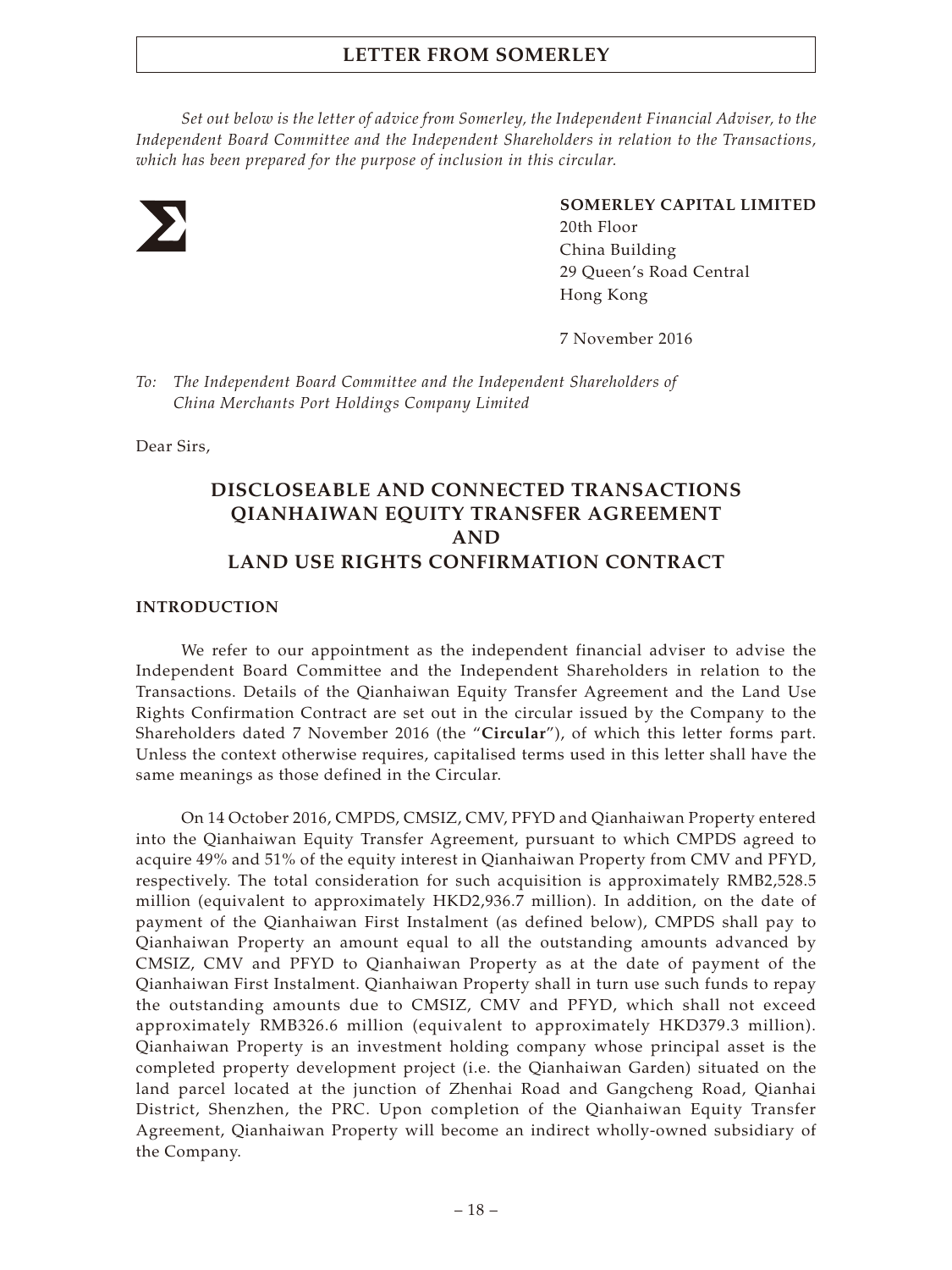*Set out below is the letter of advice from Somerley, the Independent Financial Adviser, to the Independent Board Committee and the Independent Shareholders in relation to the Transactions, which has been prepared for the purpose of inclusion in this circular.*



## **SOMERLEY CAPITAL LIMITED**

20th Floor China Building 29 Queen's Road Central Hong Kong

7 November 2016

*To: The Independent Board Committee and the Independent Shareholders of China Merchants Port Holdings Company Limited*

Dear Sirs,

# **DISCLOSEABLE AND CONNECTED TRANSACTIONS QIANHAIWAN EQUITY TRANSFER AGREEMENT AND LAND USE RIGHTS CONFIRMATION CONTRACT**

## **INTRODUCTION**

We refer to our appointment as the independent financial adviser to advise the Independent Board Committee and the Independent Shareholders in relation to the Transactions. Details of the Qianhaiwan Equity Transfer Agreement and the Land Use Rights Confirmation Contract are set out in the circular issued by the Company to the Shareholders dated 7 November 2016 (the "**Circular**"), of which this letter forms part. Unless the context otherwise requires, capitalised terms used in this letter shall have the same meanings as those defined in the Circular.

On 14 October 2016, CMPDS, CMSIZ, CMV, PFYD and Qianhaiwan Property entered into the Qianhaiwan Equity Transfer Agreement, pursuant to which CMPDS agreed to acquire 49% and 51% of the equity interest in Qianhaiwan Property from CMV and PFYD, respectively. The total consideration for such acquisition is approximately RMB2,528.5 million (equivalent to approximately HKD2,936.7 million). In addition, on the date of payment of the Qianhaiwan First Instalment (as defined below), CMPDS shall pay to Qianhaiwan Property an amount equal to all the outstanding amounts advanced by CMSIZ, CMV and PFYD to Qianhaiwan Property as at the date of payment of the Qianhaiwan First Instalment. Qianhaiwan Property shall in turn use such funds to repay the outstanding amounts due to CMSIZ, CMV and PFYD, which shall not exceed approximately RMB326.6 million (equivalent to approximately HKD379.3 million). Qianhaiwan Property is an investment holding company whose principal asset is the completed property development project (i.e. the Qianhaiwan Garden) situated on the land parcel located at the junction of Zhenhai Road and Gangcheng Road, Qianhai District, Shenzhen, the PRC. Upon completion of the Qianhaiwan Equity Transfer Agreement, Qianhaiwan Property will become an indirect wholly-owned subsidiary of the Company.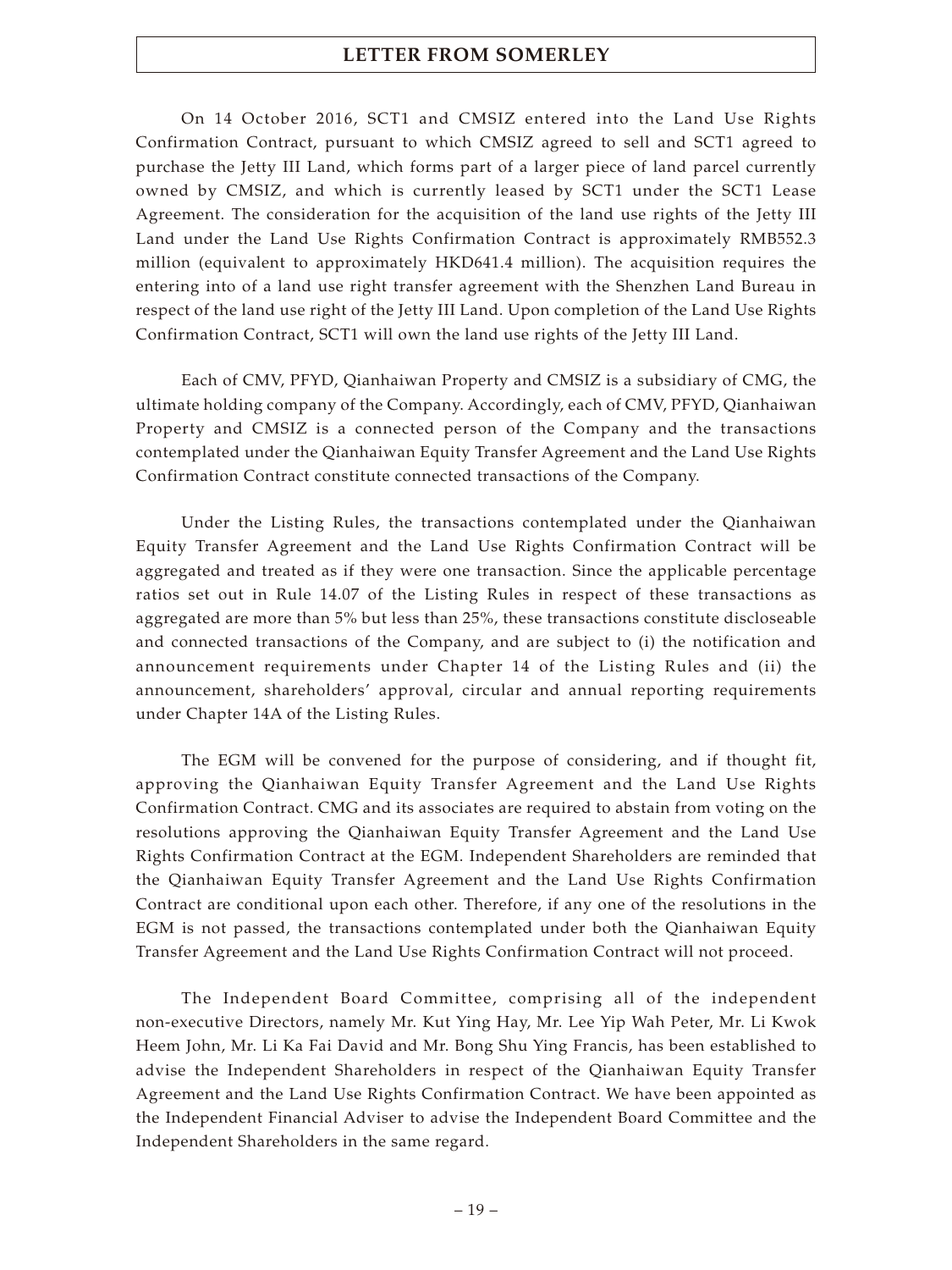On 14 October 2016, SCT1 and CMSIZ entered into the Land Use Rights Confirmation Contract, pursuant to which CMSIZ agreed to sell and SCT1 agreed to purchase the Jetty III Land, which forms part of a larger piece of land parcel currently owned by CMSIZ, and which is currently leased by SCT1 under the SCT1 Lease Agreement. The consideration for the acquisition of the land use rights of the Jetty III Land under the Land Use Rights Confirmation Contract is approximately RMB552.3 million (equivalent to approximately HKD641.4 million). The acquisition requires the entering into of a land use right transfer agreement with the Shenzhen Land Bureau in respect of the land use right of the Jetty III Land. Upon completion of the Land Use Rights Confirmation Contract, SCT1 will own the land use rights of the Jetty III Land.

Each of CMV, PFYD, Qianhaiwan Property and CMSIZ is a subsidiary of CMG, the ultimate holding company of the Company. Accordingly, each of CMV, PFYD, Qianhaiwan Property and CMSIZ is a connected person of the Company and the transactions contemplated under the Qianhaiwan Equity Transfer Agreement and the Land Use Rights Confirmation Contract constitute connected transactions of the Company.

Under the Listing Rules, the transactions contemplated under the Qianhaiwan Equity Transfer Agreement and the Land Use Rights Confirmation Contract will be aggregated and treated as if they were one transaction. Since the applicable percentage ratios set out in Rule 14.07 of the Listing Rules in respect of these transactions as aggregated are more than 5% but less than 25%, these transactions constitute discloseable and connected transactions of the Company, and are subject to (i) the notification and announcement requirements under Chapter 14 of the Listing Rules and (ii) the announcement, shareholders' approval, circular and annual reporting requirements under Chapter 14A of the Listing Rules.

The EGM will be convened for the purpose of considering, and if thought fit, approving the Qianhaiwan Equity Transfer Agreement and the Land Use Rights Confirmation Contract. CMG and its associates are required to abstain from voting on the resolutions approving the Qianhaiwan Equity Transfer Agreement and the Land Use Rights Confirmation Contract at the EGM. Independent Shareholders are reminded that the Qianhaiwan Equity Transfer Agreement and the Land Use Rights Confirmation Contract are conditional upon each other. Therefore, if any one of the resolutions in the EGM is not passed, the transactions contemplated under both the Qianhaiwan Equity Transfer Agreement and the Land Use Rights Confirmation Contract will not proceed.

The Independent Board Committee, comprising all of the independent non-executive Directors, namely Mr. Kut Ying Hay, Mr. Lee Yip Wah Peter, Mr. Li Kwok Heem John, Mr. Li Ka Fai David and Mr. Bong Shu Ying Francis, has been established to advise the Independent Shareholders in respect of the Qianhaiwan Equity Transfer Agreement and the Land Use Rights Confirmation Contract. We have been appointed as the Independent Financial Adviser to advise the Independent Board Committee and the Independent Shareholders in the same regard.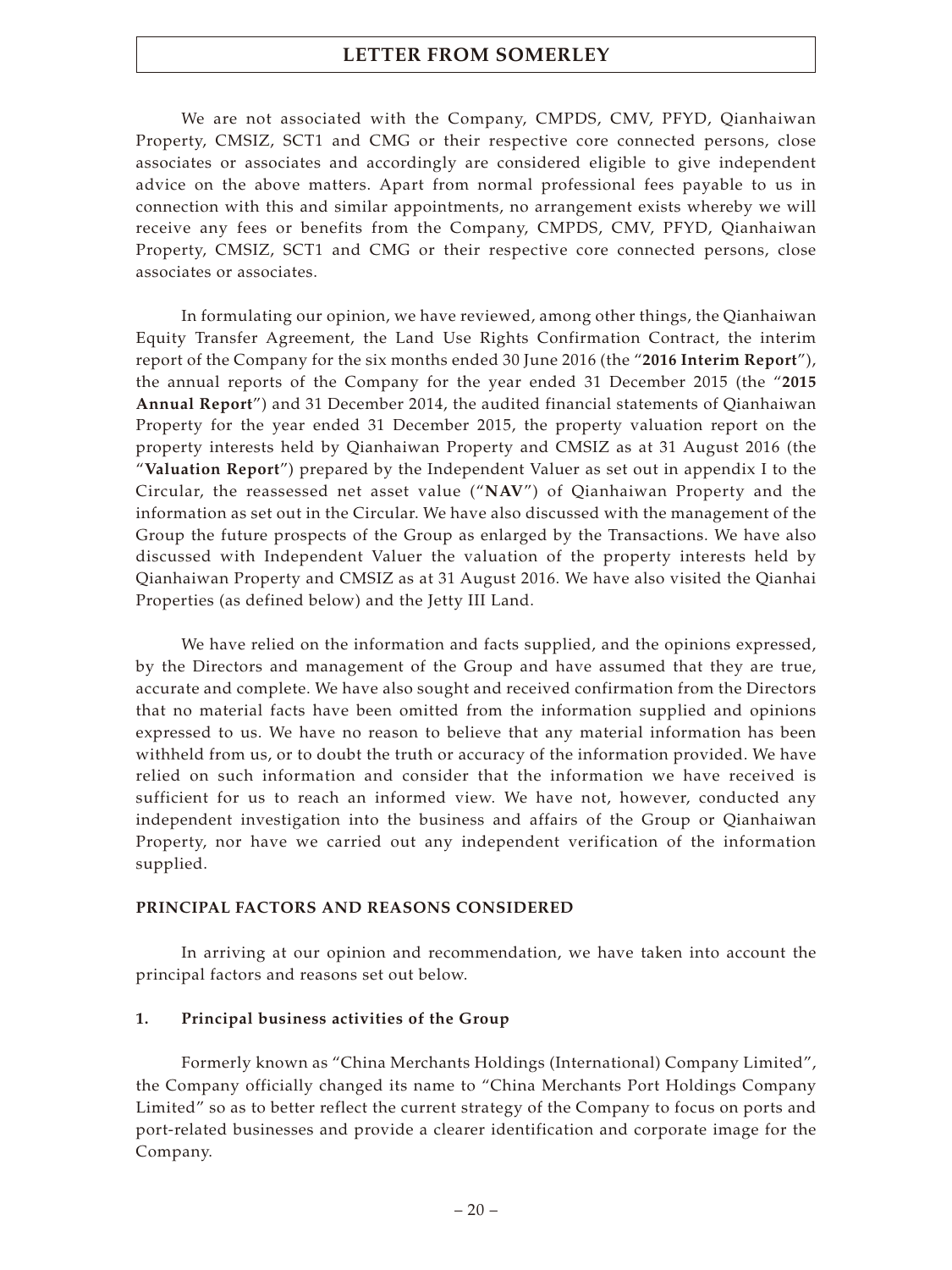We are not associated with the Company, CMPDS, CMV, PFYD, Qianhaiwan Property, CMSIZ, SCT1 and CMG or their respective core connected persons, close associates or associates and accordingly are considered eligible to give independent advice on the above matters. Apart from normal professional fees payable to us in connection with this and similar appointments, no arrangement exists whereby we will receive any fees or benefits from the Company, CMPDS, CMV, PFYD, Qianhaiwan Property, CMSIZ, SCT1 and CMG or their respective core connected persons, close associates or associates.

In formulating our opinion, we have reviewed, among other things, the Qianhaiwan Equity Transfer Agreement, the Land Use Rights Confirmation Contract, the interim report of the Company for the six months ended 30 June 2016 (the "**2016 Interim Report**"), the annual reports of the Company for the year ended 31 December 2015 (the "**2015 Annual Report**") and 31 December 2014, the audited financial statements of Qianhaiwan Property for the year ended 31 December 2015, the property valuation report on the property interests held by Qianhaiwan Property and CMSIZ as at 31 August 2016 (the "**Valuation Report**") prepared by the Independent Valuer as set out in appendix I to the Circular, the reassessed net asset value ("**NAV**") of Qianhaiwan Property and the information as set out in the Circular. We have also discussed with the management of the Group the future prospects of the Group as enlarged by the Transactions. We have also discussed with Independent Valuer the valuation of the property interests held by Qianhaiwan Property and CMSIZ as at 31 August 2016. We have also visited the Qianhai Properties (as defined below) and the Jetty III Land.

We have relied on the information and facts supplied, and the opinions expressed, by the Directors and management of the Group and have assumed that they are true, accurate and complete. We have also sought and received confirmation from the Directors that no material facts have been omitted from the information supplied and opinions expressed to us. We have no reason to believe that any material information has been withheld from us, or to doubt the truth or accuracy of the information provided. We have relied on such information and consider that the information we have received is sufficient for us to reach an informed view. We have not, however, conducted any independent investigation into the business and affairs of the Group or Qianhaiwan Property, nor have we carried out any independent verification of the information supplied.

## **PRINCIPAL FACTORS AND REASONS CONSIDERED**

In arriving at our opinion and recommendation, we have taken into account the principal factors and reasons set out below.

## **1. Principal business activities of the Group**

Formerly known as "China Merchants Holdings (International) Company Limited", the Company officially changed its name to "China Merchants Port Holdings Company Limited" so as to better reflect the current strategy of the Company to focus on ports and port-related businesses and provide a clearer identification and corporate image for the Company.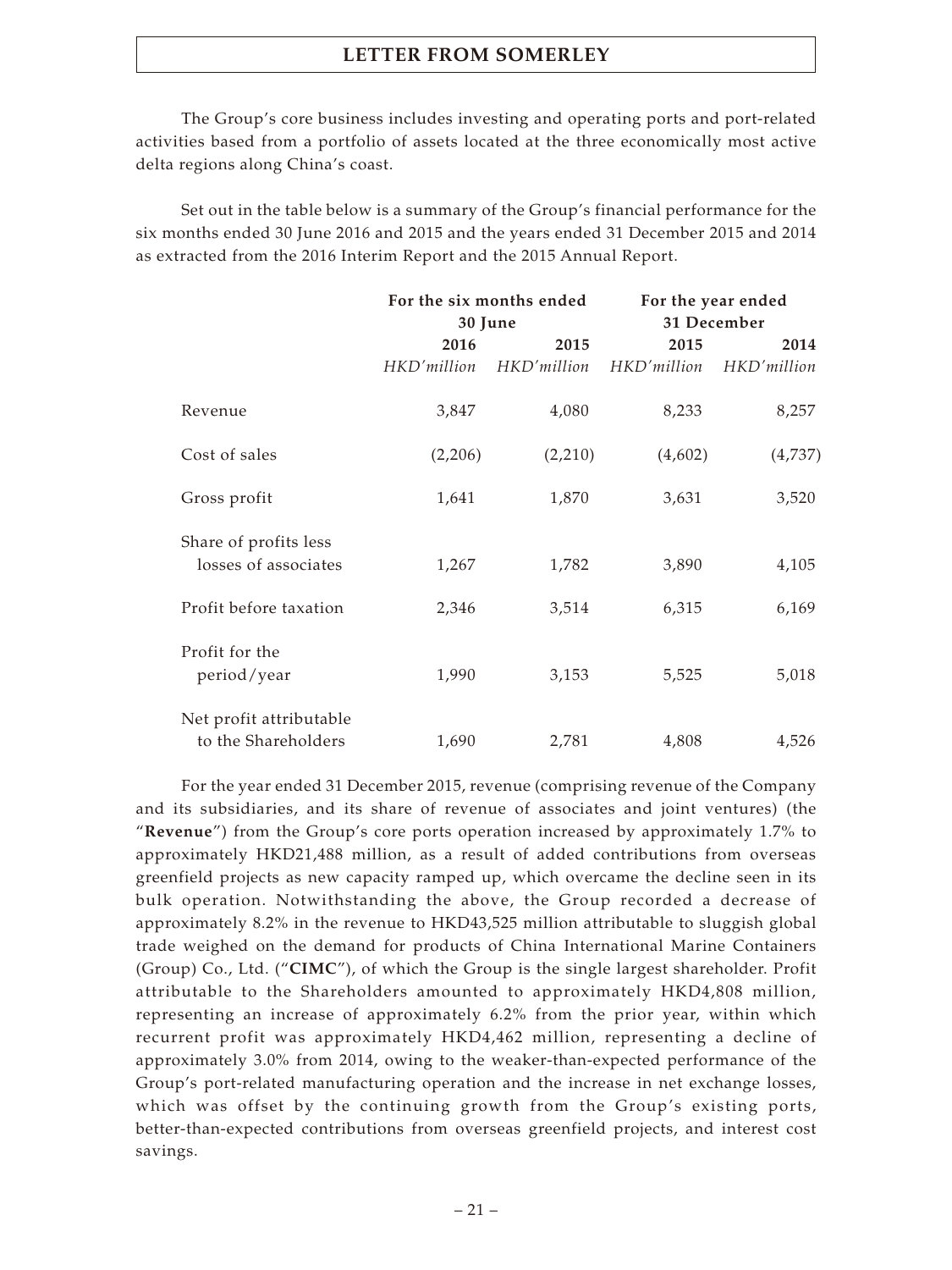The Group's core business includes investing and operating ports and port-related activities based from a portfolio of assets located at the three economically most active delta regions along China's coast.

Set out in the table below is a summary of the Group's financial performance for the six months ended 30 June 2016 and 2015 and the years ended 31 December 2015 and 2014 as extracted from the 2016 Interim Report and the 2015 Annual Report.

|                         |             | For the six months ended |             | For the year ended |
|-------------------------|-------------|--------------------------|-------------|--------------------|
|                         | 30 June     |                          | 31 December |                    |
|                         | 2016        | 2015                     | 2015        | 2014               |
|                         | HKD'million | HKD'million              | HKD'million | HKD'million        |
| Revenue                 | 3,847       | 4,080                    | 8,233       | 8,257              |
| Cost of sales           | (2,206)     | (2,210)                  | (4,602)     | (4,737)            |
| Gross profit            | 1,641       | 1,870                    | 3,631       | 3,520              |
| Share of profits less   |             |                          |             |                    |
| losses of associates    | 1,267       | 1,782                    | 3,890       | 4,105              |
| Profit before taxation  | 2,346       | 3,514                    | 6,315       | 6,169              |
| Profit for the          |             |                          |             |                    |
| period/year             | 1,990       | 3,153                    | 5,525       | 5,018              |
| Net profit attributable |             |                          |             |                    |
| to the Shareholders     | 1,690       | 2,781                    | 4,808       | 4,526              |

For the year ended 31 December 2015, revenue (comprising revenue of the Company and its subsidiaries, and its share of revenue of associates and joint ventures) (the "**Revenue**") from the Group's core ports operation increased by approximately 1.7% to approximately HKD21,488 million, as a result of added contributions from overseas greenfield projects as new capacity ramped up, which overcame the decline seen in its bulk operation. Notwithstanding the above, the Group recorded a decrease of approximately 8.2% in the revenue to HKD43,525 million attributable to sluggish global trade weighed on the demand for products of China International Marine Containers (Group) Co., Ltd. ("**CIMC**"), of which the Group is the single largest shareholder. Profit attributable to the Shareholders amounted to approximately HKD4,808 million, representing an increase of approximately 6.2% from the prior year, within which recurrent profit was approximately HKD4,462 million, representing a decline of approximately 3.0% from 2014, owing to the weaker-than-expected performance of the Group's port-related manufacturing operation and the increase in net exchange losses, which was offset by the continuing growth from the Group's existing ports, better-than-expected contributions from overseas greenfield projects, and interest cost savings.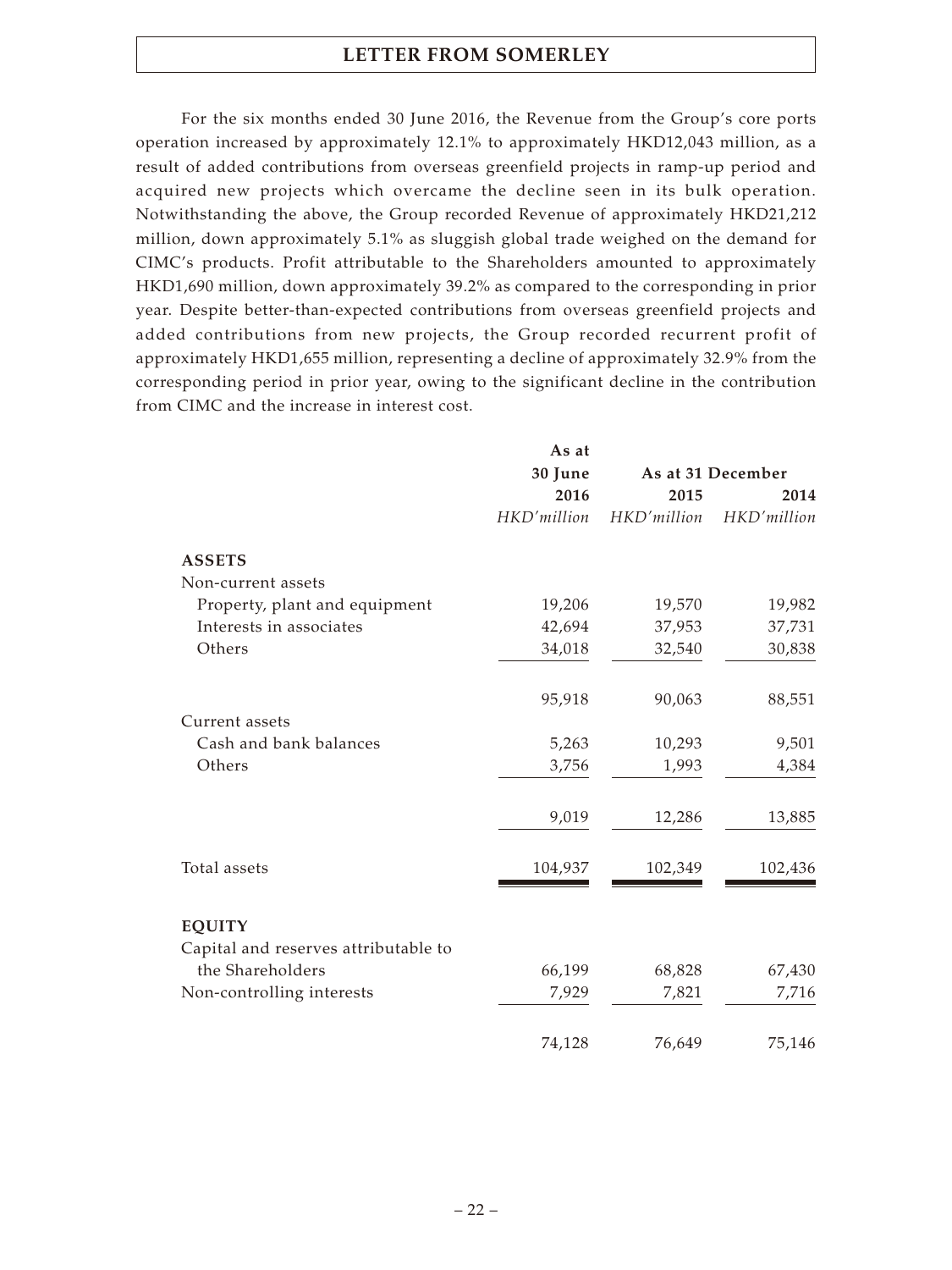For the six months ended 30 June 2016, the Revenue from the Group's core ports operation increased by approximately 12.1% to approximately HKD12,043 million, as a result of added contributions from overseas greenfield projects in ramp-up period and acquired new projects which overcame the decline seen in its bulk operation. Notwithstanding the above, the Group recorded Revenue of approximately HKD21,212 million, down approximately 5.1% as sluggish global trade weighed on the demand for CIMC's products. Profit attributable to the Shareholders amounted to approximately HKD1,690 million, down approximately 39.2% as compared to the corresponding in prior year. Despite better-than-expected contributions from overseas greenfield projects and added contributions from new projects, the Group recorded recurrent profit of approximately HKD1,655 million, representing a decline of approximately 32.9% from the corresponding period in prior year, owing to the significant decline in the contribution from CIMC and the increase in interest cost.

|                                      | As at       |             |                   |
|--------------------------------------|-------------|-------------|-------------------|
|                                      | 30 June     |             | As at 31 December |
|                                      | 2016        | 2015        | 2014              |
|                                      | HKD'million | HKD'million | HKD'million       |
| <b>ASSETS</b>                        |             |             |                   |
| Non-current assets                   |             |             |                   |
| Property, plant and equipment        | 19,206      | 19,570      | 19,982            |
| Interests in associates              | 42,694      | 37,953      | 37,731            |
| Others                               | 34,018      | 32,540      | 30,838            |
|                                      | 95,918      | 90,063      | 88,551            |
| Current assets                       |             |             |                   |
| Cash and bank balances               | 5,263       | 10,293      | 9,501             |
| Others                               | 3,756       | 1,993       | 4,384             |
|                                      | 9,019       | 12,286      | 13,885            |
| Total assets                         | 104,937     | 102,349     | 102,436           |
|                                      |             |             |                   |
| <b>EQUITY</b>                        |             |             |                   |
| Capital and reserves attributable to |             |             |                   |
| the Shareholders                     | 66,199      | 68,828      | 67,430            |
| Non-controlling interests            | 7,929       | 7,821       | 7,716             |
|                                      | 74,128      | 76,649      | 75,146            |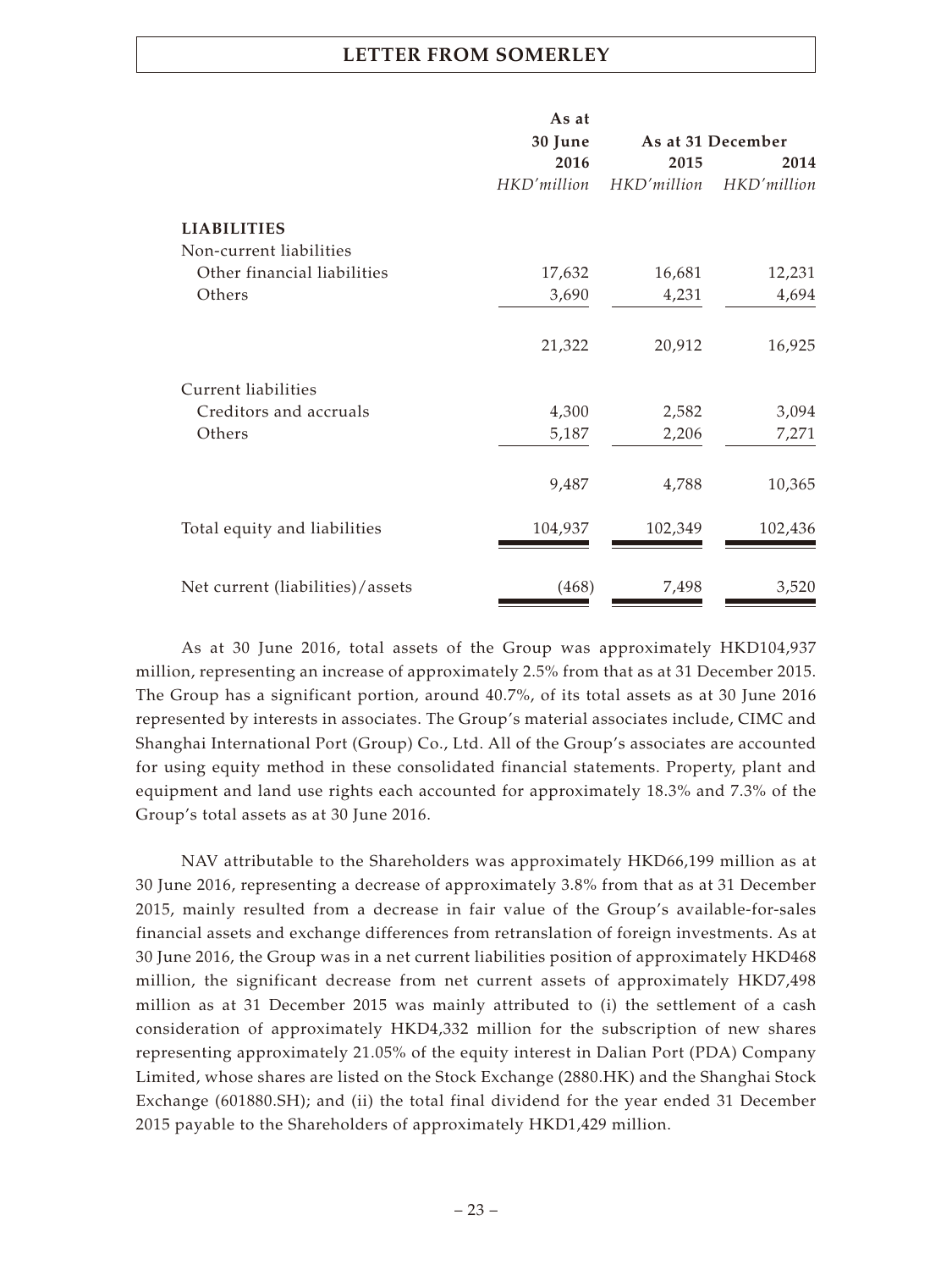|                                  | As at       |             |                   |
|----------------------------------|-------------|-------------|-------------------|
|                                  | 30 June     |             | As at 31 December |
|                                  | 2016        | 2015        | 2014              |
|                                  | HKD'million | HKD'million | HKD'million       |
| <b>LIABILITIES</b>               |             |             |                   |
| Non-current liabilities          |             |             |                   |
| Other financial liabilities      | 17,632      | 16,681      | 12,231            |
| Others                           | 3,690       | 4,231       | 4,694             |
|                                  | 21,322      | 20,912      | 16,925            |
| Current liabilities              |             |             |                   |
| Creditors and accruals           | 4,300       | 2,582       | 3,094             |
| Others                           | 5,187       | 2,206       | 7,271             |
|                                  | 9,487       | 4,788       | 10,365            |
| Total equity and liabilities     | 104,937     | 102,349     | 102,436           |
| Net current (liabilities)/assets | (468)       | 7,498       | 3,520             |

As at 30 June 2016, total assets of the Group was approximately HKD104,937 million, representing an increase of approximately 2.5% from that as at 31 December 2015. The Group has a significant portion, around 40.7%, of its total assets as at 30 June 2016 represented by interests in associates. The Group's material associates include, CIMC and Shanghai International Port (Group) Co., Ltd. All of the Group's associates are accounted for using equity method in these consolidated financial statements. Property, plant and equipment and land use rights each accounted for approximately 18.3% and 7.3% of the Group's total assets as at 30 June 2016.

NAV attributable to the Shareholders was approximately HKD66,199 million as at 30 June 2016, representing a decrease of approximately 3.8% from that as at 31 December 2015, mainly resulted from a decrease in fair value of the Group's available-for-sales financial assets and exchange differences from retranslation of foreign investments. As at 30 June 2016, the Group was in a net current liabilities position of approximately HKD468 million, the significant decrease from net current assets of approximately HKD7,498 million as at 31 December 2015 was mainly attributed to (i) the settlement of a cash consideration of approximately HKD4,332 million for the subscription of new shares representing approximately 21.05% of the equity interest in Dalian Port (PDA) Company Limited, whose shares are listed on the Stock Exchange (2880.HK) and the Shanghai Stock Exchange (601880.SH); and (ii) the total final dividend for the year ended 31 December 2015 payable to the Shareholders of approximately HKD1,429 million.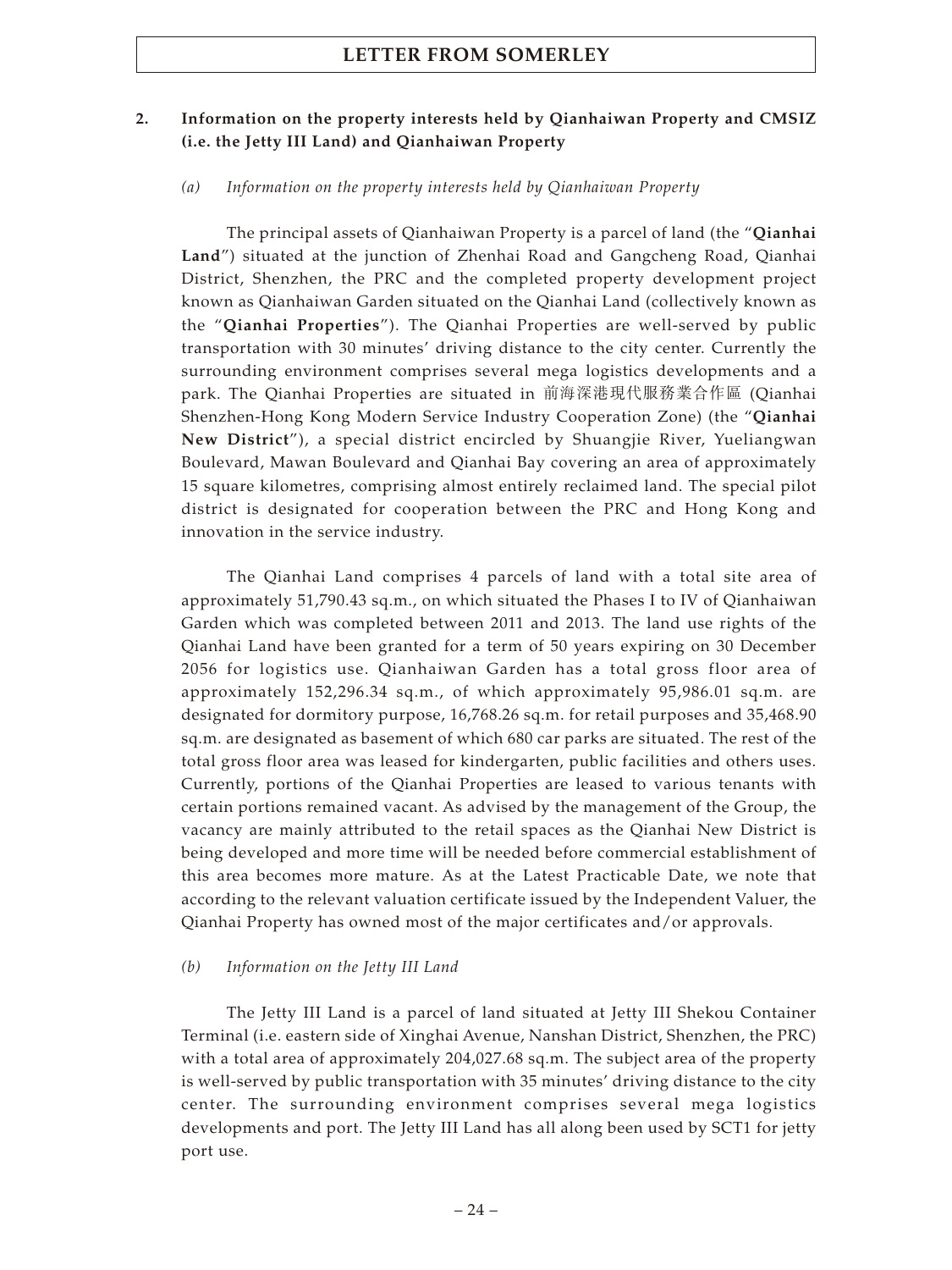## **2. Information on the property interests held by Qianhaiwan Property and CMSIZ (i.e. the Jetty III Land) and Qianhaiwan Property**

#### *(a) Information on the property interests held by Qianhaiwan Property*

The principal assets of Qianhaiwan Property is a parcel of land (the "**Qianhai Land**") situated at the junction of Zhenhai Road and Gangcheng Road, Qianhai District, Shenzhen, the PRC and the completed property development project known as Qianhaiwan Garden situated on the Qianhai Land (collectively known as the "**Qianhai Properties**"). The Qianhai Properties are well-served by public transportation with 30 minutes' driving distance to the city center. Currently the surrounding environment comprises several mega logistics developments and a park. The Qianhai Properties are situated in 前海深港現代服務業合作區 (Qianhai Shenzhen-Hong Kong Modern Service Industry Cooperation Zone) (the "**Qianhai New District**"), a special district encircled by Shuangjie River, Yueliangwan Boulevard, Mawan Boulevard and Qianhai Bay covering an area of approximately 15 square kilometres, comprising almost entirely reclaimed land. The special pilot district is designated for cooperation between the PRC and Hong Kong and innovation in the service industry.

The Qianhai Land comprises 4 parcels of land with a total site area of approximately 51,790.43 sq.m., on which situated the Phases I to IV of Qianhaiwan Garden which was completed between 2011 and 2013. The land use rights of the Qianhai Land have been granted for a term of 50 years expiring on 30 December 2056 for logistics use. Qianhaiwan Garden has a total gross floor area of approximately 152,296.34 sq.m., of which approximately 95,986.01 sq.m. are designated for dormitory purpose, 16,768.26 sq.m. for retail purposes and 35,468.90 sq.m. are designated as basement of which 680 car parks are situated. The rest of the total gross floor area was leased for kindergarten, public facilities and others uses. Currently, portions of the Qianhai Properties are leased to various tenants with certain portions remained vacant. As advised by the management of the Group, the vacancy are mainly attributed to the retail spaces as the Qianhai New District is being developed and more time will be needed before commercial establishment of this area becomes more mature. As at the Latest Practicable Date, we note that according to the relevant valuation certificate issued by the Independent Valuer, the Qianhai Property has owned most of the major certificates and/or approvals.

#### *(b) Information on the Jetty III Land*

The Jetty III Land is a parcel of land situated at Jetty III Shekou Container Terminal (i.e. eastern side of Xinghai Avenue, Nanshan District, Shenzhen, the PRC) with a total area of approximately 204,027.68 sq.m. The subject area of the property is well-served by public transportation with 35 minutes' driving distance to the city center. The surrounding environment comprises several mega logistics developments and port. The Jetty III Land has all along been used by SCT1 for jetty port use.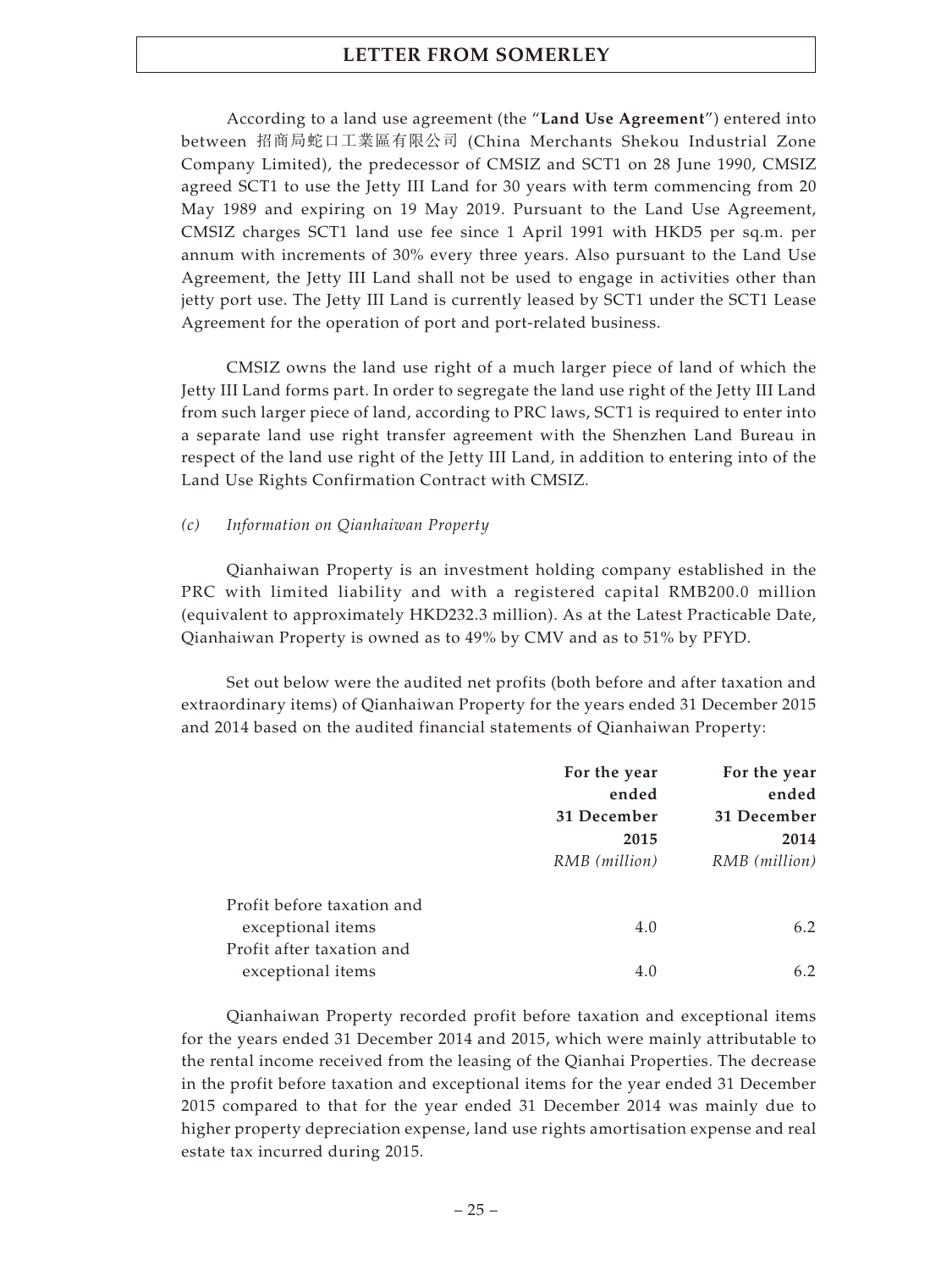According to a land use agreement (the "**Land Use Agreement**") entered into between 招商局蛇口工業區有限公司 (China Merchants Shekou Industrial Zone Company Limited), the predecessor of CMSIZ and SCT1 on 28 June 1990, CMSIZ agreed SCT1 to use the Jetty III Land for 30 years with term commencing from 20 May 1989 and expiring on 19 May 2019. Pursuant to the Land Use Agreement, CMSIZ charges SCT1 land use fee since 1 April 1991 with HKD5 per sq.m. per annum with increments of 30% every three years. Also pursuant to the Land Use Agreement, the Jetty III Land shall not be used to engage in activities other than jetty port use. The Jetty III Land is currently leased by SCT1 under the SCT1 Lease Agreement for the operation of port and port-related business.

CMSIZ owns the land use right of a much larger piece of land of which the Jetty III Land forms part. In order to segregate the land use right of the Jetty III Land from such larger piece of land, according to PRC laws, SCT1 is required to enter into a separate land use right transfer agreement with the Shenzhen Land Bureau in respect of the land use right of the Jetty III Land, in addition to entering into of the Land Use Rights Confirmation Contract with CMSIZ.

### *(c) Information on Qianhaiwan Property*

Qianhaiwan Property is an investment holding company established in the PRC with limited liability and with a registered capital RMB200.0 million (equivalent to approximately HKD232.3 million). As at the Latest Practicable Date, Qianhaiwan Property is owned as to 49% by CMV and as to 51% by PFYD.

Set out below were the audited net profits (both before and after taxation and extraordinary items) of Qianhaiwan Property for the years ended 31 December 2015 and 2014 based on the audited financial statements of Qianhaiwan Property:

|                            | For the year  | For the year  |
|----------------------------|---------------|---------------|
|                            | ended         | ended         |
|                            | 31 December   | 31 December   |
|                            | 2015          | 2014          |
|                            | RMB (million) | RMB (million) |
|                            |               |               |
| Profit before taxation and |               |               |
| exceptional items          | 4.0           | 6.2           |
| Profit after taxation and  |               |               |
| exceptional items          | 4.0           | 6.2           |

Qianhaiwan Property recorded profit before taxation and exceptional items for the years ended 31 December 2014 and 2015, which were mainly attributable to the rental income received from the leasing of the Qianhai Properties. The decrease in the profit before taxation and exceptional items for the year ended 31 December 2015 compared to that for the year ended 31 December 2014 was mainly due to higher property depreciation expense, land use rights amortisation expense and real estate tax incurred during 2015.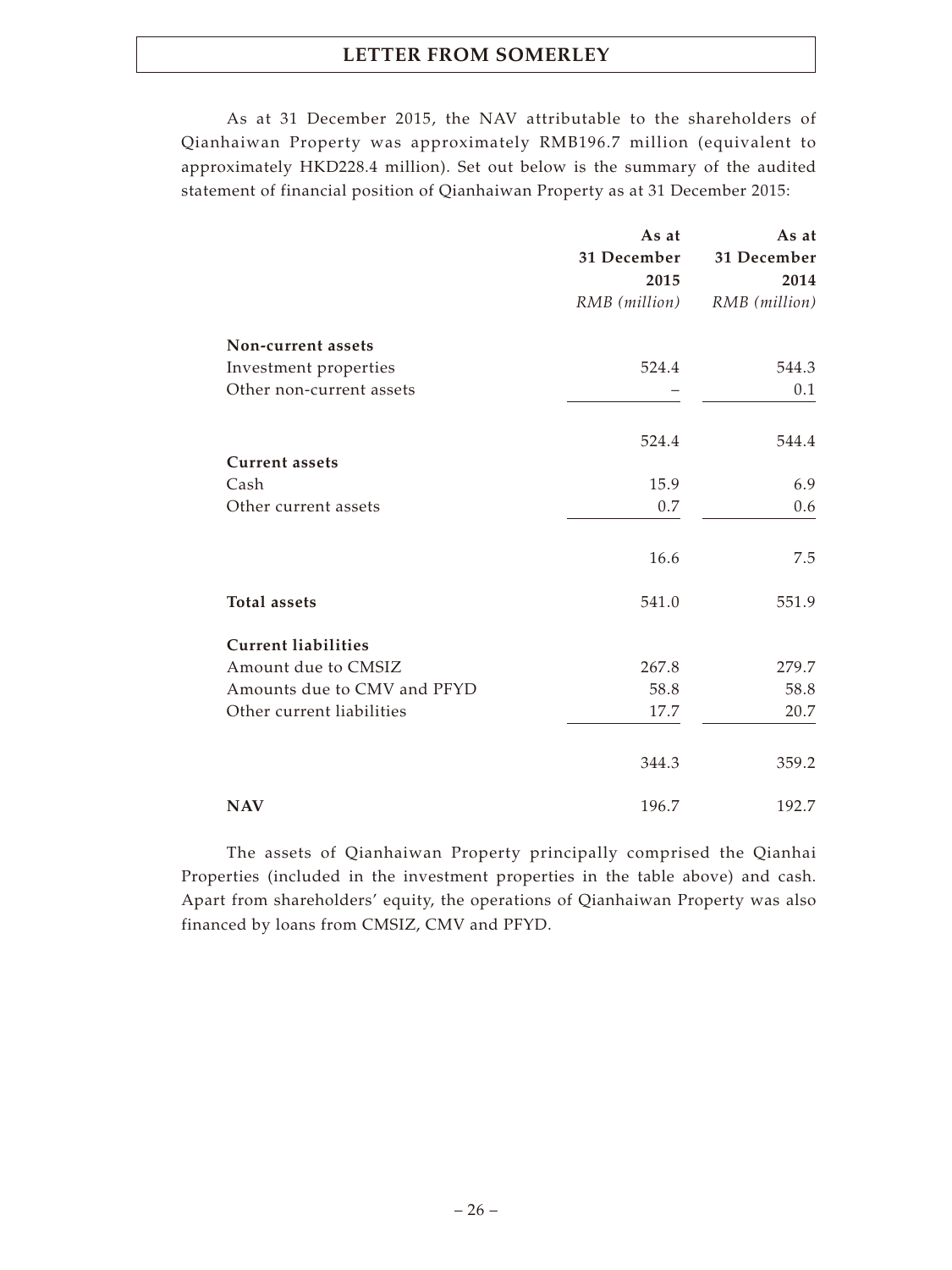As at 31 December 2015, the NAV attributable to the shareholders of Qianhaiwan Property was approximately RMB196.7 million (equivalent to approximately HKD228.4 million). Set out below is the summary of the audited statement of financial position of Qianhaiwan Property as at 31 December 2015:

|                             | As at         | As at         |
|-----------------------------|---------------|---------------|
|                             | 31 December   | 31 December   |
|                             | 2015          | 2014          |
|                             | RMB (million) | RMB (million) |
| Non-current assets          |               |               |
| Investment properties       | 524.4         | 544.3         |
| Other non-current assets    |               | 0.1           |
|                             | 524.4         | 544.4         |
| <b>Current assets</b>       |               |               |
| Cash                        | 15.9          | 6.9           |
| Other current assets        | 0.7           | 0.6           |
|                             |               |               |
|                             | 16.6          | 7.5           |
| <b>Total assets</b>         | 541.0         | 551.9         |
| <b>Current liabilities</b>  |               |               |
| Amount due to CMSIZ         | 267.8         | 279.7         |
| Amounts due to CMV and PFYD | 58.8          | 58.8          |
| Other current liabilities   | 17.7          | 20.7          |
|                             | 344.3         | 359.2         |
| <b>NAV</b>                  | 196.7         | 192.7         |

The assets of Qianhaiwan Property principally comprised the Qianhai Properties (included in the investment properties in the table above) and cash. Apart from shareholders' equity, the operations of Qianhaiwan Property was also financed by loans from CMSIZ, CMV and PFYD.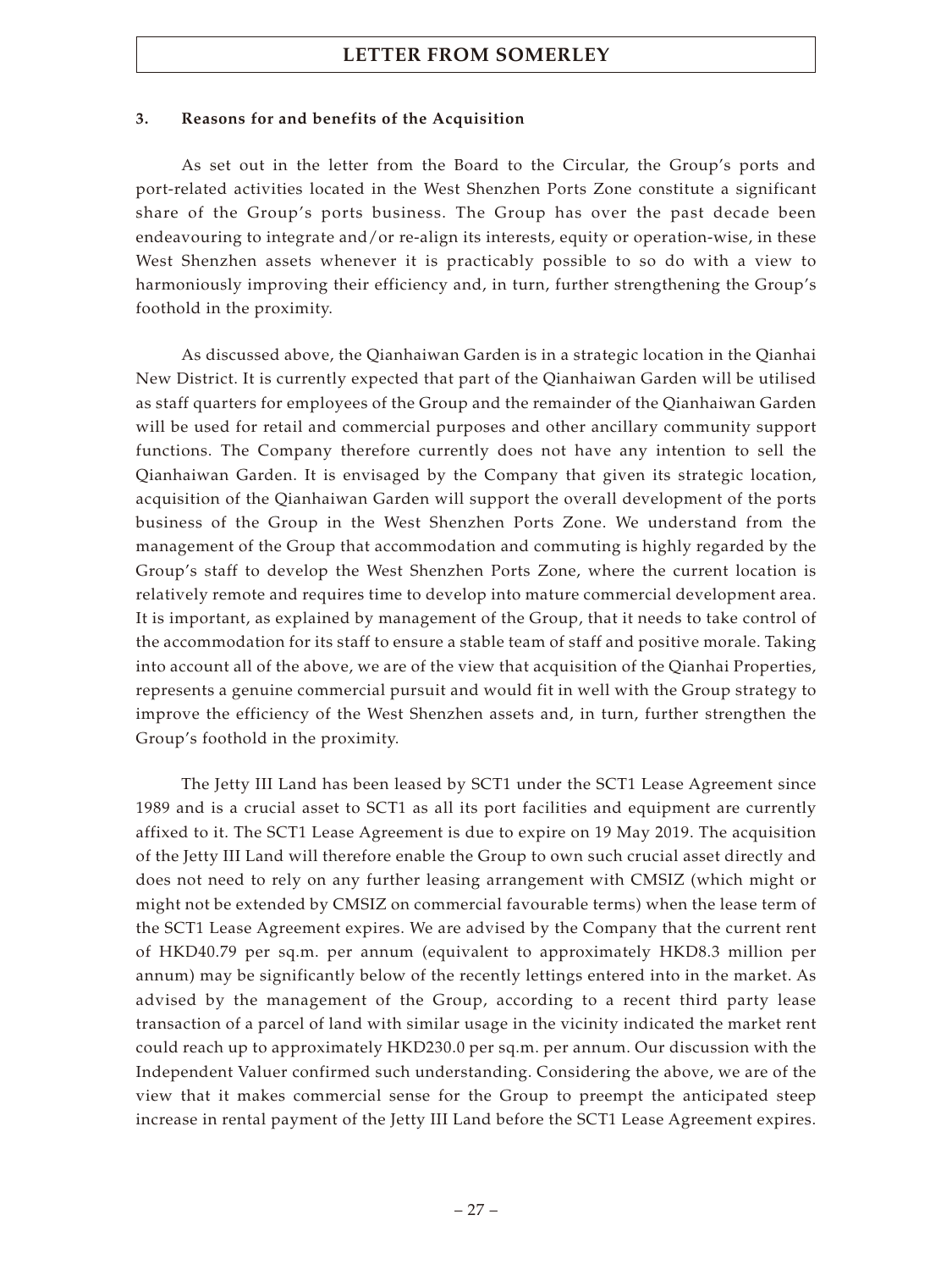#### **3. Reasons for and benefits of the Acquisition**

As set out in the letter from the Board to the Circular, the Group's ports and port-related activities located in the West Shenzhen Ports Zone constitute a significant share of the Group's ports business. The Group has over the past decade been endeavouring to integrate and/or re-align its interests, equity or operation-wise, in these West Shenzhen assets whenever it is practicably possible to so do with a view to harmoniously improving their efficiency and, in turn, further strengthening the Group's foothold in the proximity.

As discussed above, the Qianhaiwan Garden is in a strategic location in the Qianhai New District. It is currently expected that part of the Qianhaiwan Garden will be utilised as staff quarters for employees of the Group and the remainder of the Qianhaiwan Garden will be used for retail and commercial purposes and other ancillary community support functions. The Company therefore currently does not have any intention to sell the Qianhaiwan Garden. It is envisaged by the Company that given its strategic location, acquisition of the Qianhaiwan Garden will support the overall development of the ports business of the Group in the West Shenzhen Ports Zone. We understand from the management of the Group that accommodation and commuting is highly regarded by the Group's staff to develop the West Shenzhen Ports Zone, where the current location is relatively remote and requires time to develop into mature commercial development area. It is important, as explained by management of the Group, that it needs to take control of the accommodation for its staff to ensure a stable team of staff and positive morale. Taking into account all of the above, we are of the view that acquisition of the Qianhai Properties, represents a genuine commercial pursuit and would fit in well with the Group strategy to improve the efficiency of the West Shenzhen assets and, in turn, further strengthen the Group's foothold in the proximity.

The Jetty III Land has been leased by SCT1 under the SCT1 Lease Agreement since 1989 and is a crucial asset to SCT1 as all its port facilities and equipment are currently affixed to it. The SCT1 Lease Agreement is due to expire on 19 May 2019. The acquisition of the Jetty III Land will therefore enable the Group to own such crucial asset directly and does not need to rely on any further leasing arrangement with CMSIZ (which might or might not be extended by CMSIZ on commercial favourable terms) when the lease term of the SCT1 Lease Agreement expires. We are advised by the Company that the current rent of HKD40.79 per sq.m. per annum (equivalent to approximately HKD8.3 million per annum) may be significantly below of the recently lettings entered into in the market. As advised by the management of the Group, according to a recent third party lease transaction of a parcel of land with similar usage in the vicinity indicated the market rent could reach up to approximately HKD230.0 per sq.m. per annum. Our discussion with the Independent Valuer confirmed such understanding. Considering the above, we are of the view that it makes commercial sense for the Group to preempt the anticipated steep increase in rental payment of the Jetty III Land before the SCT1 Lease Agreement expires.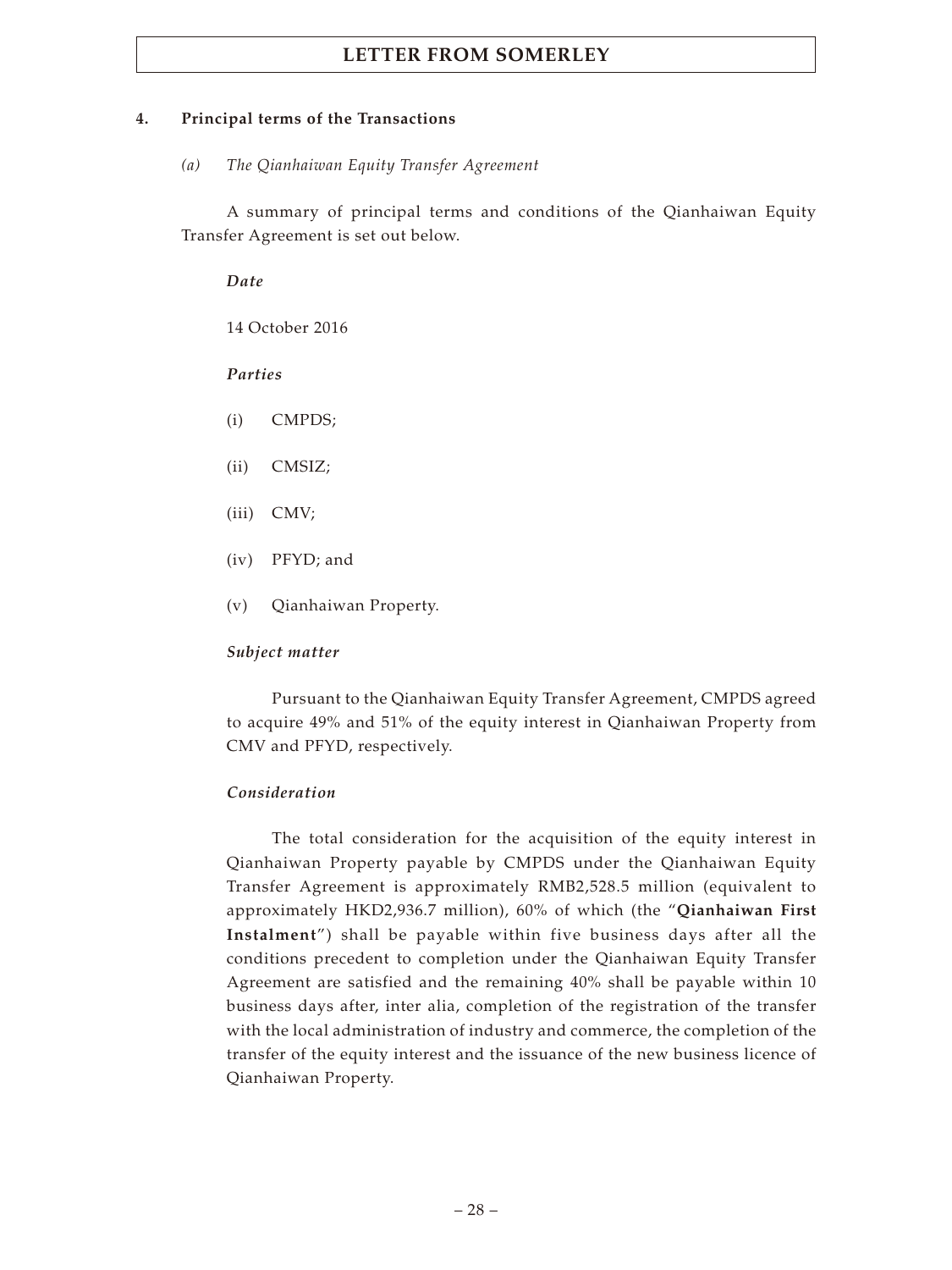## **4. Principal terms of the Transactions**

*(a) The Qianhaiwan Equity Transfer Agreement*

A summary of principal terms and conditions of the Qianhaiwan Equity Transfer Agreement is set out below.

*Date*

14 October 2016

*Parties*

- (i) CMPDS;
- (ii) CMSIZ;
- (iii) CMV;
- (iv) PFYD; and
- (v) Qianhaiwan Property.

## *Subject matter*

Pursuant to the Qianhaiwan Equity Transfer Agreement, CMPDS agreed to acquire 49% and 51% of the equity interest in Qianhaiwan Property from CMV and PFYD, respectively.

## *Consideration*

The total consideration for the acquisition of the equity interest in Qianhaiwan Property payable by CMPDS under the Qianhaiwan Equity Transfer Agreement is approximately RMB2,528.5 million (equivalent to approximately HKD2,936.7 million), 60% of which (the "**Qianhaiwan First Instalment**") shall be payable within five business days after all the conditions precedent to completion under the Qianhaiwan Equity Transfer Agreement are satisfied and the remaining 40% shall be payable within 10 business days after, inter alia, completion of the registration of the transfer with the local administration of industry and commerce, the completion of the transfer of the equity interest and the issuance of the new business licence of Qianhaiwan Property.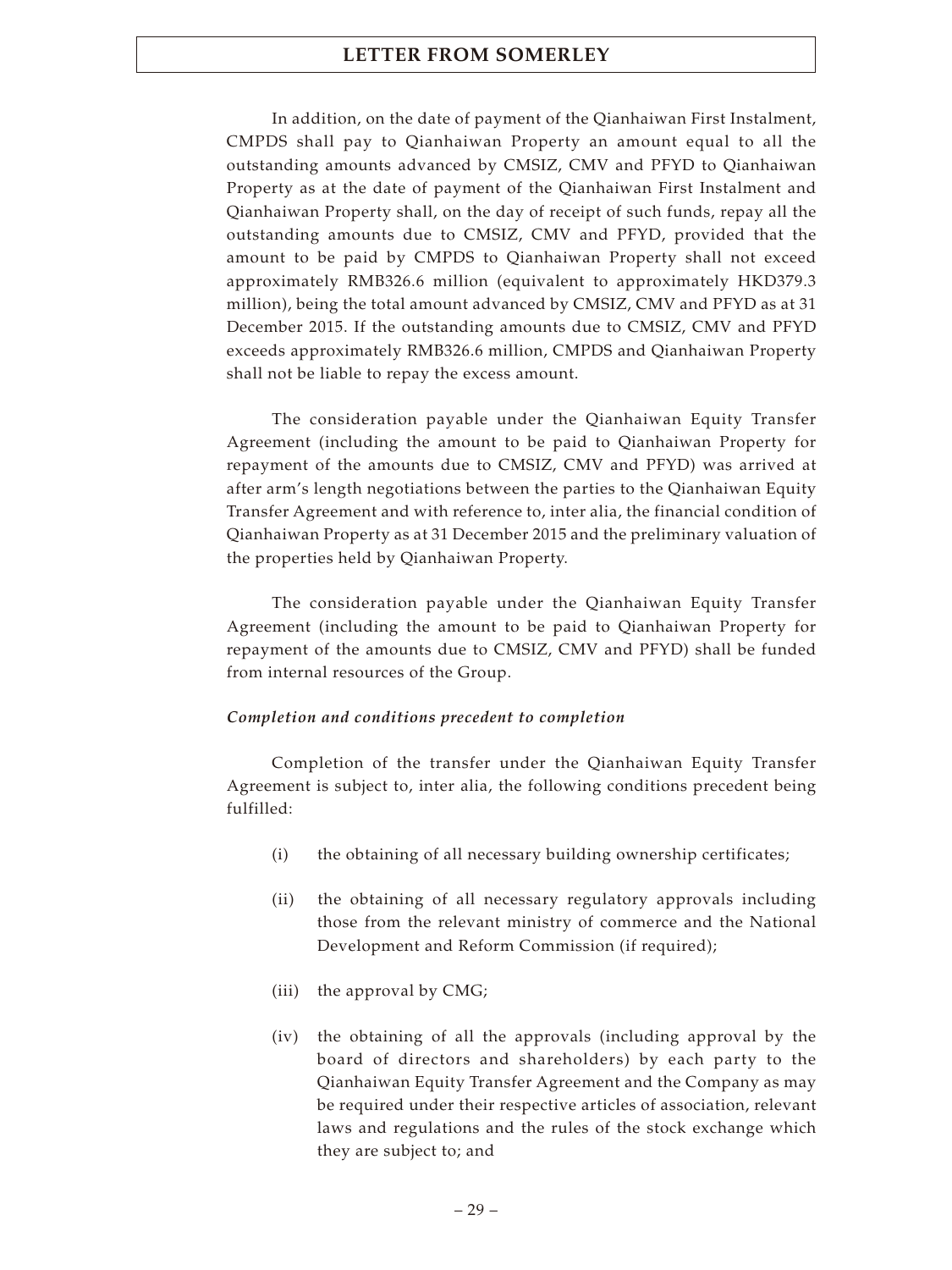In addition, on the date of payment of the Qianhaiwan First Instalment, CMPDS shall pay to Qianhaiwan Property an amount equal to all the outstanding amounts advanced by CMSIZ, CMV and PFYD to Qianhaiwan Property as at the date of payment of the Qianhaiwan First Instalment and Qianhaiwan Property shall, on the day of receipt of such funds, repay all the outstanding amounts due to CMSIZ, CMV and PFYD, provided that the amount to be paid by CMPDS to Qianhaiwan Property shall not exceed approximately RMB326.6 million (equivalent to approximately HKD379.3 million), being the total amount advanced by CMSIZ, CMV and PFYD as at 31 December 2015. If the outstanding amounts due to CMSIZ, CMV and PFYD exceeds approximately RMB326.6 million, CMPDS and Qianhaiwan Property shall not be liable to repay the excess amount.

The consideration payable under the Qianhaiwan Equity Transfer Agreement (including the amount to be paid to Qianhaiwan Property for repayment of the amounts due to CMSIZ, CMV and PFYD) was arrived at after arm's length negotiations between the parties to the Qianhaiwan Equity Transfer Agreement and with reference to, inter alia, the financial condition of Qianhaiwan Property as at 31 December 2015 and the preliminary valuation of the properties held by Qianhaiwan Property.

The consideration payable under the Qianhaiwan Equity Transfer Agreement (including the amount to be paid to Qianhaiwan Property for repayment of the amounts due to CMSIZ, CMV and PFYD) shall be funded from internal resources of the Group.

## *Completion and conditions precedent to completion*

Completion of the transfer under the Qianhaiwan Equity Transfer Agreement is subject to, inter alia, the following conditions precedent being fulfilled:

- (i) the obtaining of all necessary building ownership certificates;
- (ii) the obtaining of all necessary regulatory approvals including those from the relevant ministry of commerce and the National Development and Reform Commission (if required);
- (iii) the approval by CMG;
- (iv) the obtaining of all the approvals (including approval by the board of directors and shareholders) by each party to the Qianhaiwan Equity Transfer Agreement and the Company as may be required under their respective articles of association, relevant laws and regulations and the rules of the stock exchange which they are subject to; and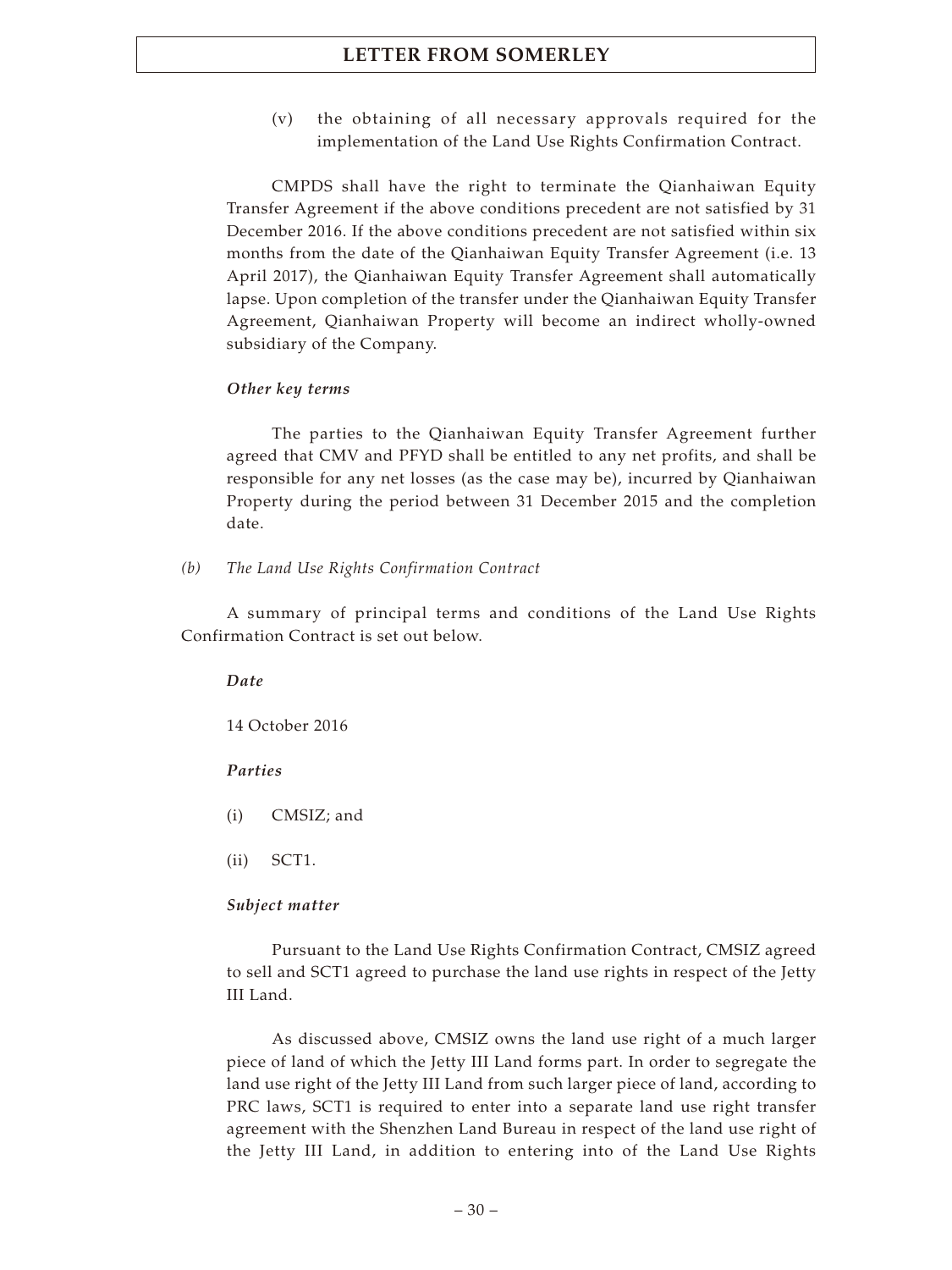(v) the obtaining of all necessary approvals required for the implementation of the Land Use Rights Confirmation Contract.

CMPDS shall have the right to terminate the Qianhaiwan Equity Transfer Agreement if the above conditions precedent are not satisfied by 31 December 2016. If the above conditions precedent are not satisfied within six months from the date of the Qianhaiwan Equity Transfer Agreement (i.e. 13 April 2017), the Qianhaiwan Equity Transfer Agreement shall automatically lapse. Upon completion of the transfer under the Qianhaiwan Equity Transfer Agreement, Qianhaiwan Property will become an indirect wholly-owned subsidiary of the Company.

## *Other key terms*

The parties to the Qianhaiwan Equity Transfer Agreement further agreed that CMV and PFYD shall be entitled to any net profits, and shall be responsible for any net losses (as the case may be), incurred by Qianhaiwan Property during the period between 31 December 2015 and the completion date.

*(b) The Land Use Rights Confirmation Contract*

A summary of principal terms and conditions of the Land Use Rights Confirmation Contract is set out below.

*Date*

14 October 2016

#### *Parties*

- (i) CMSIZ; and
- (ii) SCT1.

#### *Subject matter*

Pursuant to the Land Use Rights Confirmation Contract, CMSIZ agreed to sell and SCT1 agreed to purchase the land use rights in respect of the Jetty III Land.

As discussed above, CMSIZ owns the land use right of a much larger piece of land of which the Jetty III Land forms part. In order to segregate the land use right of the Jetty III Land from such larger piece of land, according to PRC laws, SCT1 is required to enter into a separate land use right transfer agreement with the Shenzhen Land Bureau in respect of the land use right of the Jetty III Land, in addition to entering into of the Land Use Rights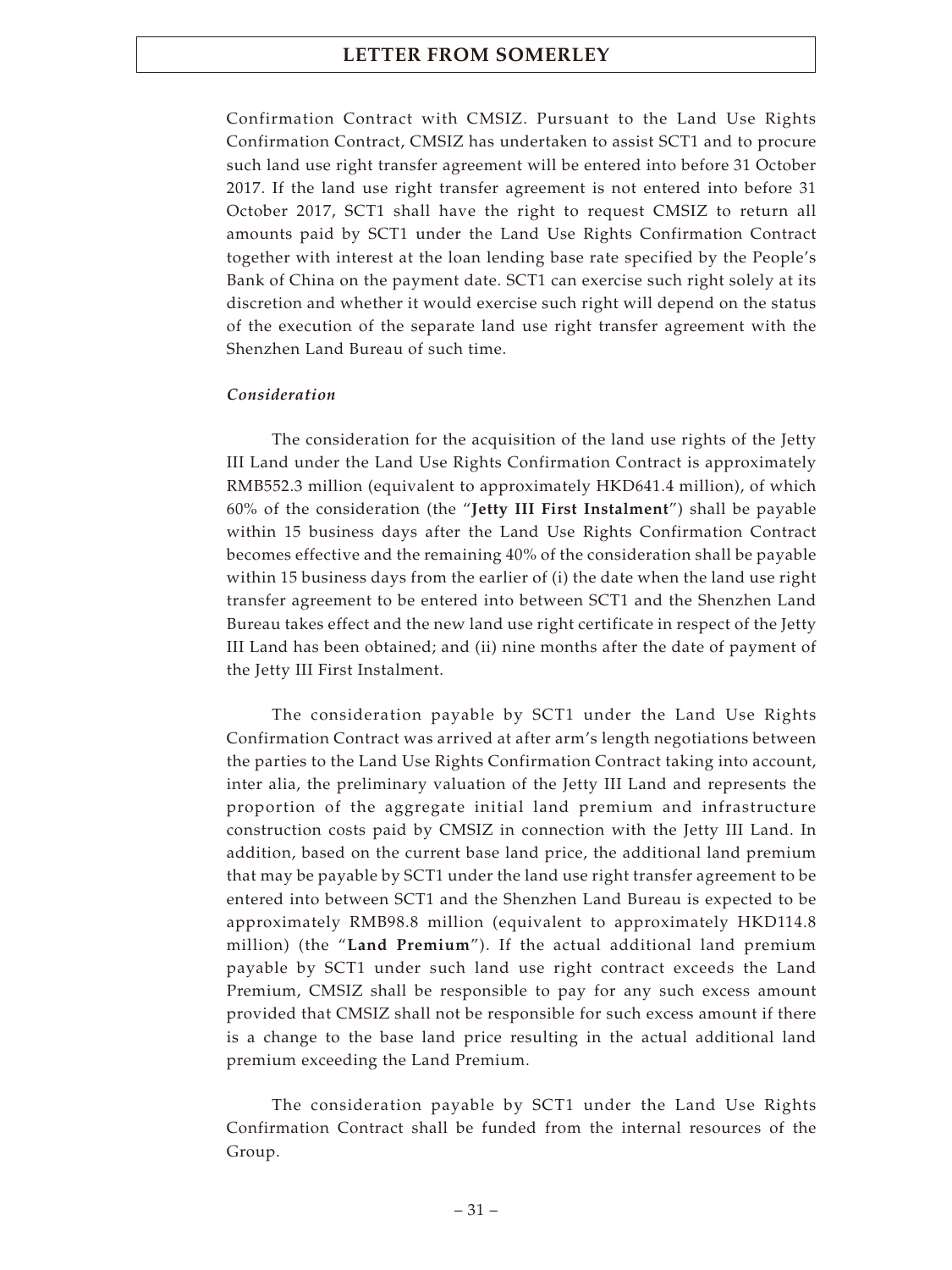Confirmation Contract with CMSIZ. Pursuant to the Land Use Rights Confirmation Contract, CMSIZ has undertaken to assist SCT1 and to procure such land use right transfer agreement will be entered into before 31 October 2017. If the land use right transfer agreement is not entered into before 31 October 2017, SCT1 shall have the right to request CMSIZ to return all amounts paid by SCT1 under the Land Use Rights Confirmation Contract together with interest at the loan lending base rate specified by the People's Bank of China on the payment date. SCT1 can exercise such right solely at its discretion and whether it would exercise such right will depend on the status of the execution of the separate land use right transfer agreement with the Shenzhen Land Bureau of such time.

## *Consideration*

The consideration for the acquisition of the land use rights of the Jetty III Land under the Land Use Rights Confirmation Contract is approximately RMB552.3 million (equivalent to approximately HKD641.4 million), of which 60% of the consideration (the "**Jetty III First Instalment**") shall be payable within 15 business days after the Land Use Rights Confirmation Contract becomes effective and the remaining 40% of the consideration shall be payable within 15 business days from the earlier of (i) the date when the land use right transfer agreement to be entered into between SCT1 and the Shenzhen Land Bureau takes effect and the new land use right certificate in respect of the Jetty III Land has been obtained; and (ii) nine months after the date of payment of the Jetty III First Instalment.

The consideration payable by SCT1 under the Land Use Rights Confirmation Contract was arrived at after arm's length negotiations between the parties to the Land Use Rights Confirmation Contract taking into account, inter alia, the preliminary valuation of the Jetty III Land and represents the proportion of the aggregate initial land premium and infrastructure construction costs paid by CMSIZ in connection with the Jetty III Land. In addition, based on the current base land price, the additional land premium that may be payable by SCT1 under the land use right transfer agreement to be entered into between SCT1 and the Shenzhen Land Bureau is expected to be approximately RMB98.8 million (equivalent to approximately HKD114.8 million) (the "**Land Premium**"). If the actual additional land premium payable by SCT1 under such land use right contract exceeds the Land Premium, CMSIZ shall be responsible to pay for any such excess amount provided that CMSIZ shall not be responsible for such excess amount if there is a change to the base land price resulting in the actual additional land premium exceeding the Land Premium.

The consideration payable by SCT1 under the Land Use Rights Confirmation Contract shall be funded from the internal resources of the Group.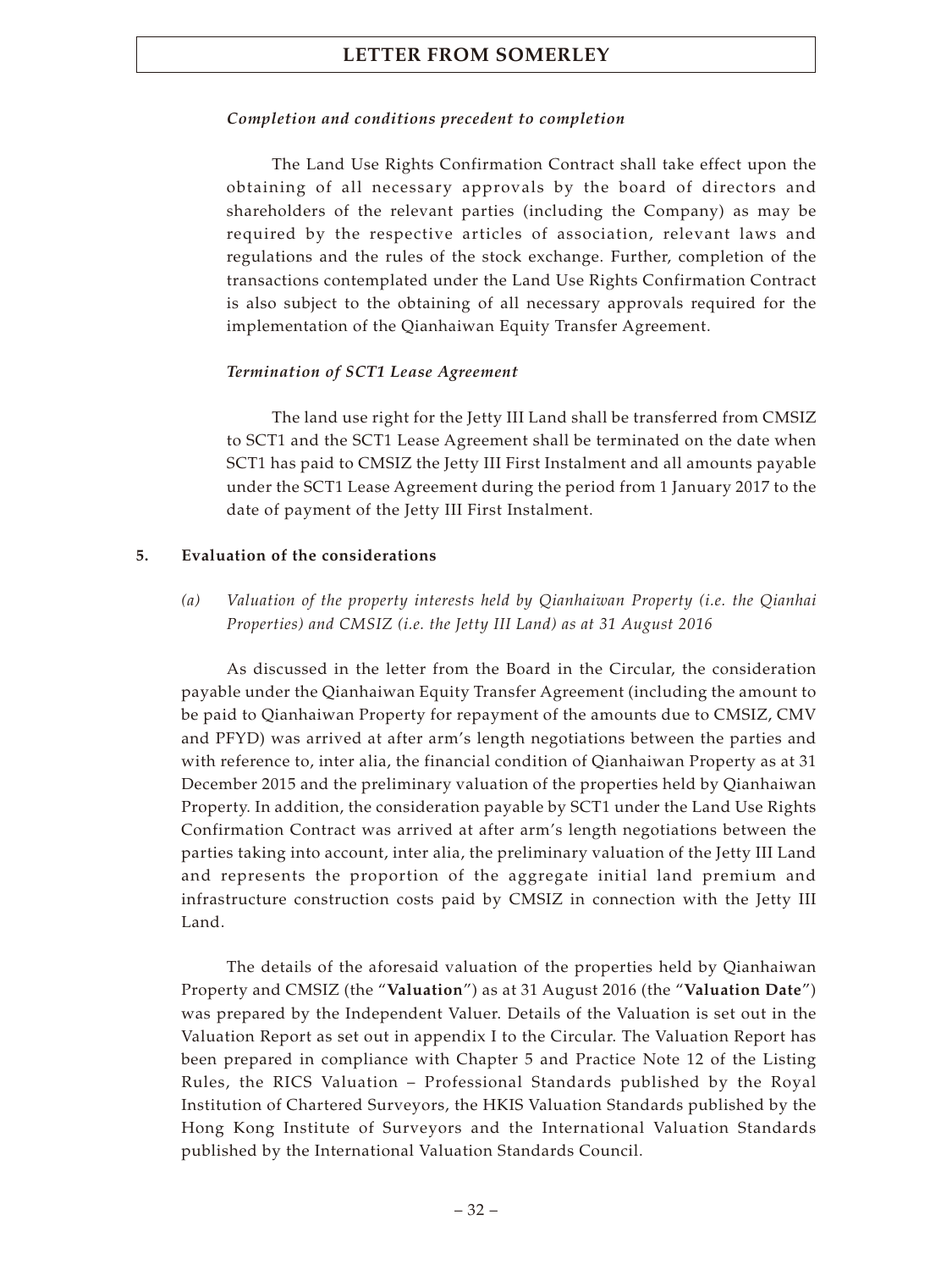## *Completion and conditions precedent to completion*

The Land Use Rights Confirmation Contract shall take effect upon the obtaining of all necessary approvals by the board of directors and shareholders of the relevant parties (including the Company) as may be required by the respective articles of association, relevant laws and regulations and the rules of the stock exchange. Further, completion of the transactions contemplated under the Land Use Rights Confirmation Contract is also subject to the obtaining of all necessary approvals required for the implementation of the Qianhaiwan Equity Transfer Agreement.

### *Termination of SCT1 Lease Agreement*

The land use right for the Jetty III Land shall be transferred from CMSIZ to SCT1 and the SCT1 Lease Agreement shall be terminated on the date when SCT1 has paid to CMSIZ the Jetty III First Instalment and all amounts payable under the SCT1 Lease Agreement during the period from 1 January 2017 to the date of payment of the Jetty III First Instalment.

### **5. Evaluation of the considerations**

*(a) Valuation of the property interests held by Qianhaiwan Property (i.e. the Qianhai Properties) and CMSIZ (i.e. the Jetty III Land) as at 31 August 2016*

As discussed in the letter from the Board in the Circular, the consideration payable under the Qianhaiwan Equity Transfer Agreement (including the amount to be paid to Qianhaiwan Property for repayment of the amounts due to CMSIZ, CMV and PFYD) was arrived at after arm's length negotiations between the parties and with reference to, inter alia, the financial condition of Qianhaiwan Property as at 31 December 2015 and the preliminary valuation of the properties held by Qianhaiwan Property. In addition, the consideration payable by SCT1 under the Land Use Rights Confirmation Contract was arrived at after arm's length negotiations between the parties taking into account, inter alia, the preliminary valuation of the Jetty III Land and represents the proportion of the aggregate initial land premium and infrastructure construction costs paid by CMSIZ in connection with the Jetty III Land.

The details of the aforesaid valuation of the properties held by Qianhaiwan Property and CMSIZ (the "**Valuation**") as at 31 August 2016 (the "**Valuation Date**") was prepared by the Independent Valuer. Details of the Valuation is set out in the Valuation Report as set out in appendix I to the Circular. The Valuation Report has been prepared in compliance with Chapter 5 and Practice Note 12 of the Listing Rules, the RICS Valuation – Professional Standards published by the Royal Institution of Chartered Surveyors, the HKIS Valuation Standards published by the Hong Kong Institute of Surveyors and the International Valuation Standards published by the International Valuation Standards Council.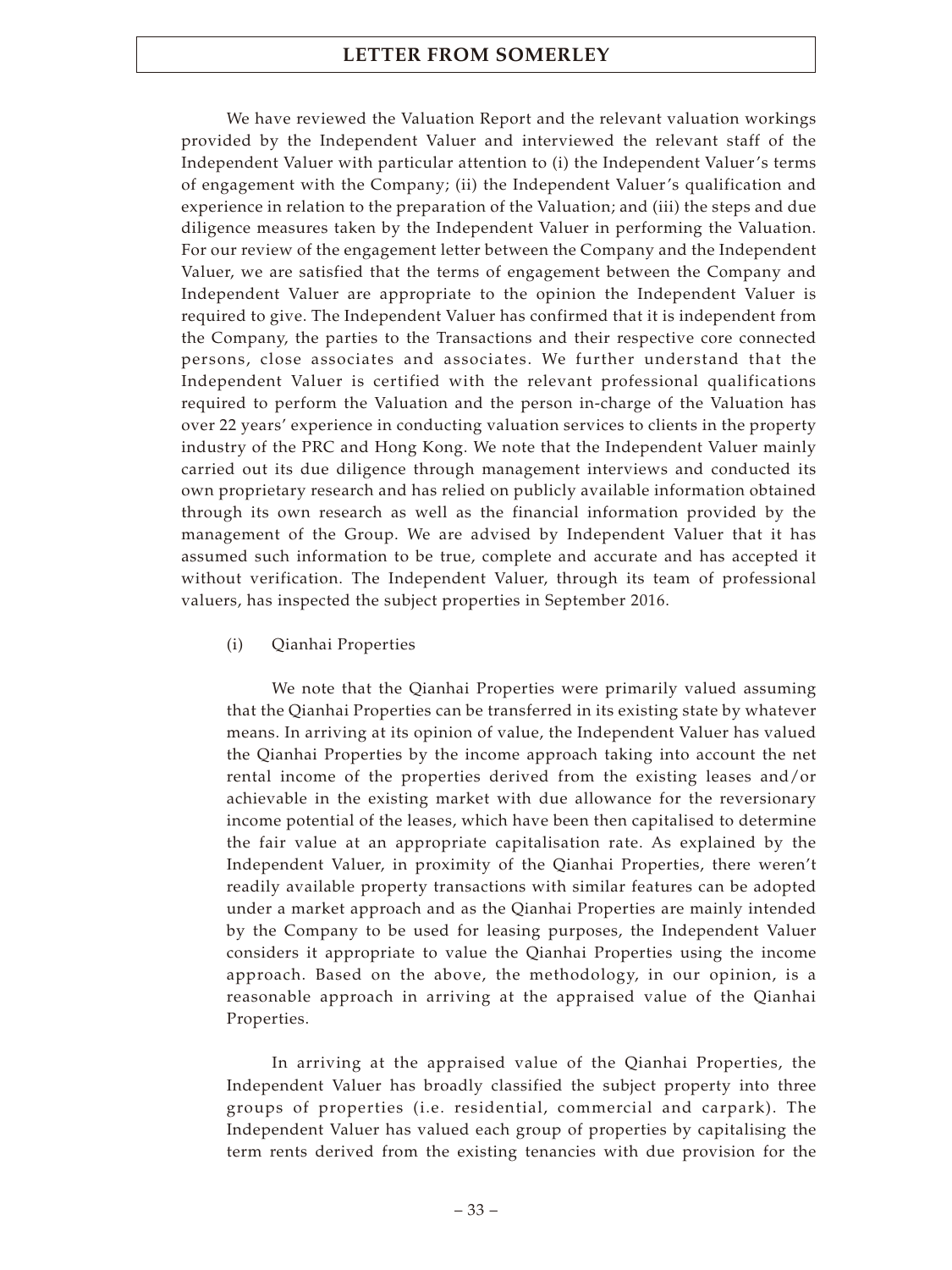We have reviewed the Valuation Report and the relevant valuation workings provided by the Independent Valuer and interviewed the relevant staff of the Independent Valuer with particular attention to (i) the Independent Valuer's terms of engagement with the Company; (ii) the Independent Valuer's qualification and experience in relation to the preparation of the Valuation; and (iii) the steps and due diligence measures taken by the Independent Valuer in performing the Valuation. For our review of the engagement letter between the Company and the Independent Valuer, we are satisfied that the terms of engagement between the Company and Independent Valuer are appropriate to the opinion the Independent Valuer is required to give. The Independent Valuer has confirmed that it is independent from the Company, the parties to the Transactions and their respective core connected persons, close associates and associates. We further understand that the Independent Valuer is certified with the relevant professional qualifications required to perform the Valuation and the person in-charge of the Valuation has over 22 years' experience in conducting valuation services to clients in the property industry of the PRC and Hong Kong. We note that the Independent Valuer mainly carried out its due diligence through management interviews and conducted its own proprietary research and has relied on publicly available information obtained through its own research as well as the financial information provided by the management of the Group. We are advised by Independent Valuer that it has assumed such information to be true, complete and accurate and has accepted it without verification. The Independent Valuer, through its team of professional valuers, has inspected the subject properties in September 2016.

(i) Qianhai Properties

We note that the Qianhai Properties were primarily valued assuming that the Qianhai Properties can be transferred in its existing state by whatever means. In arriving at its opinion of value, the Independent Valuer has valued the Qianhai Properties by the income approach taking into account the net rental income of the properties derived from the existing leases and/or achievable in the existing market with due allowance for the reversionary income potential of the leases, which have been then capitalised to determine the fair value at an appropriate capitalisation rate. As explained by the Independent Valuer, in proximity of the Qianhai Properties, there weren't readily available property transactions with similar features can be adopted under a market approach and as the Qianhai Properties are mainly intended by the Company to be used for leasing purposes, the Independent Valuer considers it appropriate to value the Qianhai Properties using the income approach. Based on the above, the methodology, in our opinion, is a reasonable approach in arriving at the appraised value of the Qianhai Properties.

In arriving at the appraised value of the Qianhai Properties, the Independent Valuer has broadly classified the subject property into three groups of properties (i.e. residential, commercial and carpark). The Independent Valuer has valued each group of properties by capitalising the term rents derived from the existing tenancies with due provision for the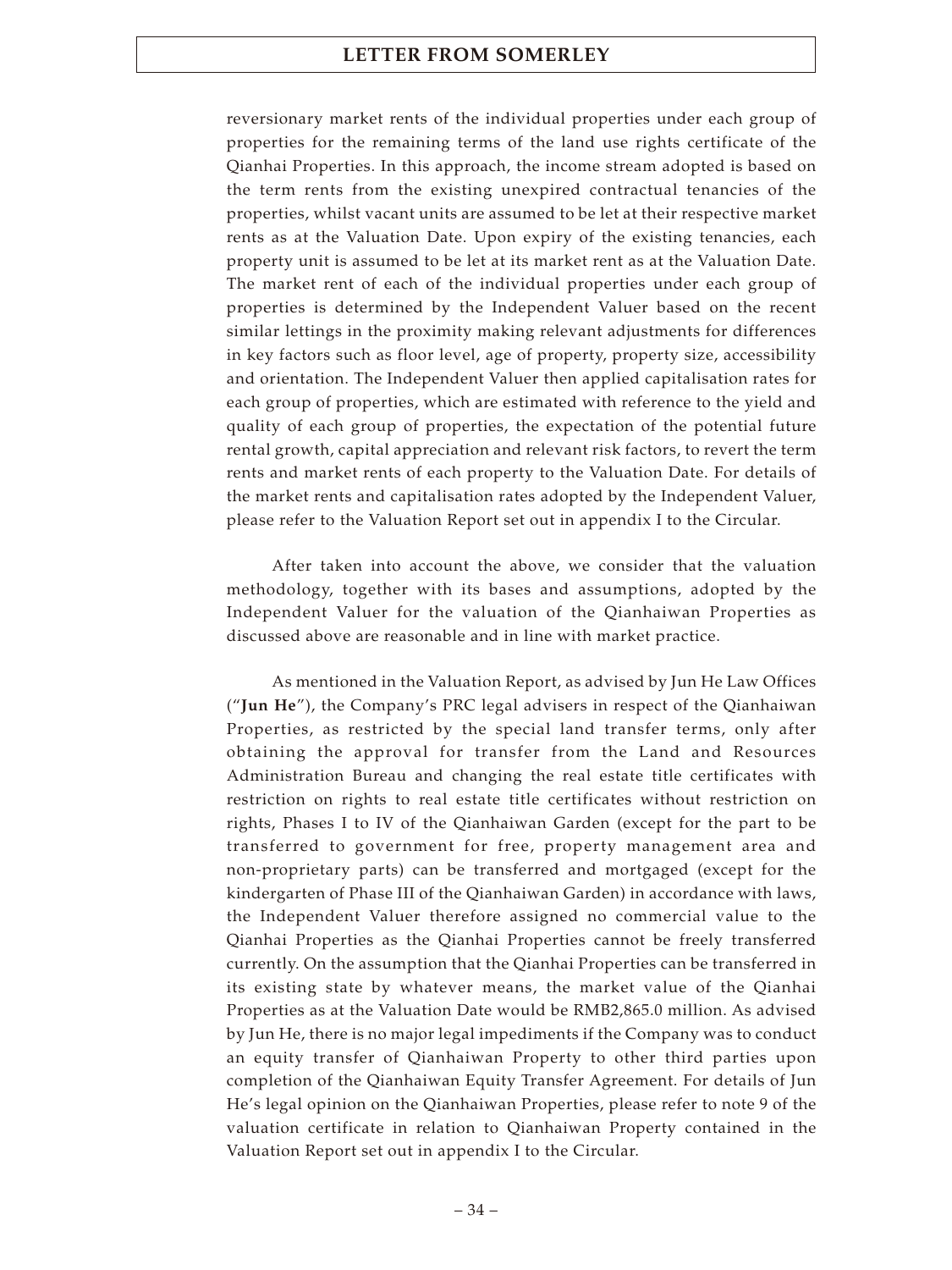reversionary market rents of the individual properties under each group of properties for the remaining terms of the land use rights certificate of the Qianhai Properties. In this approach, the income stream adopted is based on the term rents from the existing unexpired contractual tenancies of the properties, whilst vacant units are assumed to be let at their respective market rents as at the Valuation Date. Upon expiry of the existing tenancies, each property unit is assumed to be let at its market rent as at the Valuation Date. The market rent of each of the individual properties under each group of properties is determined by the Independent Valuer based on the recent similar lettings in the proximity making relevant adjustments for differences in key factors such as floor level, age of property, property size, accessibility and orientation. The Independent Valuer then applied capitalisation rates for each group of properties, which are estimated with reference to the yield and quality of each group of properties, the expectation of the potential future rental growth, capital appreciation and relevant risk factors, to revert the term rents and market rents of each property to the Valuation Date. For details of the market rents and capitalisation rates adopted by the Independent Valuer, please refer to the Valuation Report set out in appendix I to the Circular.

After taken into account the above, we consider that the valuation methodology, together with its bases and assumptions, adopted by the Independent Valuer for the valuation of the Qianhaiwan Properties as discussed above are reasonable and in line with market practice.

As mentioned in the Valuation Report, as advised by Jun He Law Offices ("**Jun He**"), the Company's PRC legal advisers in respect of the Qianhaiwan Properties, as restricted by the special land transfer terms, only after obtaining the approval for transfer from the Land and Resources Administration Bureau and changing the real estate title certificates with restriction on rights to real estate title certificates without restriction on rights, Phases I to IV of the Qianhaiwan Garden (except for the part to be transferred to government for free, property management area and non-proprietary parts) can be transferred and mortgaged (except for the kindergarten of Phase III of the Qianhaiwan Garden) in accordance with laws, the Independent Valuer therefore assigned no commercial value to the Qianhai Properties as the Qianhai Properties cannot be freely transferred currently. On the assumption that the Qianhai Properties can be transferred in its existing state by whatever means, the market value of the Qianhai Properties as at the Valuation Date would be RMB2,865.0 million. As advised by Jun He, there is no major legal impediments if the Company was to conduct an equity transfer of Qianhaiwan Property to other third parties upon completion of the Qianhaiwan Equity Transfer Agreement. For details of Jun He's legal opinion on the Qianhaiwan Properties, please refer to note 9 of the valuation certificate in relation to Qianhaiwan Property contained in the Valuation Report set out in appendix I to the Circular.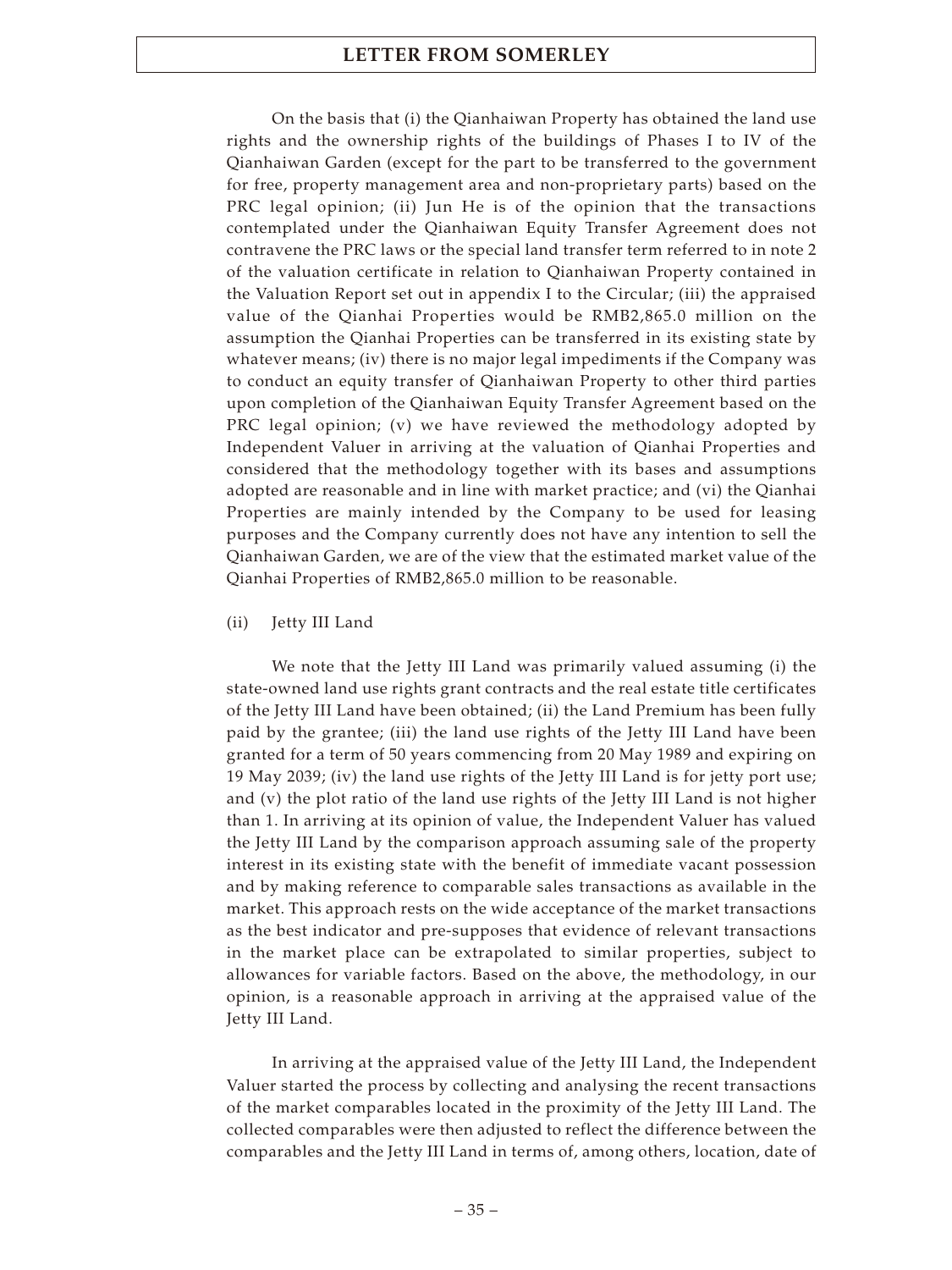On the basis that (i) the Qianhaiwan Property has obtained the land use rights and the ownership rights of the buildings of Phases I to IV of the Qianhaiwan Garden (except for the part to be transferred to the government for free, property management area and non-proprietary parts) based on the PRC legal opinion; (ii) Jun He is of the opinion that the transactions contemplated under the Qianhaiwan Equity Transfer Agreement does not contravene the PRC laws or the special land transfer term referred to in note 2 of the valuation certificate in relation to Qianhaiwan Property contained in the Valuation Report set out in appendix I to the Circular; (iii) the appraised value of the Qianhai Properties would be RMB2,865.0 million on the assumption the Qianhai Properties can be transferred in its existing state by whatever means; (iv) there is no major legal impediments if the Company was to conduct an equity transfer of Qianhaiwan Property to other third parties upon completion of the Qianhaiwan Equity Transfer Agreement based on the PRC legal opinion; (v) we have reviewed the methodology adopted by Independent Valuer in arriving at the valuation of Qianhai Properties and considered that the methodology together with its bases and assumptions adopted are reasonable and in line with market practice; and (vi) the Qianhai Properties are mainly intended by the Company to be used for leasing purposes and the Company currently does not have any intention to sell the Qianhaiwan Garden, we are of the view that the estimated market value of the Qianhai Properties of RMB2,865.0 million to be reasonable.

## (ii) Jetty III Land

We note that the Jetty III Land was primarily valued assuming (i) the state-owned land use rights grant contracts and the real estate title certificates of the Jetty III Land have been obtained; (ii) the Land Premium has been fully paid by the grantee; (iii) the land use rights of the Jetty III Land have been granted for a term of 50 years commencing from 20 May 1989 and expiring on 19 May 2039; (iv) the land use rights of the Jetty III Land is for jetty port use; and (v) the plot ratio of the land use rights of the Jetty III Land is not higher than 1. In arriving at its opinion of value, the Independent Valuer has valued the Jetty III Land by the comparison approach assuming sale of the property interest in its existing state with the benefit of immediate vacant possession and by making reference to comparable sales transactions as available in the market. This approach rests on the wide acceptance of the market transactions as the best indicator and pre-supposes that evidence of relevant transactions in the market place can be extrapolated to similar properties, subject to allowances for variable factors. Based on the above, the methodology, in our opinion, is a reasonable approach in arriving at the appraised value of the Jetty III Land.

In arriving at the appraised value of the Jetty III Land, the Independent Valuer started the process by collecting and analysing the recent transactions of the market comparables located in the proximity of the Jetty III Land. The collected comparables were then adjusted to reflect the difference between the comparables and the Jetty III Land in terms of, among others, location, date of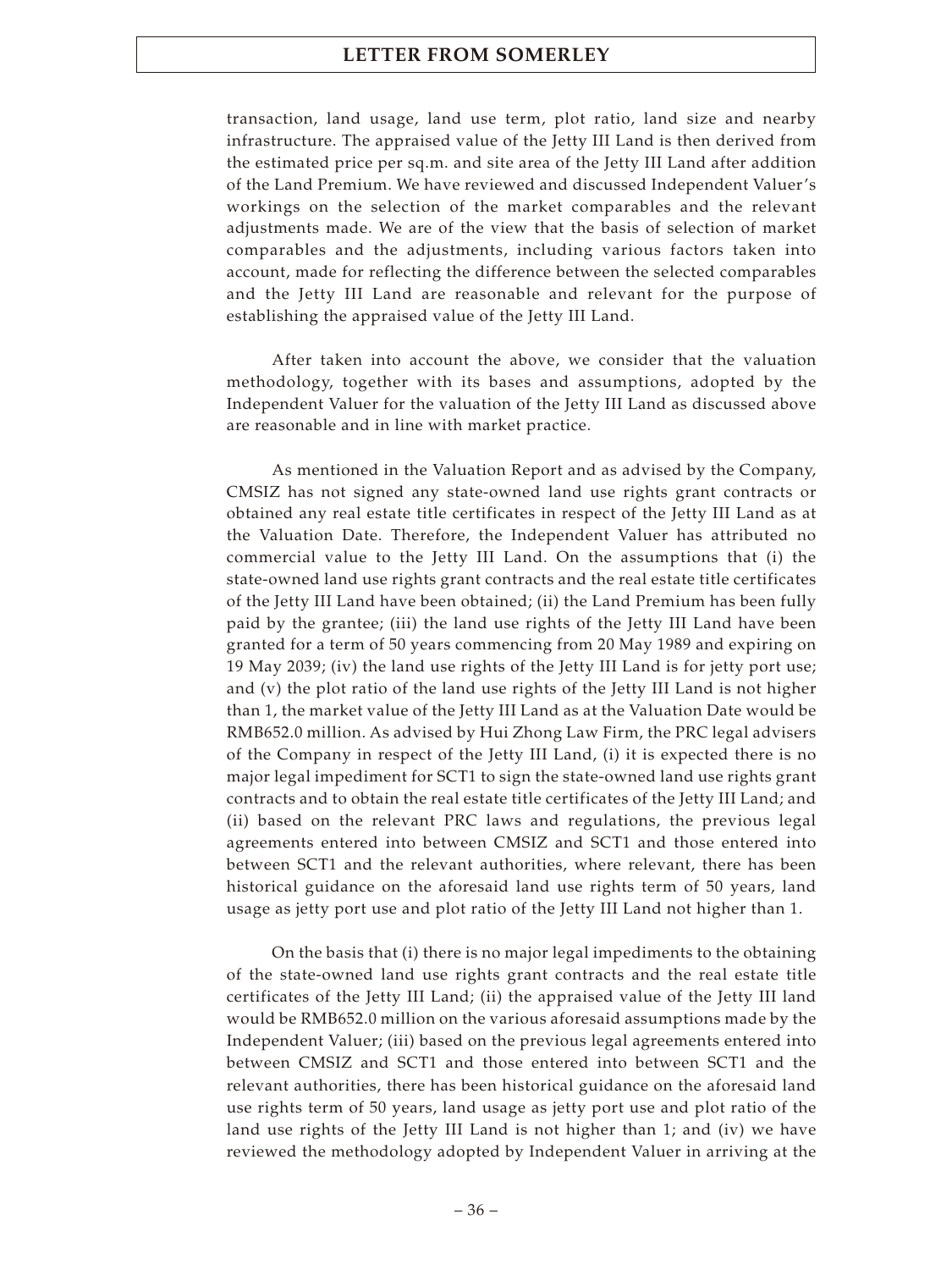transaction, land usage, land use term, plot ratio, land size and nearby infrastructure. The appraised value of the Jetty III Land is then derived from the estimated price per sq.m. and site area of the Jetty III Land after addition of the Land Premium. We have reviewed and discussed Independent Valuer's workings on the selection of the market comparables and the relevant adjustments made. We are of the view that the basis of selection of market comparables and the adjustments, including various factors taken into account, made for reflecting the difference between the selected comparables and the Jetty III Land are reasonable and relevant for the purpose of establishing the appraised value of the Jetty III Land.

After taken into account the above, we consider that the valuation methodology, together with its bases and assumptions, adopted by the Independent Valuer for the valuation of the Jetty III Land as discussed above are reasonable and in line with market practice.

As mentioned in the Valuation Report and as advised by the Company, CMSIZ has not signed any state-owned land use rights grant contracts or obtained any real estate title certificates in respect of the Jetty III Land as at the Valuation Date. Therefore, the Independent Valuer has attributed no commercial value to the Jetty III Land. On the assumptions that (i) the state-owned land use rights grant contracts and the real estate title certificates of the Jetty III Land have been obtained; (ii) the Land Premium has been fully paid by the grantee; (iii) the land use rights of the Jetty III Land have been granted for a term of 50 years commencing from 20 May 1989 and expiring on 19 May 2039; (iv) the land use rights of the Jetty III Land is for jetty port use; and (v) the plot ratio of the land use rights of the Jetty III Land is not higher than 1, the market value of the Jetty III Land as at the Valuation Date would be RMB652.0 million. As advised by Hui Zhong Law Firm, the PRC legal advisers of the Company in respect of the Jetty III Land, (i) it is expected there is no major legal impediment for SCT1 to sign the state-owned land use rights grant contracts and to obtain the real estate title certificates of the Jetty III Land; and (ii) based on the relevant PRC laws and regulations, the previous legal agreements entered into between CMSIZ and SCT1 and those entered into between SCT1 and the relevant authorities, where relevant, there has been historical guidance on the aforesaid land use rights term of 50 years, land usage as jetty port use and plot ratio of the Jetty III Land not higher than 1.

On the basis that (i) there is no major legal impediments to the obtaining of the state-owned land use rights grant contracts and the real estate title certificates of the Jetty III Land; (ii) the appraised value of the Jetty III land would be RMB652.0 million on the various aforesaid assumptions made by the Independent Valuer; (iii) based on the previous legal agreements entered into between CMSIZ and SCT1 and those entered into between SCT1 and the relevant authorities, there has been historical guidance on the aforesaid land use rights term of 50 years, land usage as jetty port use and plot ratio of the land use rights of the Jetty III Land is not higher than 1; and (iv) we have reviewed the methodology adopted by Independent Valuer in arriving at the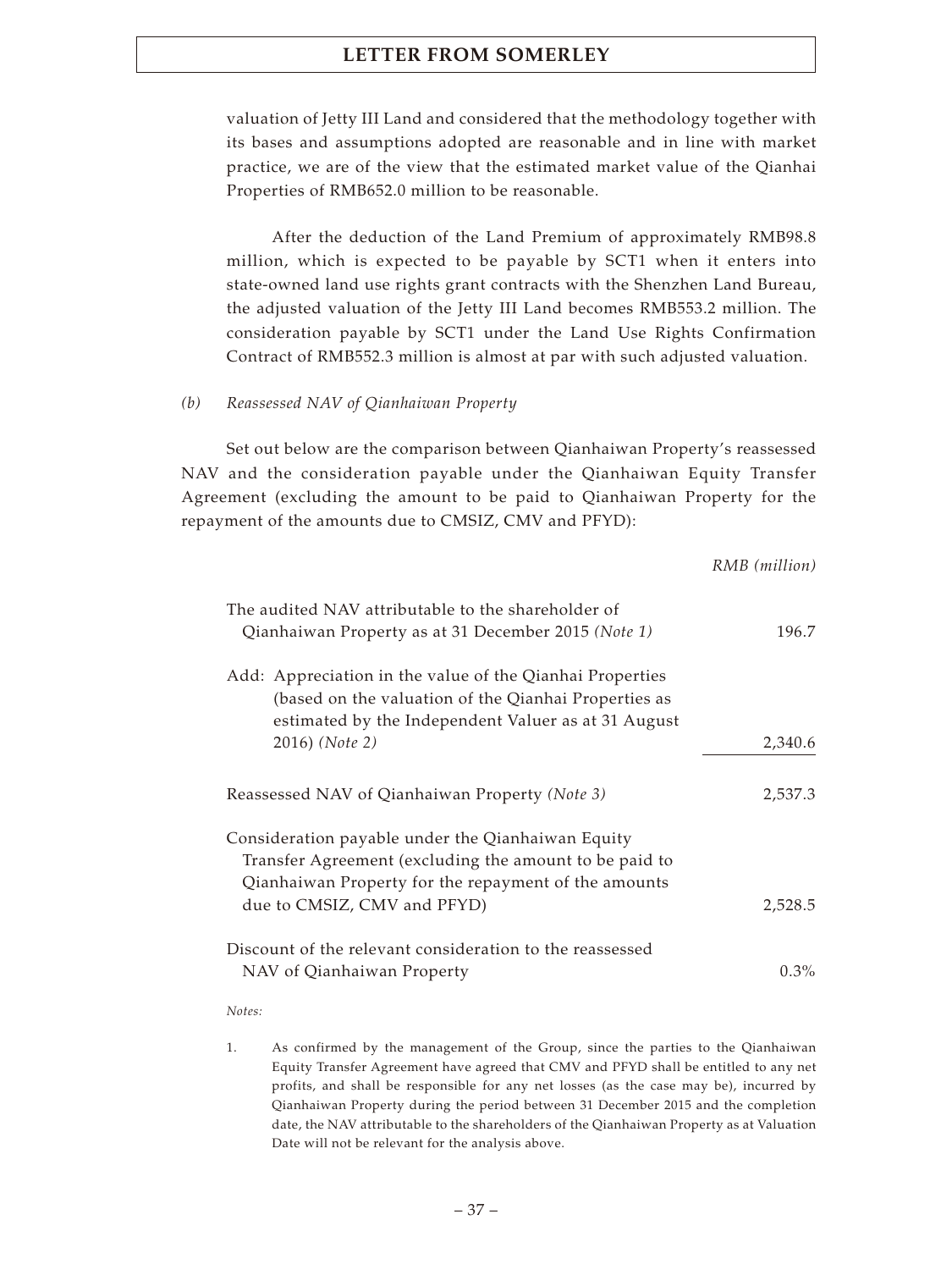valuation of Jetty III Land and considered that the methodology together with its bases and assumptions adopted are reasonable and in line with market practice, we are of the view that the estimated market value of the Qianhai Properties of RMB652.0 million to be reasonable.

After the deduction of the Land Premium of approximately RMB98.8 million, which is expected to be payable by SCT1 when it enters into state-owned land use rights grant contracts with the Shenzhen Land Bureau, the adjusted valuation of the Jetty III Land becomes RMB553.2 million. The consideration payable by SCT1 under the Land Use Rights Confirmation Contract of RMB552.3 million is almost at par with such adjusted valuation.

## *(b) Reassessed NAV of Qianhaiwan Property*

Set out below are the comparison between Qianhaiwan Property's reassessed NAV and the consideration payable under the Qianhaiwan Equity Transfer Agreement (excluding the amount to be paid to Qianhaiwan Property for the repayment of the amounts due to CMSIZ, CMV and PFYD):

*RMB (million)*

|                                                                                                                                                                         | KNIB (MUUON) |
|-------------------------------------------------------------------------------------------------------------------------------------------------------------------------|--------------|
| The audited NAV attributable to the shareholder of<br>Qianhaiwan Property as at 31 December 2015 (Note 1)                                                               | 196.7        |
| Add: Appreciation in the value of the Qianhai Properties<br>(based on the valuation of the Qianhai Properties as<br>estimated by the Independent Valuer as at 31 August |              |
| 2016) (Note 2)                                                                                                                                                          | 2,340.6      |
| Reassessed NAV of Qianhaiwan Property (Note 3)                                                                                                                          | 2,537.3      |
| Consideration payable under the Qianhaiwan Equity<br>Transfer Agreement (excluding the amount to be paid to                                                             |              |
| Qianhaiwan Property for the repayment of the amounts                                                                                                                    |              |
| due to CMSIZ, CMV and PFYD)                                                                                                                                             | 2,528.5      |
| Discount of the relevant consideration to the reassessed                                                                                                                |              |
| NAV of Qianhaiwan Property                                                                                                                                              | $0.3\%$      |

*Notes:*

1. As confirmed by the management of the Group, since the parties to the Qianhaiwan Equity Transfer Agreement have agreed that CMV and PFYD shall be entitled to any net profits, and shall be responsible for any net losses (as the case may be), incurred by Qianhaiwan Property during the period between 31 December 2015 and the completion date, the NAV attributable to the shareholders of the Qianhaiwan Property as at Valuation Date will not be relevant for the analysis above.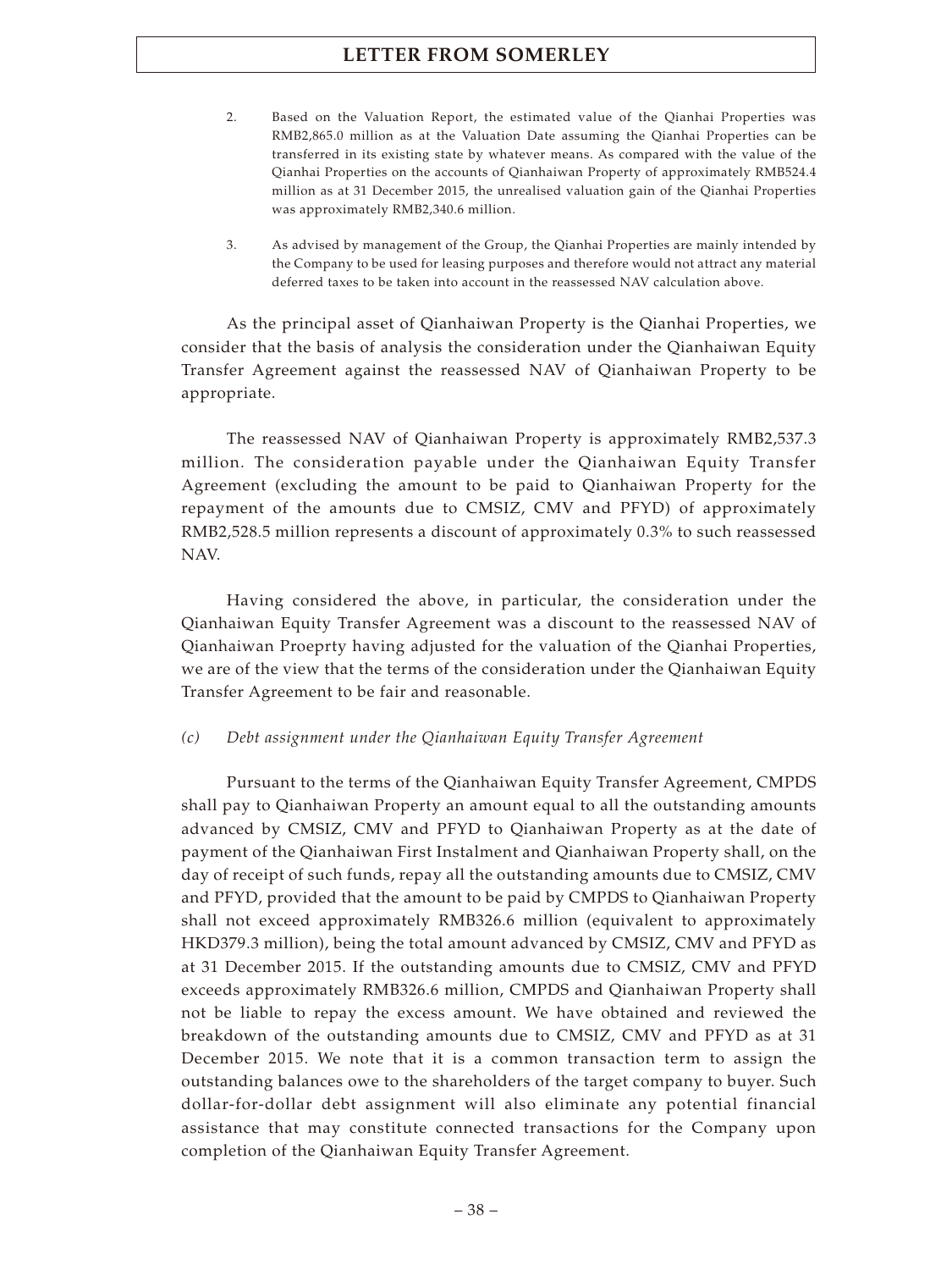- 2. Based on the Valuation Report, the estimated value of the Qianhai Properties was RMB2,865.0 million as at the Valuation Date assuming the Qianhai Properties can be transferred in its existing state by whatever means. As compared with the value of the Qianhai Properties on the accounts of Qianhaiwan Property of approximately RMB524.4 million as at 31 December 2015, the unrealised valuation gain of the Qianhai Properties was approximately RMB2,340.6 million.
- 3. As advised by management of the Group, the Qianhai Properties are mainly intended by the Company to be used for leasing purposes and therefore would not attract any material deferred taxes to be taken into account in the reassessed NAV calculation above.

As the principal asset of Qianhaiwan Property is the Qianhai Properties, we consider that the basis of analysis the consideration under the Qianhaiwan Equity Transfer Agreement against the reassessed NAV of Qianhaiwan Property to be appropriate.

The reassessed NAV of Qianhaiwan Property is approximately RMB2,537.3 million. The consideration payable under the Qianhaiwan Equity Transfer Agreement (excluding the amount to be paid to Qianhaiwan Property for the repayment of the amounts due to CMSIZ, CMV and PFYD) of approximately RMB2,528.5 million represents a discount of approximately 0.3% to such reassessed NAV.

Having considered the above, in particular, the consideration under the Qianhaiwan Equity Transfer Agreement was a discount to the reassessed NAV of Qianhaiwan Proeprty having adjusted for the valuation of the Qianhai Properties, we are of the view that the terms of the consideration under the Qianhaiwan Equity Transfer Agreement to be fair and reasonable.

#### *(c) Debt assignment under the Qianhaiwan Equity Transfer Agreement*

Pursuant to the terms of the Qianhaiwan Equity Transfer Agreement, CMPDS shall pay to Qianhaiwan Property an amount equal to all the outstanding amounts advanced by CMSIZ, CMV and PFYD to Qianhaiwan Property as at the date of payment of the Qianhaiwan First Instalment and Qianhaiwan Property shall, on the day of receipt of such funds, repay all the outstanding amounts due to CMSIZ, CMV and PFYD, provided that the amount to be paid by CMPDS to Qianhaiwan Property shall not exceed approximately RMB326.6 million (equivalent to approximately HKD379.3 million), being the total amount advanced by CMSIZ, CMV and PFYD as at 31 December 2015. If the outstanding amounts due to CMSIZ, CMV and PFYD exceeds approximately RMB326.6 million, CMPDS and Qianhaiwan Property shall not be liable to repay the excess amount. We have obtained and reviewed the breakdown of the outstanding amounts due to CMSIZ, CMV and PFYD as at 31 December 2015. We note that it is a common transaction term to assign the outstanding balances owe to the shareholders of the target company to buyer. Such dollar-for-dollar debt assignment will also eliminate any potential financial assistance that may constitute connected transactions for the Company upon completion of the Qianhaiwan Equity Transfer Agreement.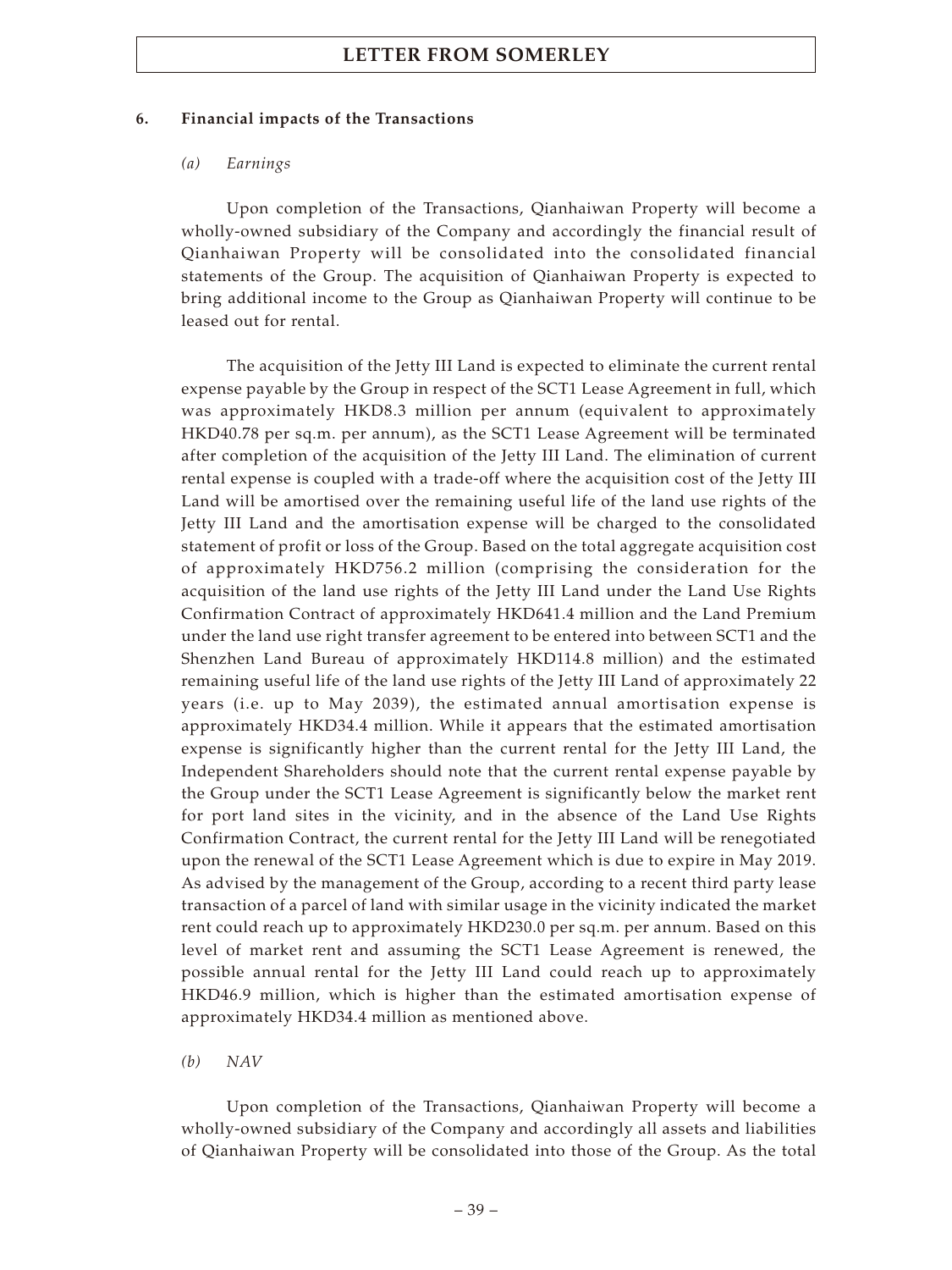#### **6. Financial impacts of the Transactions**

#### *(a) Earnings*

Upon completion of the Transactions, Qianhaiwan Property will become a wholly-owned subsidiary of the Company and accordingly the financial result of Qianhaiwan Property will be consolidated into the consolidated financial statements of the Group. The acquisition of Qianhaiwan Property is expected to bring additional income to the Group as Qianhaiwan Property will continue to be leased out for rental.

The acquisition of the Jetty III Land is expected to eliminate the current rental expense payable by the Group in respect of the SCT1 Lease Agreement in full, which was approximately HKD8.3 million per annum (equivalent to approximately HKD40.78 per sq.m. per annum), as the SCT1 Lease Agreement will be terminated after completion of the acquisition of the Jetty III Land. The elimination of current rental expense is coupled with a trade-off where the acquisition cost of the Jetty III Land will be amortised over the remaining useful life of the land use rights of the Jetty III Land and the amortisation expense will be charged to the consolidated statement of profit or loss of the Group. Based on the total aggregate acquisition cost of approximately HKD756.2 million (comprising the consideration for the acquisition of the land use rights of the Jetty III Land under the Land Use Rights Confirmation Contract of approximately HKD641.4 million and the Land Premium under the land use right transfer agreement to be entered into between SCT1 and the Shenzhen Land Bureau of approximately HKD114.8 million) and the estimated remaining useful life of the land use rights of the Jetty III Land of approximately 22 years (i.e. up to May 2039), the estimated annual amortisation expense is approximately HKD34.4 million. While it appears that the estimated amortisation expense is significantly higher than the current rental for the Jetty III Land, the Independent Shareholders should note that the current rental expense payable by the Group under the SCT1 Lease Agreement is significantly below the market rent for port land sites in the vicinity, and in the absence of the Land Use Rights Confirmation Contract, the current rental for the Jetty III Land will be renegotiated upon the renewal of the SCT1 Lease Agreement which is due to expire in May 2019. As advised by the management of the Group, according to a recent third party lease transaction of a parcel of land with similar usage in the vicinity indicated the market rent could reach up to approximately HKD230.0 per sq.m. per annum. Based on this level of market rent and assuming the SCT1 Lease Agreement is renewed, the possible annual rental for the Jetty III Land could reach up to approximately HKD46.9 million, which is higher than the estimated amortisation expense of approximately HKD34.4 million as mentioned above.

#### *(b) NAV*

Upon completion of the Transactions, Qianhaiwan Property will become a wholly-owned subsidiary of the Company and accordingly all assets and liabilities of Qianhaiwan Property will be consolidated into those of the Group. As the total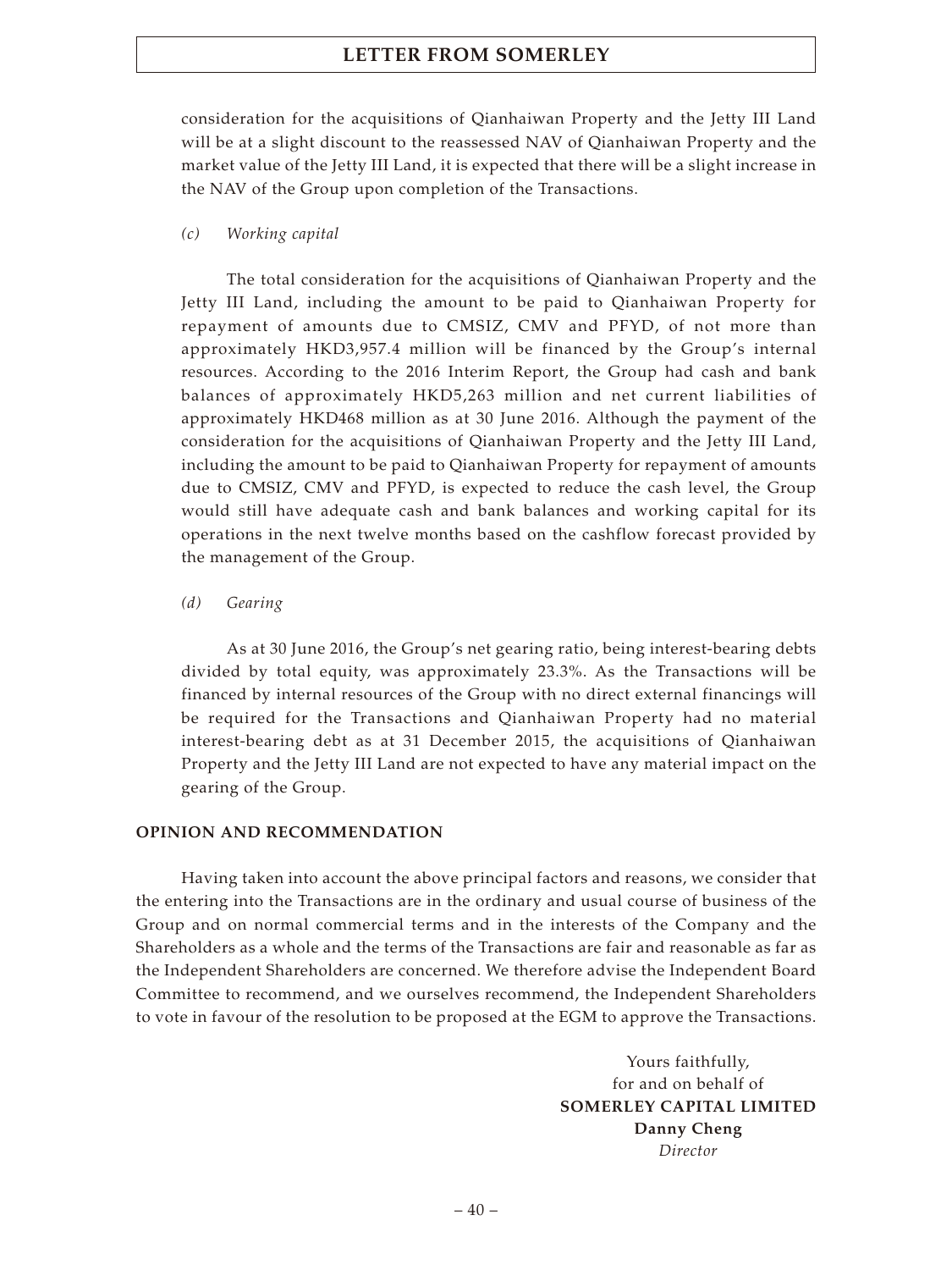consideration for the acquisitions of Qianhaiwan Property and the Jetty III Land will be at a slight discount to the reassessed NAV of Qianhaiwan Property and the market value of the Jetty III Land, it is expected that there will be a slight increase in the NAV of the Group upon completion of the Transactions.

## *(c) Working capital*

The total consideration for the acquisitions of Qianhaiwan Property and the Jetty III Land, including the amount to be paid to Qianhaiwan Property for repayment of amounts due to CMSIZ, CMV and PFYD, of not more than approximately HKD3,957.4 million will be financed by the Group's internal resources. According to the 2016 Interim Report, the Group had cash and bank balances of approximately HKD5,263 million and net current liabilities of approximately HKD468 million as at 30 June 2016. Although the payment of the consideration for the acquisitions of Qianhaiwan Property and the Jetty III Land, including the amount to be paid to Qianhaiwan Property for repayment of amounts due to CMSIZ, CMV and PFYD, is expected to reduce the cash level, the Group would still have adequate cash and bank balances and working capital for its operations in the next twelve months based on the cashflow forecast provided by the management of the Group.

### *(d) Gearing*

As at 30 June 2016, the Group's net gearing ratio, being interest-bearing debts divided by total equity, was approximately 23.3%. As the Transactions will be financed by internal resources of the Group with no direct external financings will be required for the Transactions and Qianhaiwan Property had no material interest-bearing debt as at 31 December 2015, the acquisitions of Qianhaiwan Property and the Jetty III Land are not expected to have any material impact on the gearing of the Group.

#### **OPINION AND RECOMMENDATION**

Having taken into account the above principal factors and reasons, we consider that the entering into the Transactions are in the ordinary and usual course of business of the Group and on normal commercial terms and in the interests of the Company and the Shareholders as a whole and the terms of the Transactions are fair and reasonable as far as the Independent Shareholders are concerned. We therefore advise the Independent Board Committee to recommend, and we ourselves recommend, the Independent Shareholders to vote in favour of the resolution to be proposed at the EGM to approve the Transactions.

> Yours faithfully, for and on behalf of **SOMERLEY CAPITAL LIMITED Danny Cheng** *Director*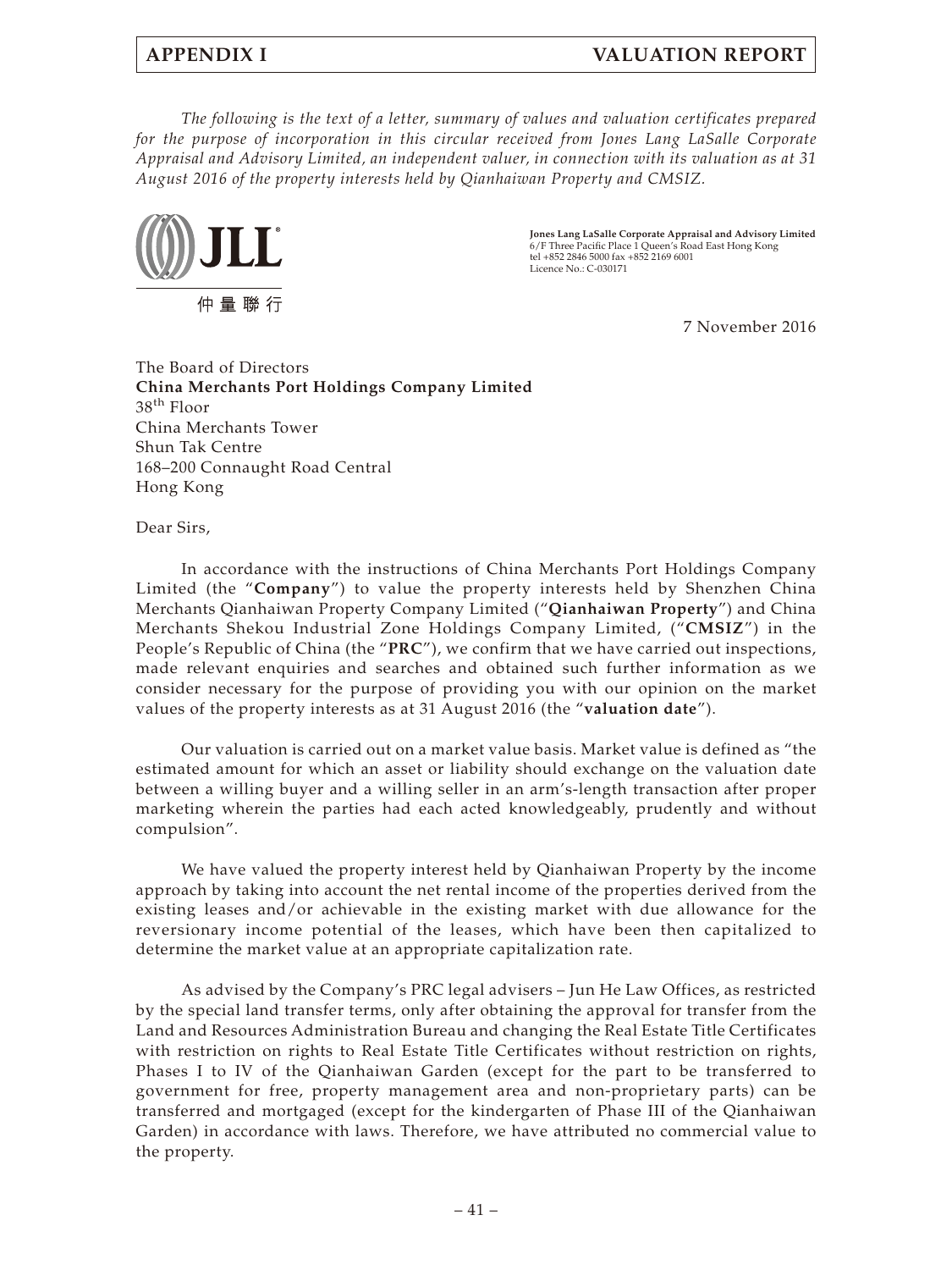## **APPENDIX I VALUATION REPORT**

*The following is the text of a letter, summary of values and valuation certificates prepared for the purpose of incorporation in this circular received from Jones Lang LaSalle Corporate Appraisal and Advisory Limited, an independent valuer, in connection with its valuation as at 31 August 2016 of the property interests held by Qianhaiwan Property and CMSIZ.*



**Jones Lang LaSalle Corporate Appraisal and Advisory Limited** 6/F Three Pacific Place 1 Queen's Road East Hong Kong tel +852 2846 5000 fax +852 2169 6001 Licence  $No \cdot C - 030171$ 

7 November 2016

The Board of Directors **China Merchants Port Holdings Company Limited** 38th Floor China Merchants Tower Shun Tak Centre 168–200 Connaught Road Central Hong Kong

Dear Sirs,

In accordance with the instructions of China Merchants Port Holdings Company Limited (the "**Company**") to value the property interests held by Shenzhen China Merchants Qianhaiwan Property Company Limited ("**Qianhaiwan Property**") and China Merchants Shekou Industrial Zone Holdings Company Limited, ("**CMSIZ**") in the People's Republic of China (the "**PRC**"), we confirm that we have carried out inspections, made relevant enquiries and searches and obtained such further information as we consider necessary for the purpose of providing you with our opinion on the market values of the property interests as at 31 August 2016 (the "**valuation date**").

Our valuation is carried out on a market value basis. Market value is defined as "the estimated amount for which an asset or liability should exchange on the valuation date between a willing buyer and a willing seller in an arm's-length transaction after proper marketing wherein the parties had each acted knowledgeably, prudently and without compulsion".

We have valued the property interest held by Qianhaiwan Property by the income approach by taking into account the net rental income of the properties derived from the existing leases and/or achievable in the existing market with due allowance for the reversionary income potential of the leases, which have been then capitalized to determine the market value at an appropriate capitalization rate.

As advised by the Company's PRC legal advisers – Jun He Law Offices, as restricted by the special land transfer terms, only after obtaining the approval for transfer from the Land and Resources Administration Bureau and changing the Real Estate Title Certificates with restriction on rights to Real Estate Title Certificates without restriction on rights, Phases I to IV of the Qianhaiwan Garden (except for the part to be transferred to government for free, property management area and non-proprietary parts) can be transferred and mortgaged (except for the kindergarten of Phase III of the Qianhaiwan Garden) in accordance with laws. Therefore, we have attributed no commercial value to the property.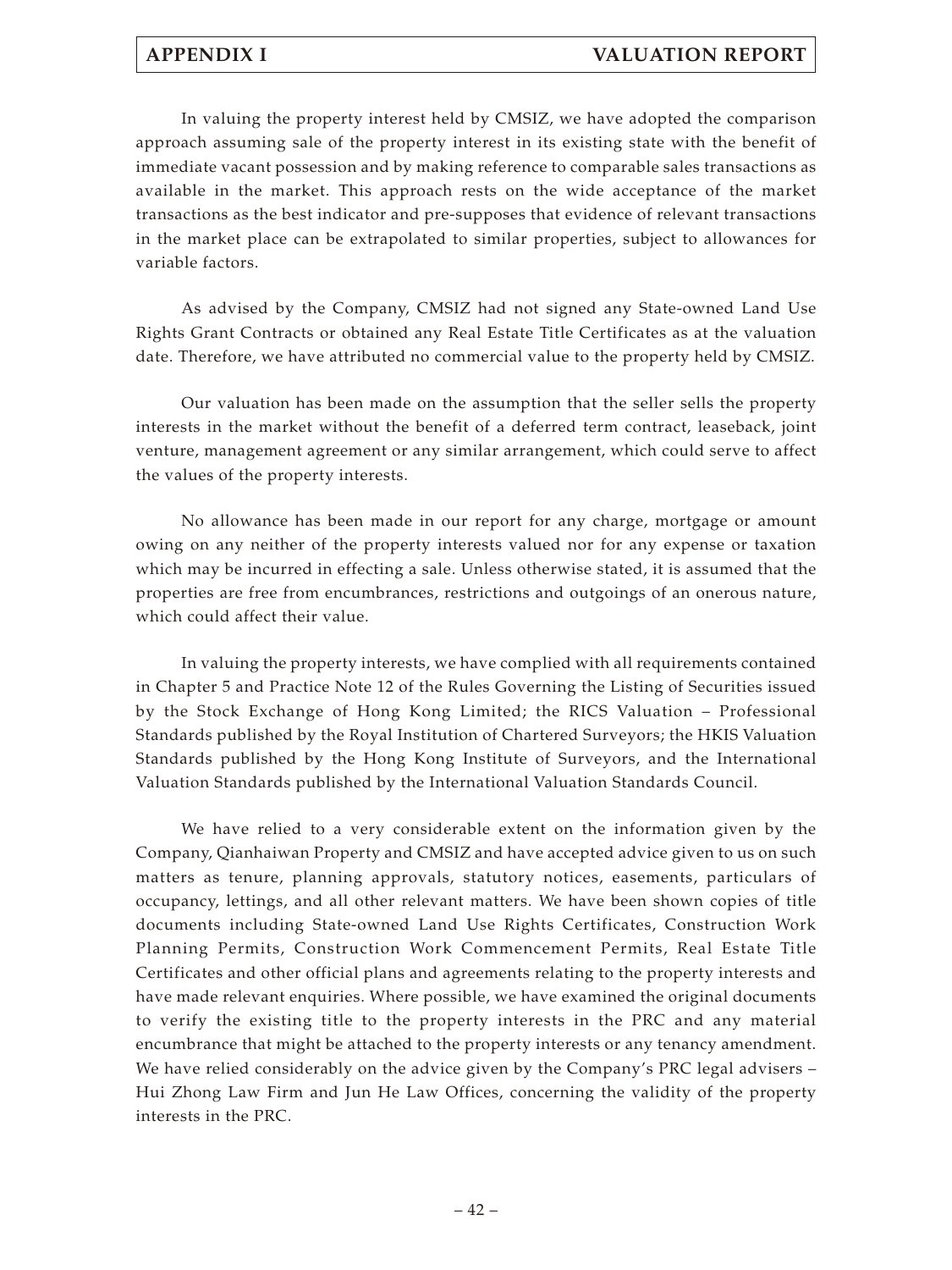In valuing the property interest held by CMSIZ, we have adopted the comparison approach assuming sale of the property interest in its existing state with the benefit of immediate vacant possession and by making reference to comparable sales transactions as available in the market. This approach rests on the wide acceptance of the market transactions as the best indicator and pre-supposes that evidence of relevant transactions in the market place can be extrapolated to similar properties, subject to allowances for variable factors.

As advised by the Company, CMSIZ had not signed any State-owned Land Use Rights Grant Contracts or obtained any Real Estate Title Certificates as at the valuation date. Therefore, we have attributed no commercial value to the property held by CMSIZ.

Our valuation has been made on the assumption that the seller sells the property interests in the market without the benefit of a deferred term contract, leaseback, joint venture, management agreement or any similar arrangement, which could serve to affect the values of the property interests.

No allowance has been made in our report for any charge, mortgage or amount owing on any neither of the property interests valued nor for any expense or taxation which may be incurred in effecting a sale. Unless otherwise stated, it is assumed that the properties are free from encumbrances, restrictions and outgoings of an onerous nature, which could affect their value.

In valuing the property interests, we have complied with all requirements contained in Chapter 5 and Practice Note 12 of the Rules Governing the Listing of Securities issued by the Stock Exchange of Hong Kong Limited; the RICS Valuation – Professional Standards published by the Royal Institution of Chartered Surveyors; the HKIS Valuation Standards published by the Hong Kong Institute of Surveyors, and the International Valuation Standards published by the International Valuation Standards Council.

We have relied to a very considerable extent on the information given by the Company, Qianhaiwan Property and CMSIZ and have accepted advice given to us on such matters as tenure, planning approvals, statutory notices, easements, particulars of occupancy, lettings, and all other relevant matters. We have been shown copies of title documents including State-owned Land Use Rights Certificates, Construction Work Planning Permits, Construction Work Commencement Permits, Real Estate Title Certificates and other official plans and agreements relating to the property interests and have made relevant enquiries. Where possible, we have examined the original documents to verify the existing title to the property interests in the PRC and any material encumbrance that might be attached to the property interests or any tenancy amendment. We have relied considerably on the advice given by the Company's PRC legal advisers – Hui Zhong Law Firm and Jun He Law Offices, concerning the validity of the property interests in the PRC.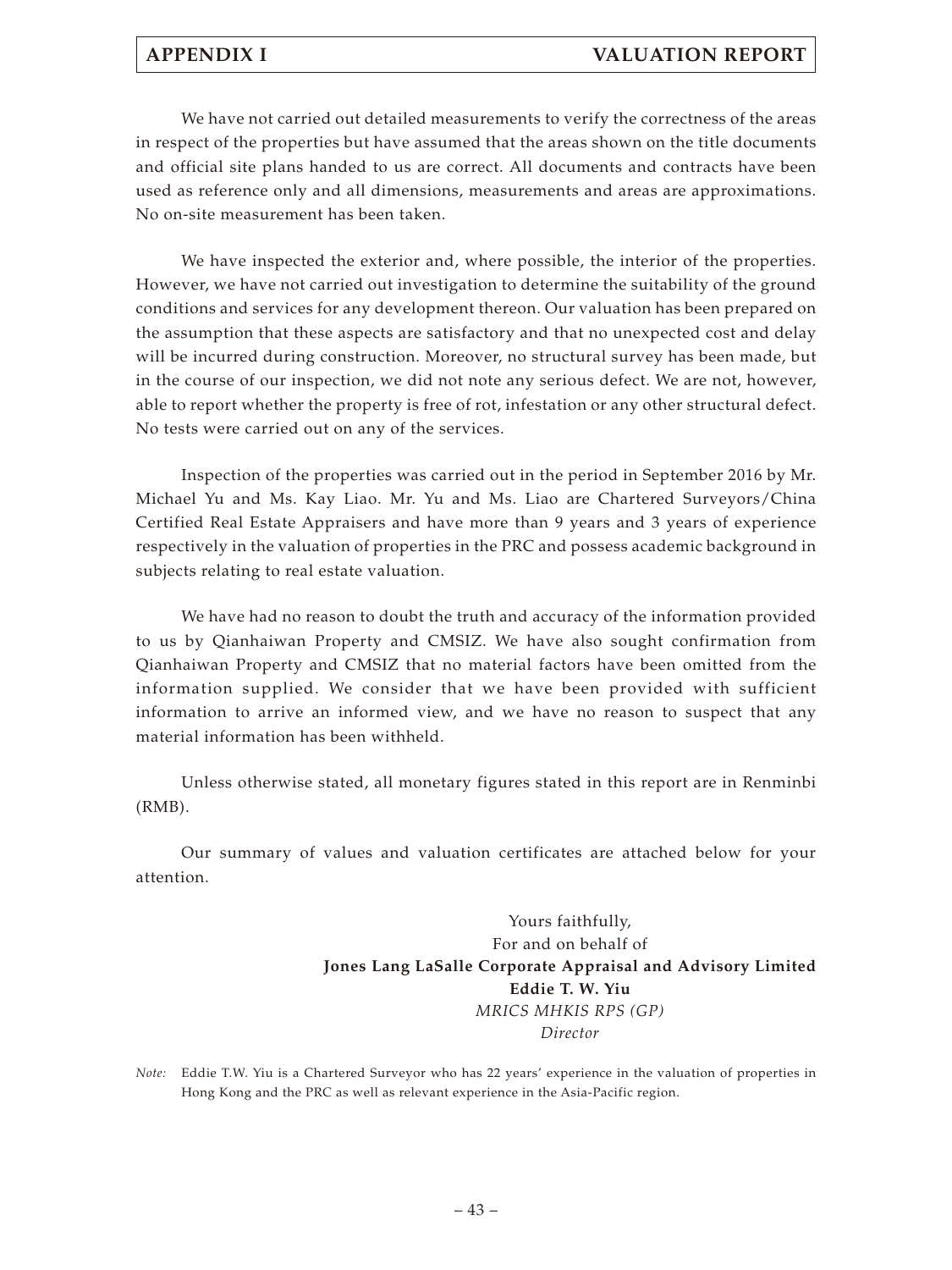## **APPENDIX I VALUATION REPORT**

We have not carried out detailed measurements to verify the correctness of the areas in respect of the properties but have assumed that the areas shown on the title documents and official site plans handed to us are correct. All documents and contracts have been used as reference only and all dimensions, measurements and areas are approximations. No on-site measurement has been taken.

We have inspected the exterior and, where possible, the interior of the properties. However, we have not carried out investigation to determine the suitability of the ground conditions and services for any development thereon. Our valuation has been prepared on the assumption that these aspects are satisfactory and that no unexpected cost and delay will be incurred during construction. Moreover, no structural survey has been made, but in the course of our inspection, we did not note any serious defect. We are not, however, able to report whether the property is free of rot, infestation or any other structural defect. No tests were carried out on any of the services.

Inspection of the properties was carried out in the period in September 2016 by Mr. Michael Yu and Ms. Kay Liao. Mr. Yu and Ms. Liao are Chartered Surveyors/China Certified Real Estate Appraisers and have more than 9 years and 3 years of experience respectively in the valuation of properties in the PRC and possess academic background in subjects relating to real estate valuation.

We have had no reason to doubt the truth and accuracy of the information provided to us by Qianhaiwan Property and CMSIZ. We have also sought confirmation from Qianhaiwan Property and CMSIZ that no material factors have been omitted from the information supplied. We consider that we have been provided with sufficient information to arrive an informed view, and we have no reason to suspect that any material information has been withheld.

Unless otherwise stated, all monetary figures stated in this report are in Renminbi (RMB).

Our summary of values and valuation certificates are attached below for your attention.

> Yours faithfully, For and on behalf of **Jones Lang LaSalle Corporate Appraisal and Advisory Limited Eddie T. W. Yiu** *MRICS MHKIS RPS (GP) Director*

*Note:* Eddie T.W. Yiu is a Chartered Surveyor who has 22 years' experience in the valuation of properties in Hong Kong and the PRC as well as relevant experience in the Asia-Pacific region.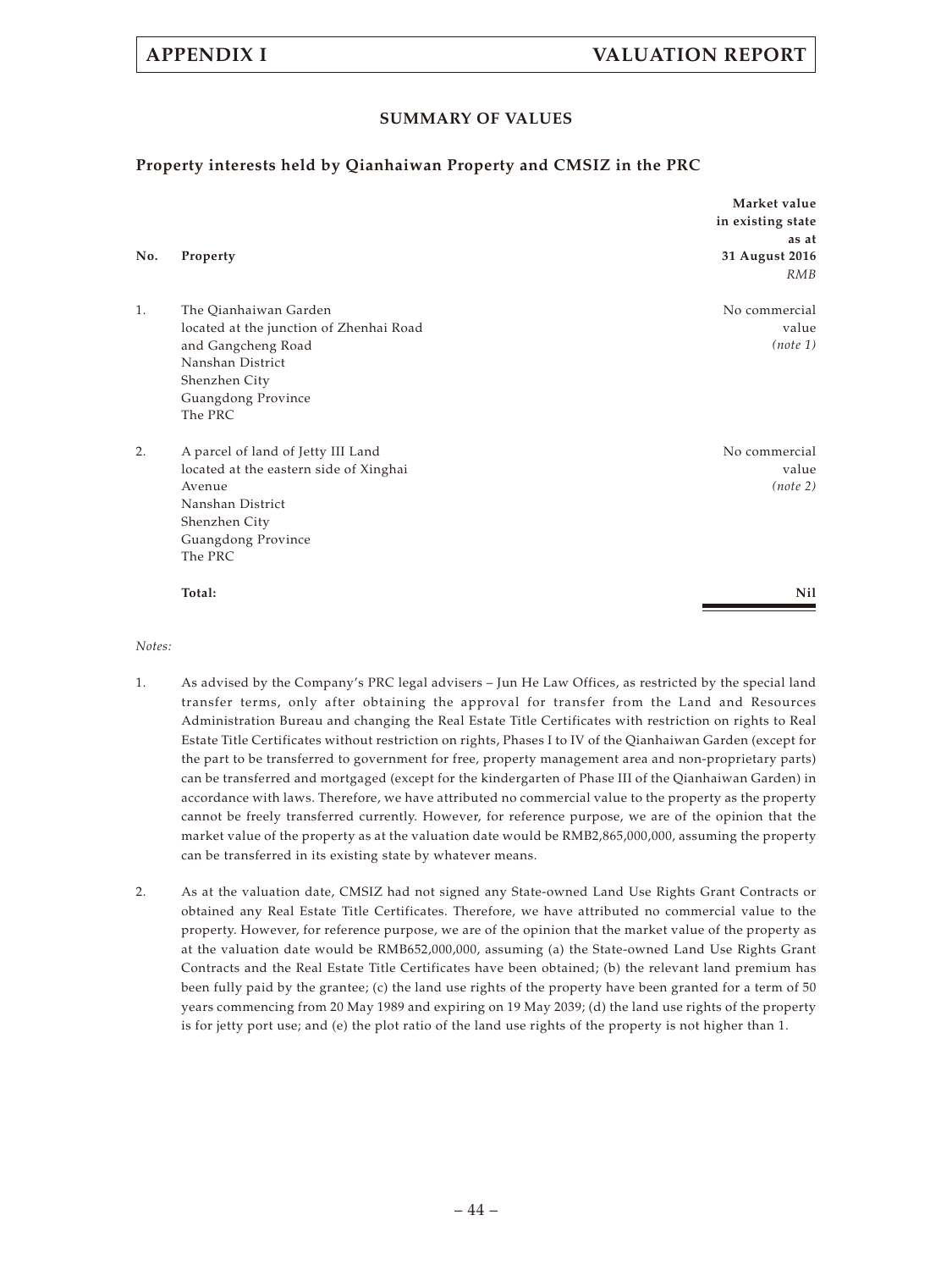## **SUMMARY OF VALUES**

## **Property interests held by Qianhaiwan Property and CMSIZ in the PRC**

|     |                                         | Market value      |
|-----|-----------------------------------------|-------------------|
|     |                                         | in existing state |
|     |                                         | as at             |
| No. | Property                                | 31 August 2016    |
|     |                                         | <b>RMB</b>        |
| 1.  | The Qianhaiwan Garden                   | No commercial     |
|     | located at the junction of Zhenhai Road | value             |
|     | and Gangcheng Road                      | (note 1)          |
|     | Nanshan District                        |                   |
|     | Shenzhen City                           |                   |
|     | Guangdong Province                      |                   |
|     | The PRC                                 |                   |
| 2.  | A parcel of land of Jetty III Land      | No commercial     |
|     | located at the eastern side of Xinghai  | value             |
|     | Avenue                                  | (note 2)          |
|     | Nanshan District                        |                   |
|     | Shenzhen City                           |                   |
|     | Guangdong Province                      |                   |
|     | The PRC                                 |                   |
|     | Total:                                  | Nil               |
|     |                                         |                   |

*Notes:*

- 1. As advised by the Company's PRC legal advisers Jun He Law Offices, as restricted by the special land transfer terms, only after obtaining the approval for transfer from the Land and Resources Administration Bureau and changing the Real Estate Title Certificates with restriction on rights to Real Estate Title Certificates without restriction on rights, Phases I to IV of the Qianhaiwan Garden (except for the part to be transferred to government for free, property management area and non-proprietary parts) can be transferred and mortgaged (except for the kindergarten of Phase III of the Qianhaiwan Garden) in accordance with laws. Therefore, we have attributed no commercial value to the property as the property cannot be freely transferred currently. However, for reference purpose, we are of the opinion that the market value of the property as at the valuation date would be RMB2,865,000,000, assuming the property can be transferred in its existing state by whatever means.
- 2. As at the valuation date, CMSIZ had not signed any State-owned Land Use Rights Grant Contracts or obtained any Real Estate Title Certificates. Therefore, we have attributed no commercial value to the property. However, for reference purpose, we are of the opinion that the market value of the property as at the valuation date would be RMB652,000,000, assuming (a) the State-owned Land Use Rights Grant Contracts and the Real Estate Title Certificates have been obtained; (b) the relevant land premium has been fully paid by the grantee; (c) the land use rights of the property have been granted for a term of 50 years commencing from 20 May 1989 and expiring on 19 May 2039; (d) the land use rights of the property is for jetty port use; and (e) the plot ratio of the land use rights of the property is not higher than 1.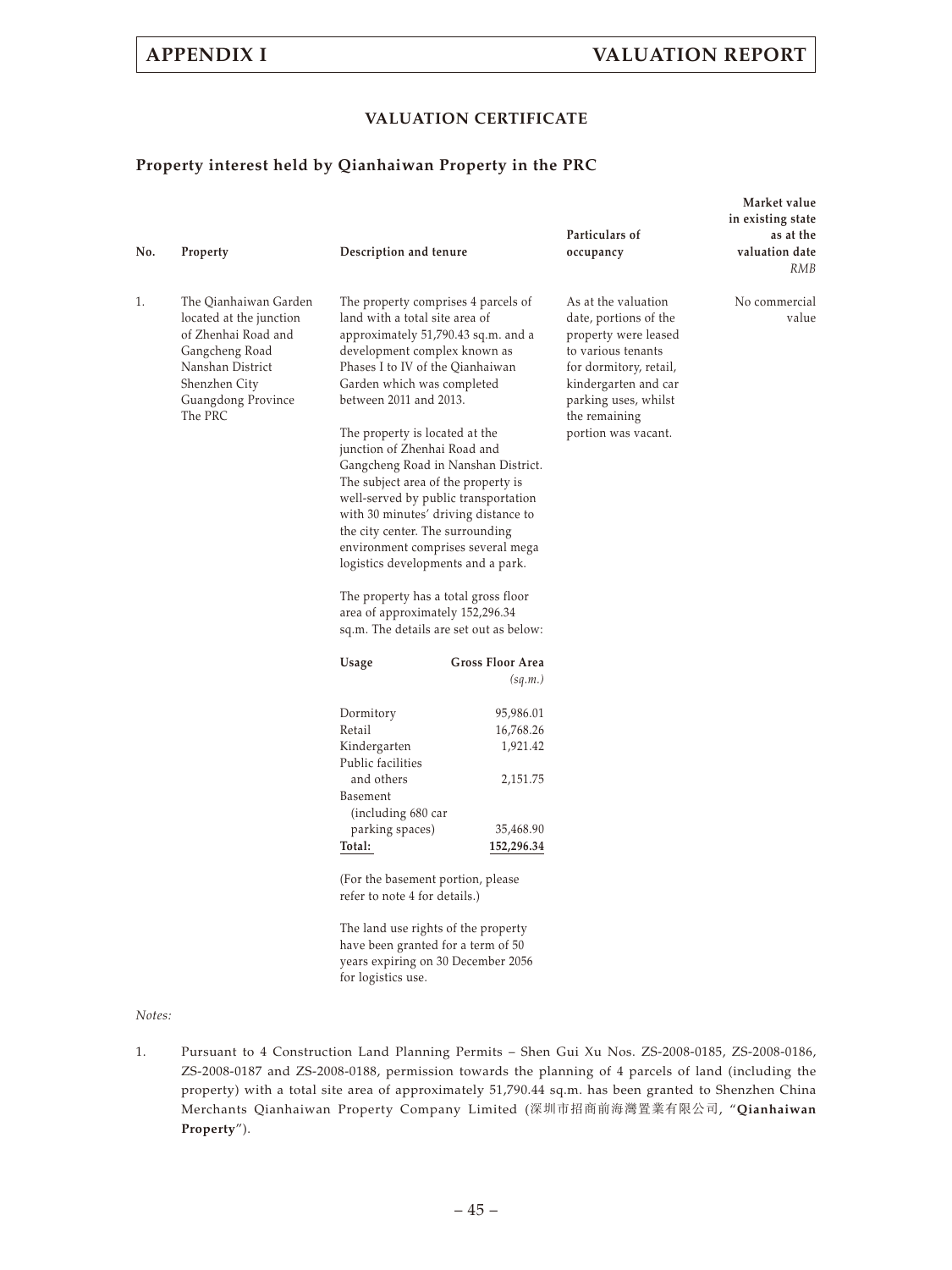**Market value**

## **VALUATION CERTIFICATE**

## **Property interest held by Qianhaiwan Property in the PRC**

| No. | Property                                                                                                                                                        | Description and tenure                                                                                                                                                                                                                                                                                                                                                                                                                                                                                                                                                                                                                                                                                          |                                                                           | Particulars of<br>occupancy                                                                                                                                                                                  | in existing state<br>as at the<br>valuation date<br>RMB |
|-----|-----------------------------------------------------------------------------------------------------------------------------------------------------------------|-----------------------------------------------------------------------------------------------------------------------------------------------------------------------------------------------------------------------------------------------------------------------------------------------------------------------------------------------------------------------------------------------------------------------------------------------------------------------------------------------------------------------------------------------------------------------------------------------------------------------------------------------------------------------------------------------------------------|---------------------------------------------------------------------------|--------------------------------------------------------------------------------------------------------------------------------------------------------------------------------------------------------------|---------------------------------------------------------|
| 1.  | The Qianhaiwan Garden<br>located at the junction<br>of Zhenhai Road and<br>Gangcheng Road<br>Nanshan District<br>Shenzhen City<br>Guangdong Province<br>The PRC | The property comprises 4 parcels of<br>land with a total site area of<br>approximately 51,790.43 sq.m. and a<br>development complex known as<br>Phases I to IV of the Qianhaiwan<br>Garden which was completed<br>between 2011 and 2013.<br>The property is located at the<br>junction of Zhenhai Road and<br>Gangcheng Road in Nanshan District.<br>The subject area of the property is<br>well-served by public transportation<br>with 30 minutes' driving distance to<br>the city center. The surrounding<br>environment comprises several mega<br>logistics developments and a park.<br>The property has a total gross floor<br>area of approximately 152,296.34<br>sq.m. The details are set out as below: |                                                                           | As at the valuation<br>date, portions of the<br>property were leased<br>to various tenants<br>for dormitory, retail,<br>kindergarten and car<br>parking uses, whilst<br>the remaining<br>portion was vacant. | No commercial<br>value                                  |
|     |                                                                                                                                                                 | Usage                                                                                                                                                                                                                                                                                                                                                                                                                                                                                                                                                                                                                                                                                                           | <b>Gross Floor Area</b><br>(sq.m.)                                        |                                                                                                                                                                                                              |                                                         |
|     |                                                                                                                                                                 | Dormitory<br>Retail<br>Kindergarten<br>Public facilities<br>and others<br>Basement<br>(including 680 car<br>parking spaces)<br>Total:<br>(For the basement portion, please<br>refer to note 4 for details.)<br>The land use rights of the property<br>have been granted for a term of 50                                                                                                                                                                                                                                                                                                                                                                                                                        | 95,986.01<br>16,768.26<br>1,921.42<br>2,151.75<br>35,468.90<br>152,296.34 |                                                                                                                                                                                                              |                                                         |

years expiring on 30 December 2056 for logistics use.

#### *Notes:*

1. Pursuant to 4 Construction Land Planning Permits – Shen Gui Xu Nos. ZS-2008-0185, ZS-2008-0186, ZS-2008-0187 and ZS-2008-0188, permission towards the planning of 4 parcels of land (including the property) with a total site area of approximately 51,790.44 sq.m. has been granted to Shenzhen China Merchants Qianhaiwan Property Company Limited (深圳市招商前海灣置業有限公司, "**Qianhaiwan Property**").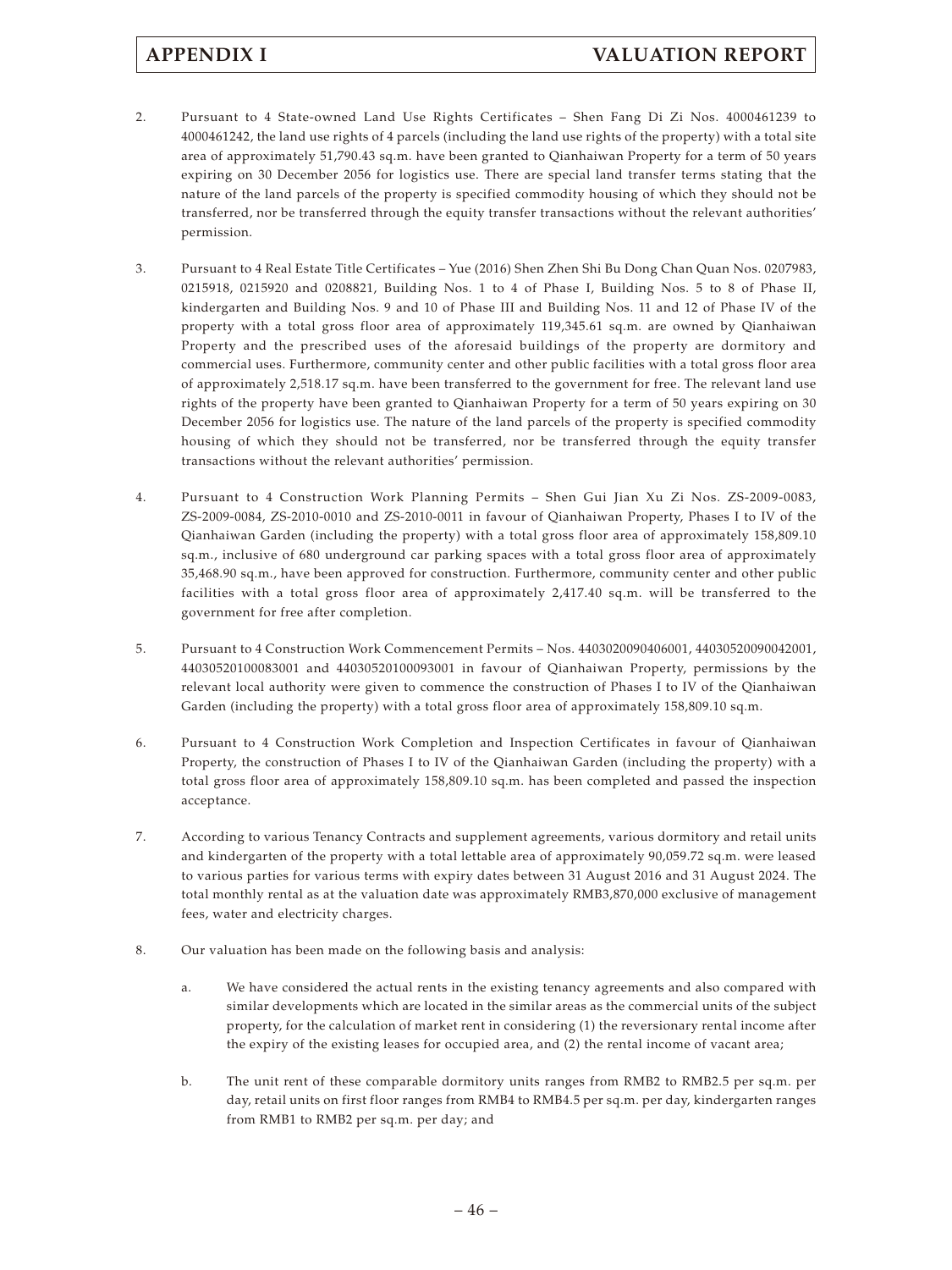- 2. Pursuant to 4 State-owned Land Use Rights Certificates Shen Fang Di Zi Nos. 4000461239 to 4000461242, the land use rights of 4 parcels (including the land use rights of the property) with a total site area of approximately 51,790.43 sq.m. have been granted to Qianhaiwan Property for a term of 50 years expiring on 30 December 2056 for logistics use. There are special land transfer terms stating that the nature of the land parcels of the property is specified commodity housing of which they should not be transferred, nor be transferred through the equity transfer transactions without the relevant authorities' permission.
- 3. Pursuant to 4 Real Estate Title Certificates Yue (2016) Shen Zhen Shi Bu Dong Chan Quan Nos. 0207983, 0215918, 0215920 and 0208821, Building Nos. 1 to 4 of Phase I, Building Nos. 5 to 8 of Phase II, kindergarten and Building Nos. 9 and 10 of Phase III and Building Nos. 11 and 12 of Phase IV of the property with a total gross floor area of approximately 119,345.61 sq.m. are owned by Qianhaiwan Property and the prescribed uses of the aforesaid buildings of the property are dormitory and commercial uses. Furthermore, community center and other public facilities with a total gross floor area of approximately 2,518.17 sq.m. have been transferred to the government for free. The relevant land use rights of the property have been granted to Qianhaiwan Property for a term of 50 years expiring on 30 December 2056 for logistics use. The nature of the land parcels of the property is specified commodity housing of which they should not be transferred, nor be transferred through the equity transfer transactions without the relevant authorities' permission.
- 4. Pursuant to 4 Construction Work Planning Permits Shen Gui Jian Xu Zi Nos. ZS-2009-0083, ZS-2009-0084, ZS-2010-0010 and ZS-2010-0011 in favour of Qianhaiwan Property, Phases I to IV of the Qianhaiwan Garden (including the property) with a total gross floor area of approximately 158,809.10 sq.m., inclusive of 680 underground car parking spaces with a total gross floor area of approximately 35,468.90 sq.m., have been approved for construction. Furthermore, community center and other public facilities with a total gross floor area of approximately 2,417.40 sq.m. will be transferred to the government for free after completion.
- 5. Pursuant to 4 Construction Work Commencement Permits Nos. 4403020090406001, 44030520090042001, 44030520100083001 and 44030520100093001 in favour of Qianhaiwan Property, permissions by the relevant local authority were given to commence the construction of Phases I to IV of the Qianhaiwan Garden (including the property) with a total gross floor area of approximately 158,809.10 sq.m.
- 6. Pursuant to 4 Construction Work Completion and Inspection Certificates in favour of Qianhaiwan Property, the construction of Phases I to IV of the Qianhaiwan Garden (including the property) with a total gross floor area of approximately 158,809.10 sq.m. has been completed and passed the inspection acceptance.
- 7. According to various Tenancy Contracts and supplement agreements, various dormitory and retail units and kindergarten of the property with a total lettable area of approximately 90,059.72 sq.m. were leased to various parties for various terms with expiry dates between 31 August 2016 and 31 August 2024. The total monthly rental as at the valuation date was approximately RMB3,870,000 exclusive of management fees, water and electricity charges.
- 8. Our valuation has been made on the following basis and analysis:
	- a. We have considered the actual rents in the existing tenancy agreements and also compared with similar developments which are located in the similar areas as the commercial units of the subject property, for the calculation of market rent in considering (1) the reversionary rental income after the expiry of the existing leases for occupied area, and (2) the rental income of vacant area;
	- b. The unit rent of these comparable dormitory units ranges from RMB2 to RMB2.5 per sq.m. per day, retail units on first floor ranges from RMB4 to RMB4.5 per sq.m. per day, kindergarten ranges from RMB1 to RMB2 per sq.m. per day; and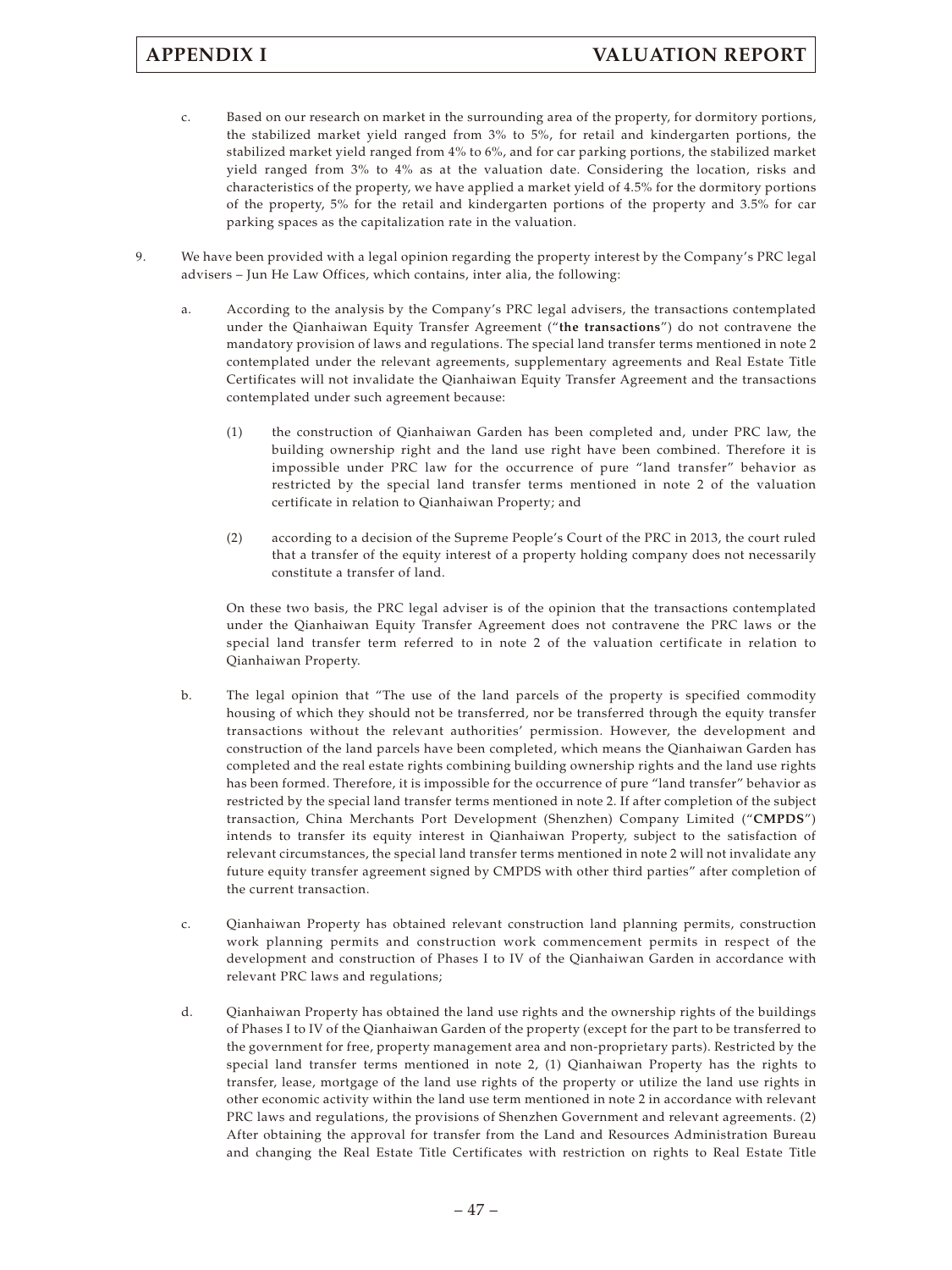- c. Based on our research on market in the surrounding area of the property, for dormitory portions, the stabilized market yield ranged from 3% to 5%, for retail and kindergarten portions, the stabilized market yield ranged from 4% to 6%, and for car parking portions, the stabilized market yield ranged from 3% to 4% as at the valuation date. Considering the location, risks and characteristics of the property, we have applied a market yield of 4.5% for the dormitory portions of the property, 5% for the retail and kindergarten portions of the property and 3.5% for car parking spaces as the capitalization rate in the valuation.
- 9. We have been provided with a legal opinion regarding the property interest by the Company's PRC legal advisers – Jun He Law Offices, which contains, inter alia, the following:
	- a. According to the analysis by the Company's PRC legal advisers, the transactions contemplated under the Qianhaiwan Equity Transfer Agreement ("**the transactions**") do not contravene the mandatory provision of laws and regulations. The special land transfer terms mentioned in note 2 contemplated under the relevant agreements, supplementary agreements and Real Estate Title Certificates will not invalidate the Qianhaiwan Equity Transfer Agreement and the transactions contemplated under such agreement because:
		- (1) the construction of Qianhaiwan Garden has been completed and, under PRC law, the building ownership right and the land use right have been combined. Therefore it is impossible under PRC law for the occurrence of pure "land transfer" behavior as restricted by the special land transfer terms mentioned in note 2 of the valuation certificate in relation to Qianhaiwan Property; and
		- (2) according to a decision of the Supreme People's Court of the PRC in 2013, the court ruled that a transfer of the equity interest of a property holding company does not necessarily constitute a transfer of land.

On these two basis, the PRC legal adviser is of the opinion that the transactions contemplated under the Qianhaiwan Equity Transfer Agreement does not contravene the PRC laws or the special land transfer term referred to in note 2 of the valuation certificate in relation to Qianhaiwan Property.

- b. The legal opinion that "The use of the land parcels of the property is specified commodity housing of which they should not be transferred, nor be transferred through the equity transfer transactions without the relevant authorities' permission. However, the development and construction of the land parcels have been completed, which means the Qianhaiwan Garden has completed and the real estate rights combining building ownership rights and the land use rights has been formed. Therefore, it is impossible for the occurrence of pure "land transfer" behavior as restricted by the special land transfer terms mentioned in note 2. If after completion of the subject transaction, China Merchants Port Development (Shenzhen) Company Limited ("**CMPDS**") intends to transfer its equity interest in Qianhaiwan Property, subject to the satisfaction of relevant circumstances, the special land transfer terms mentioned in note 2 will not invalidate any future equity transfer agreement signed by CMPDS with other third parties" after completion of the current transaction.
- c. Qianhaiwan Property has obtained relevant construction land planning permits, construction work planning permits and construction work commencement permits in respect of the development and construction of Phases I to IV of the Qianhaiwan Garden in accordance with relevant PRC laws and regulations;
- d. Qianhaiwan Property has obtained the land use rights and the ownership rights of the buildings of Phases I to IV of the Qianhaiwan Garden of the property (except for the part to be transferred to the government for free, property management area and non-proprietary parts). Restricted by the special land transfer terms mentioned in note 2, (1) Qianhaiwan Property has the rights to transfer, lease, mortgage of the land use rights of the property or utilize the land use rights in other economic activity within the land use term mentioned in note 2 in accordance with relevant PRC laws and regulations, the provisions of Shenzhen Government and relevant agreements. (2) After obtaining the approval for transfer from the Land and Resources Administration Bureau and changing the Real Estate Title Certificates with restriction on rights to Real Estate Title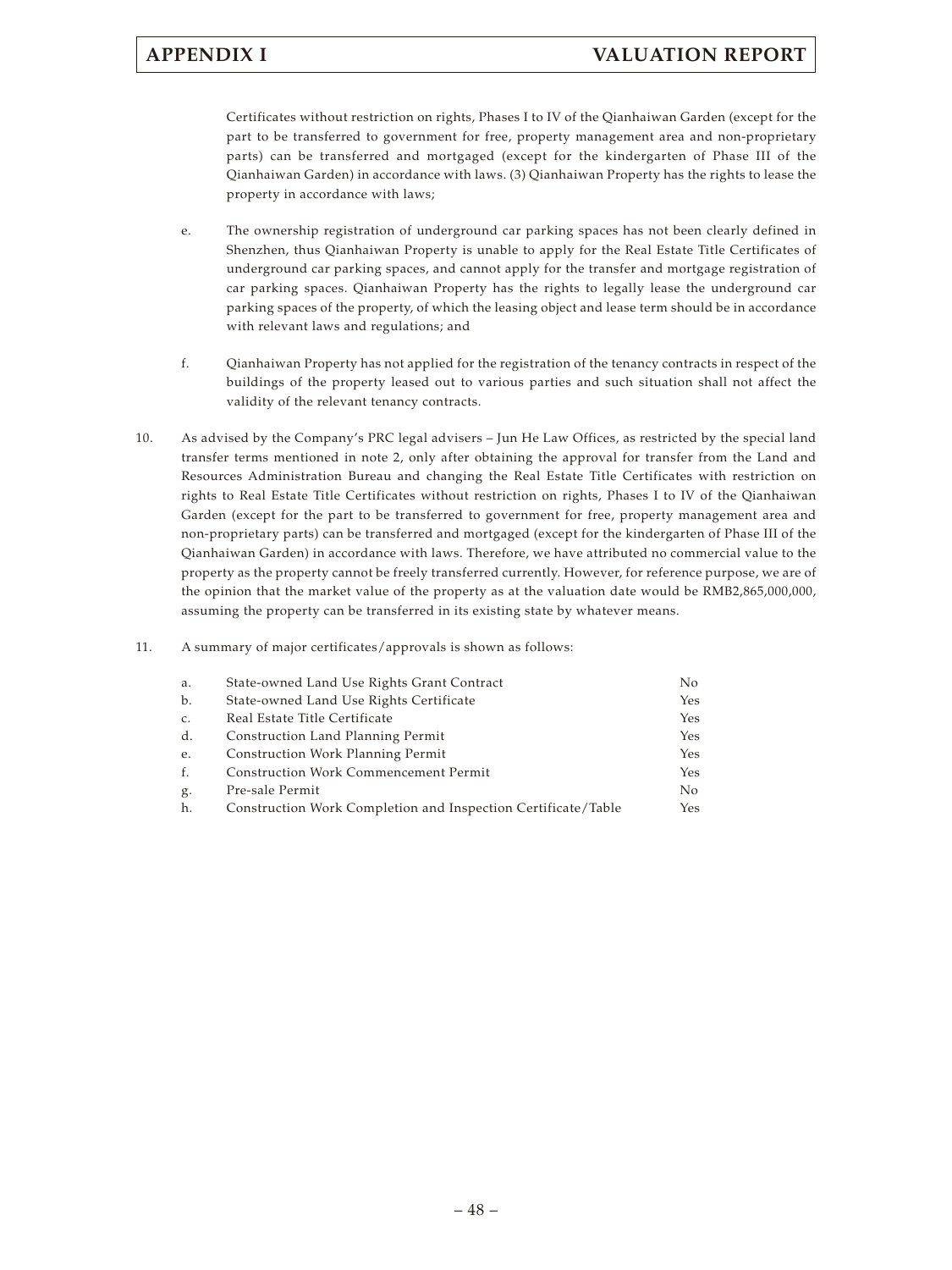Certificates without restriction on rights, Phases I to IV of the Qianhaiwan Garden (except for the part to be transferred to government for free, property management area and non-proprietary parts) can be transferred and mortgaged (except for the kindergarten of Phase III of the Qianhaiwan Garden) in accordance with laws. (3) Qianhaiwan Property has the rights to lease the property in accordance with laws;

- e. The ownership registration of underground car parking spaces has not been clearly defined in Shenzhen, thus Qianhaiwan Property is unable to apply for the Real Estate Title Certificates of underground car parking spaces, and cannot apply for the transfer and mortgage registration of car parking spaces. Qianhaiwan Property has the rights to legally lease the underground car parking spaces of the property, of which the leasing object and lease term should be in accordance with relevant laws and regulations; and
- f. Qianhaiwan Property has not applied for the registration of the tenancy contracts in respect of the buildings of the property leased out to various parties and such situation shall not affect the validity of the relevant tenancy contracts.
- 10. As advised by the Company's PRC legal advisers Jun He Law Offices, as restricted by the special land transfer terms mentioned in note 2, only after obtaining the approval for transfer from the Land and Resources Administration Bureau and changing the Real Estate Title Certificates with restriction on rights to Real Estate Title Certificates without restriction on rights, Phases I to IV of the Qianhaiwan Garden (except for the part to be transferred to government for free, property management area and non-proprietary parts) can be transferred and mortgaged (except for the kindergarten of Phase III of the Qianhaiwan Garden) in accordance with laws. Therefore, we have attributed no commercial value to the property as the property cannot be freely transferred currently. However, for reference purpose, we are of the opinion that the market value of the property as at the valuation date would be RMB2,865,000,000, assuming the property can be transferred in its existing state by whatever means.
- 11. A summary of major certificates/approvals is shown as follows:

| а.          | State-owned Land Use Rights Grant Contract                    | No. |
|-------------|---------------------------------------------------------------|-----|
| b.          | State-owned Land Use Rights Certificate                       | Yes |
| $C_{\star}$ | Real Estate Title Certificate                                 | Yes |
| d.          | Construction Land Planning Permit                             | Yes |
| e.          | Construction Work Planning Permit                             | Yes |
| f.          | <b>Construction Work Commencement Permit</b>                  | Yes |
| g.          | Pre-sale Permit                                               | No. |
| h.          | Construction Work Completion and Inspection Certificate/Table | Yes |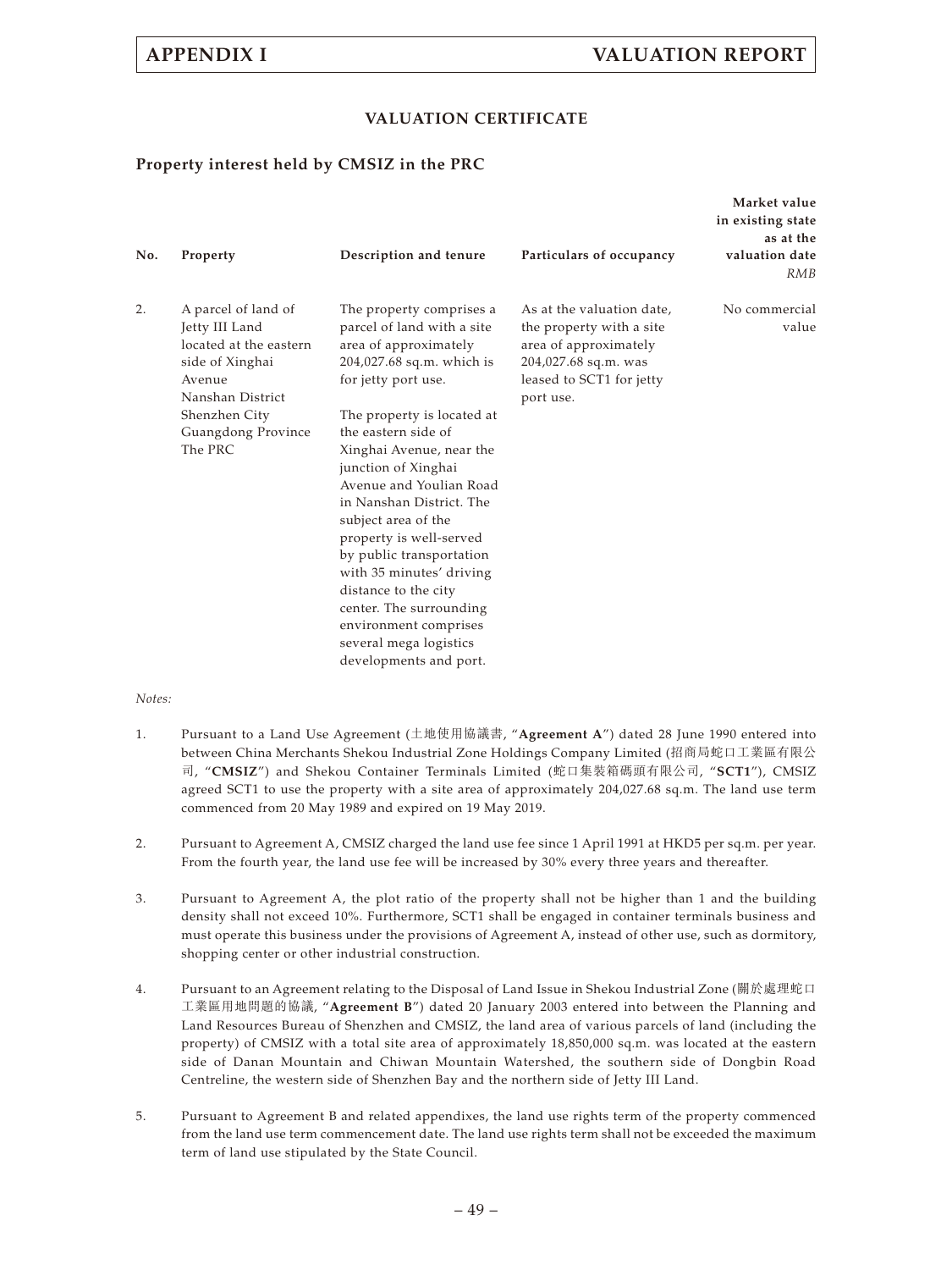# **APPENDIX I VALUATION REPORT**

## **VALUATION CERTIFICATE**

## **Property interest held by CMSIZ in the PRC**

| No. | Property                                                                                                                                                           | Description and tenure                                                                                                                                                                                                                                                                                                                                                                                                                                                                                                                       | Particulars of occupancy                                                                                                                        | Market value<br>in existing state<br>as at the<br>valuation date<br>RMB |
|-----|--------------------------------------------------------------------------------------------------------------------------------------------------------------------|----------------------------------------------------------------------------------------------------------------------------------------------------------------------------------------------------------------------------------------------------------------------------------------------------------------------------------------------------------------------------------------------------------------------------------------------------------------------------------------------------------------------------------------------|-------------------------------------------------------------------------------------------------------------------------------------------------|-------------------------------------------------------------------------|
| 2.  | A parcel of land of<br>Jetty III Land<br>located at the eastern<br>side of Xinghai<br>Avenue<br>Nanshan District<br>Shenzhen City<br>Guangdong Province<br>The PRC | The property comprises a<br>parcel of land with a site<br>area of approximately<br>204,027.68 sq.m. which is<br>for jetty port use.<br>The property is located at<br>the eastern side of<br>Xinghai Avenue, near the<br>junction of Xinghai<br>Avenue and Youlian Road<br>in Nanshan District. The<br>subject area of the<br>property is well-served<br>by public transportation<br>with 35 minutes' driving<br>distance to the city<br>center. The surrounding<br>environment comprises<br>several mega logistics<br>developments and port. | As at the valuation date,<br>the property with a site<br>area of approximately<br>204,027.68 sq.m. was<br>leased to SCT1 for jetty<br>port use. | No commercial<br>value                                                  |

#### *Notes:*

- 1. Pursuant to a Land Use Agreement (土地使用協議書, "**Agreement A**") dated 28 June 1990 entered into between China Merchants Shekou Industrial Zone Holdings Company Limited (招商局蛇口工業區有限公 司, "**CMSIZ**") and Shekou Container Terminals Limited (蛇口集裝箱碼頭有限公司, "**SCT1**"), CMSIZ agreed SCT1 to use the property with a site area of approximately 204,027.68 sq.m. The land use term commenced from 20 May 1989 and expired on 19 May 2019.
- 2. Pursuant to Agreement A, CMSIZ charged the land use fee since 1 April 1991 at HKD5 per sq.m. per year. From the fourth year, the land use fee will be increased by 30% every three years and thereafter.
- 3. Pursuant to Agreement A, the plot ratio of the property shall not be higher than 1 and the building density shall not exceed 10%. Furthermore, SCT1 shall be engaged in container terminals business and must operate this business under the provisions of Agreement A, instead of other use, such as dormitory, shopping center or other industrial construction.
- 4. Pursuant to an Agreement relating to the Disposal of Land Issue in Shekou Industrial Zone (關於處理蛇口 工業區用地問題的協議, "**Agreement B**") dated 20 January 2003 entered into between the Planning and Land Resources Bureau of Shenzhen and CMSIZ, the land area of various parcels of land (including the property) of CMSIZ with a total site area of approximately 18,850,000 sq.m. was located at the eastern side of Danan Mountain and Chiwan Mountain Watershed, the southern side of Dongbin Road Centreline, the western side of Shenzhen Bay and the northern side of Jetty III Land.
- 5. Pursuant to Agreement B and related appendixes, the land use rights term of the property commenced from the land use term commencement date. The land use rights term shall not be exceeded the maximum term of land use stipulated by the State Council.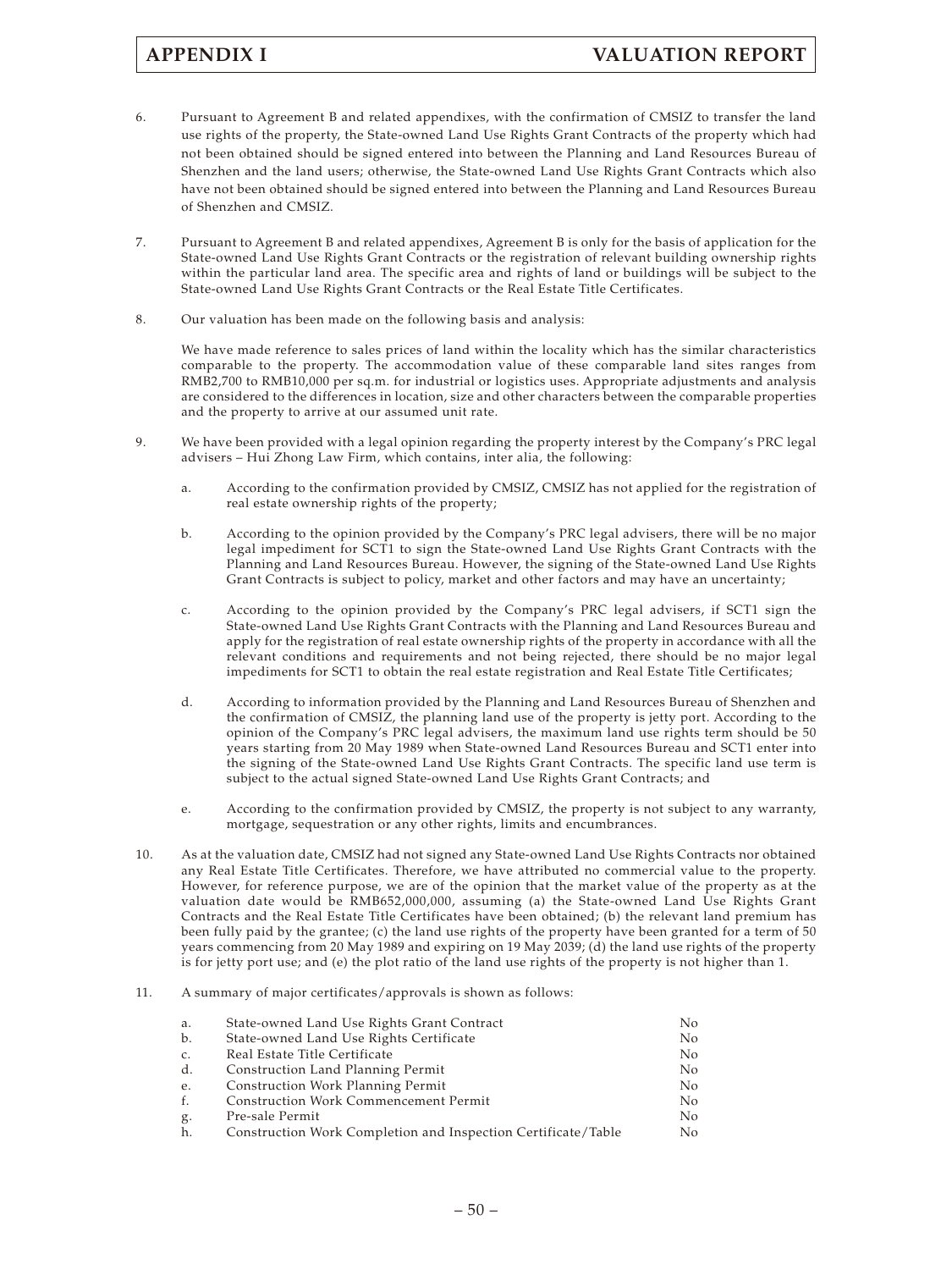- 6. Pursuant to Agreement B and related appendixes, with the confirmation of CMSIZ to transfer the land use rights of the property, the State-owned Land Use Rights Grant Contracts of the property which had not been obtained should be signed entered into between the Planning and Land Resources Bureau of Shenzhen and the land users; otherwise, the State-owned Land Use Rights Grant Contracts which also have not been obtained should be signed entered into between the Planning and Land Resources Bureau of Shenzhen and CMSIZ.
- 7. Pursuant to Agreement B and related appendixes, Agreement B is only for the basis of application for the State-owned Land Use Rights Grant Contracts or the registration of relevant building ownership rights within the particular land area. The specific area and rights of land or buildings will be subject to the State-owned Land Use Rights Grant Contracts or the Real Estate Title Certificates.
- 8. Our valuation has been made on the following basis and analysis:

We have made reference to sales prices of land within the locality which has the similar characteristics comparable to the property. The accommodation value of these comparable land sites ranges from RMB2,700 to RMB10,000 per sq.m. for industrial or logistics uses. Appropriate adjustments and analysis are considered to the differences in location, size and other characters between the comparable properties and the property to arrive at our assumed unit rate.

- 9. We have been provided with a legal opinion regarding the property interest by the Company's PRC legal advisers – Hui Zhong Law Firm, which contains, inter alia, the following:
	- a. According to the confirmation provided by CMSIZ, CMSIZ has not applied for the registration of real estate ownership rights of the property;
	- b. According to the opinion provided by the Company's PRC legal advisers, there will be no major legal impediment for SCT1 to sign the State-owned Land Use Rights Grant Contracts with the Planning and Land Resources Bureau. However, the signing of the State-owned Land Use Rights Grant Contracts is subject to policy, market and other factors and may have an uncertainty;
	- c. According to the opinion provided by the Company's PRC legal advisers, if SCT1 sign the State-owned Land Use Rights Grant Contracts with the Planning and Land Resources Bureau and apply for the registration of real estate ownership rights of the property in accordance with all the relevant conditions and requirements and not being rejected, there should be no major legal impediments for SCT1 to obtain the real estate registration and Real Estate Title Certificates;
	- d. According to information provided by the Planning and Land Resources Bureau of Shenzhen and the confirmation of CMSIZ, the planning land use of the property is jetty port. According to the opinion of the Company's PRC legal advisers, the maximum land use rights term should be 50 years starting from 20 May 1989 when State-owned Land Resources Bureau and SCT1 enter into the signing of the State-owned Land Use Rights Grant Contracts. The specific land use term is subject to the actual signed State-owned Land Use Rights Grant Contracts; and
	- e. According to the confirmation provided by CMSIZ, the property is not subject to any warranty, mortgage, sequestration or any other rights, limits and encumbrances.
- 10. As at the valuation date, CMSIZ had not signed any State-owned Land Use Rights Contracts nor obtained any Real Estate Title Certificates. Therefore, we have attributed no commercial value to the property. However, for reference purpose, we are of the opinion that the market value of the property as at the valuation date would be RMB652,000,000, assuming (a) the State-owned Land Use Rights Grant Contracts and the Real Estate Title Certificates have been obtained; (b) the relevant land premium has been fully paid by the grantee; (c) the land use rights of the property have been granted for a term of 50 years commencing from 20 May 1989 and expiring on 19 May 2039; (d) the land use rights of the property is for jetty port use; and (e) the plot ratio of the land use rights of the property is not higher than 1.
- 11. A summary of major certificates/approvals is shown as follows:

| а. | State-owned Land Use Rights Grant Contract                    | No.            |
|----|---------------------------------------------------------------|----------------|
| b. | State-owned Land Use Rights Certificate                       | N <sub>o</sub> |
| c. | Real Estate Title Certificate                                 | N <sub>o</sub> |
| d. | Construction Land Planning Permit                             | No.            |
| e. | Construction Work Planning Permit                             | No.            |
| f. | <b>Construction Work Commencement Permit</b>                  | No.            |
| g. | Pre-sale Permit                                               | No.            |
| h. | Construction Work Completion and Inspection Certificate/Table | No.            |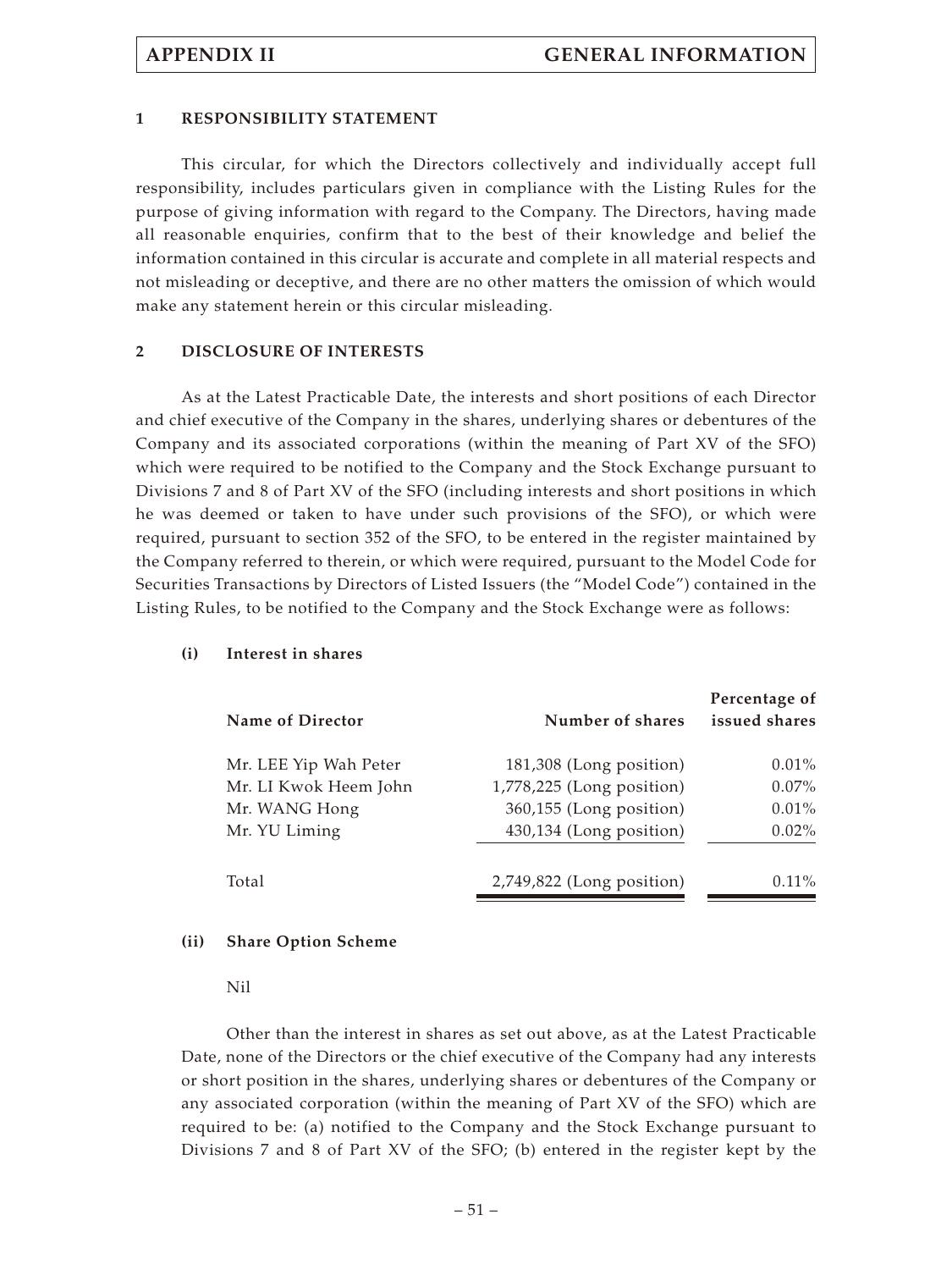### **1 RESPONSIBILITY STATEMENT**

This circular, for which the Directors collectively and individually accept full responsibility, includes particulars given in compliance with the Listing Rules for the purpose of giving information with regard to the Company. The Directors, having made all reasonable enquiries, confirm that to the best of their knowledge and belief the information contained in this circular is accurate and complete in all material respects and not misleading or deceptive, and there are no other matters the omission of which would make any statement herein or this circular misleading.

#### **2 DISCLOSURE OF INTERESTS**

As at the Latest Practicable Date, the interests and short positions of each Director and chief executive of the Company in the shares, underlying shares or debentures of the Company and its associated corporations (within the meaning of Part XV of the SFO) which were required to be notified to the Company and the Stock Exchange pursuant to Divisions 7 and 8 of Part XV of the SFO (including interests and short positions in which he was deemed or taken to have under such provisions of the SFO), or which were required, pursuant to section 352 of the SFO, to be entered in the register maintained by the Company referred to therein, or which were required, pursuant to the Model Code for Securities Transactions by Directors of Listed Issuers (the "Model Code") contained in the Listing Rules, to be notified to the Company and the Stock Exchange were as follows:

| <b>Name of Director</b> | Number of shares            | Percentage of<br>issued shares |
|-------------------------|-----------------------------|--------------------------------|
| Mr. LEE Yip Wah Peter   | 181,308 (Long position)     | $0.01\%$                       |
| Mr. LI Kwok Heem John   | 1,778,225 (Long position)   | $0.07\%$                       |
| Mr. WANG Hong           | 360,155 (Long position)     | $0.01\%$                       |
| Mr. YU Liming           | 430,134 (Long position)     | $0.02\%$                       |
| Total                   | $2,749,822$ (Long position) | $0.11\%$                       |

#### **(i) Interest in shares**

#### **(ii) Share Option Scheme**

Nil

Other than the interest in shares as set out above, as at the Latest Practicable Date, none of the Directors or the chief executive of the Company had any interests or short position in the shares, underlying shares or debentures of the Company or any associated corporation (within the meaning of Part XV of the SFO) which are required to be: (a) notified to the Company and the Stock Exchange pursuant to Divisions 7 and 8 of Part XV of the SFO; (b) entered in the register kept by the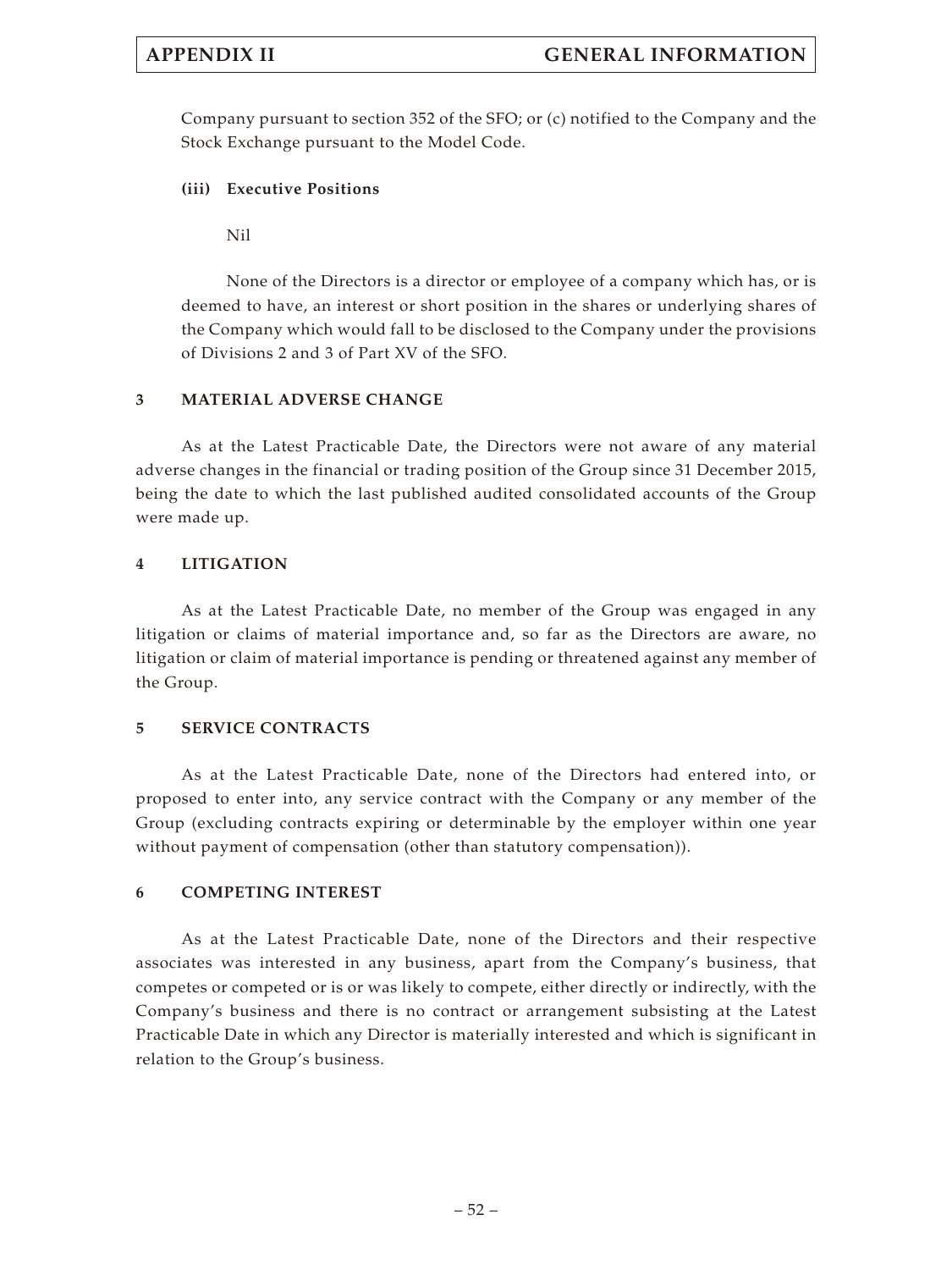Company pursuant to section 352 of the SFO; or (c) notified to the Company and the Stock Exchange pursuant to the Model Code.

## **(iii) Executive Positions**

Nil

None of the Directors is a director or employee of a company which has, or is deemed to have, an interest or short position in the shares or underlying shares of the Company which would fall to be disclosed to the Company under the provisions of Divisions 2 and 3 of Part XV of the SFO.

## **3 MATERIAL ADVERSE CHANGE**

As at the Latest Practicable Date, the Directors were not aware of any material adverse changes in the financial or trading position of the Group since 31 December 2015, being the date to which the last published audited consolidated accounts of the Group were made up.

## **4 LITIGATION**

As at the Latest Practicable Date, no member of the Group was engaged in any litigation or claims of material importance and, so far as the Directors are aware, no litigation or claim of material importance is pending or threatened against any member of the Group.

## **5 SERVICE CONTRACTS**

As at the Latest Practicable Date, none of the Directors had entered into, or proposed to enter into, any service contract with the Company or any member of the Group (excluding contracts expiring or determinable by the employer within one year without payment of compensation (other than statutory compensation)).

## **6 COMPETING INTEREST**

As at the Latest Practicable Date, none of the Directors and their respective associates was interested in any business, apart from the Company's business, that competes or competed or is or was likely to compete, either directly or indirectly, with the Company's business and there is no contract or arrangement subsisting at the Latest Practicable Date in which any Director is materially interested and which is significant in relation to the Group's business.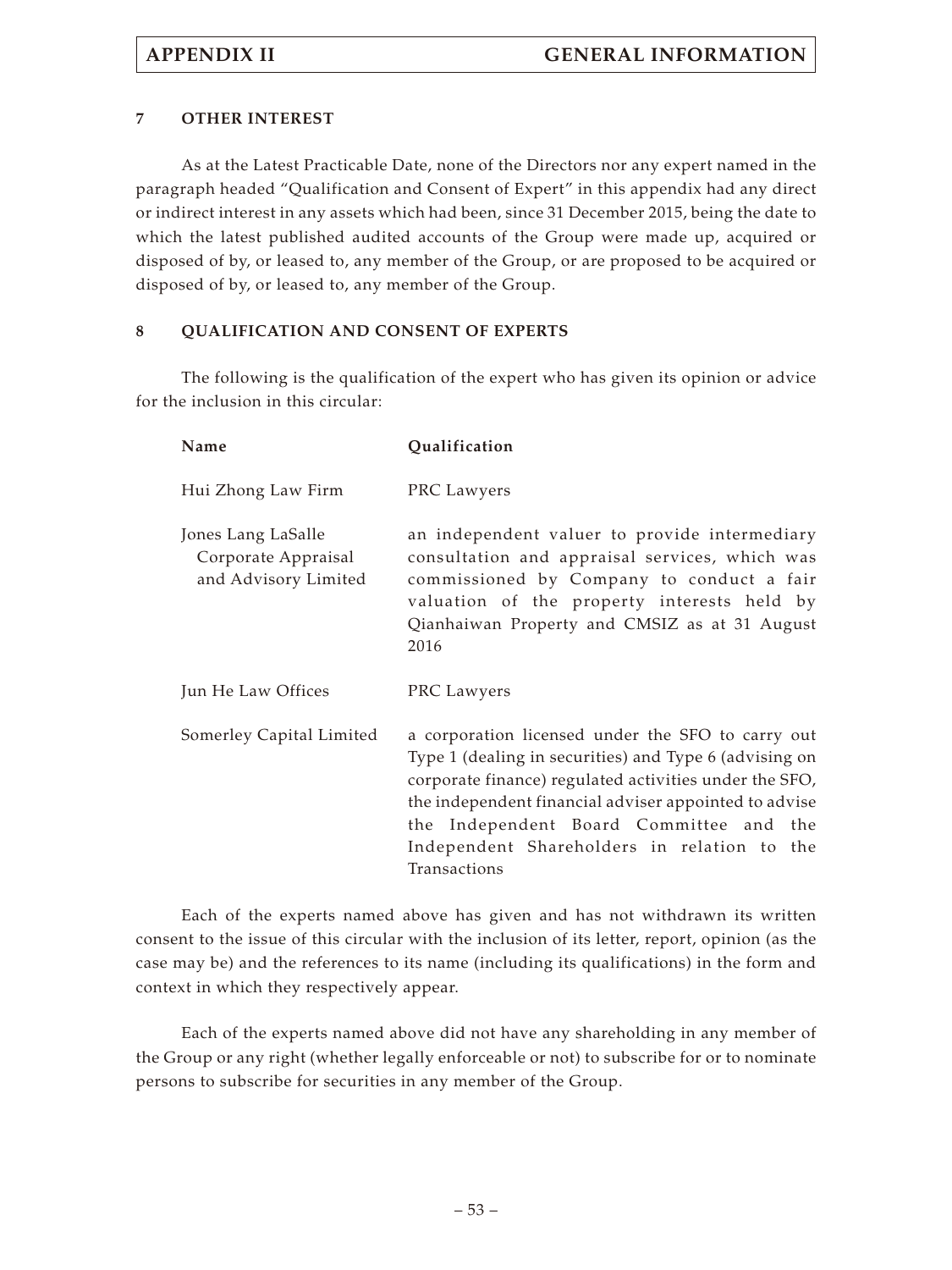## **7 OTHER INTEREST**

As at the Latest Practicable Date, none of the Directors nor any expert named in the paragraph headed "Qualification and Consent of Expert" in this appendix had any direct or indirect interest in any assets which had been, since 31 December 2015, being the date to which the latest published audited accounts of the Group were made up, acquired or disposed of by, or leased to, any member of the Group, or are proposed to be acquired or disposed of by, or leased to, any member of the Group.

## **8 QUALIFICATION AND CONSENT OF EXPERTS**

The following is the qualification of the expert who has given its opinion or advice for the inclusion in this circular:

| Name                                                              | Qualification                                                                                                                                                                                                                                                                                                                            |
|-------------------------------------------------------------------|------------------------------------------------------------------------------------------------------------------------------------------------------------------------------------------------------------------------------------------------------------------------------------------------------------------------------------------|
| Hui Zhong Law Firm                                                | PRC Lawyers                                                                                                                                                                                                                                                                                                                              |
| Jones Lang LaSalle<br>Corporate Appraisal<br>and Advisory Limited | an independent valuer to provide intermediary<br>consultation and appraisal services, which was<br>commissioned by Company to conduct a fair<br>valuation of the property interests held by<br>Qianhaiwan Property and CMSIZ as at 31 August<br>2016                                                                                     |
| Jun He Law Offices                                                | PRC Lawyers                                                                                                                                                                                                                                                                                                                              |
| Somerley Capital Limited                                          | a corporation licensed under the SFO to carry out<br>Type 1 (dealing in securities) and Type 6 (advising on<br>corporate finance) regulated activities under the SFO,<br>the independent financial adviser appointed to advise<br>the Independent Board Committee and the<br>Independent Shareholders in relation to the<br>Transactions |

Each of the experts named above has given and has not withdrawn its written consent to the issue of this circular with the inclusion of its letter, report, opinion (as the case may be) and the references to its name (including its qualifications) in the form and context in which they respectively appear.

Each of the experts named above did not have any shareholding in any member of the Group or any right (whether legally enforceable or not) to subscribe for or to nominate persons to subscribe for securities in any member of the Group.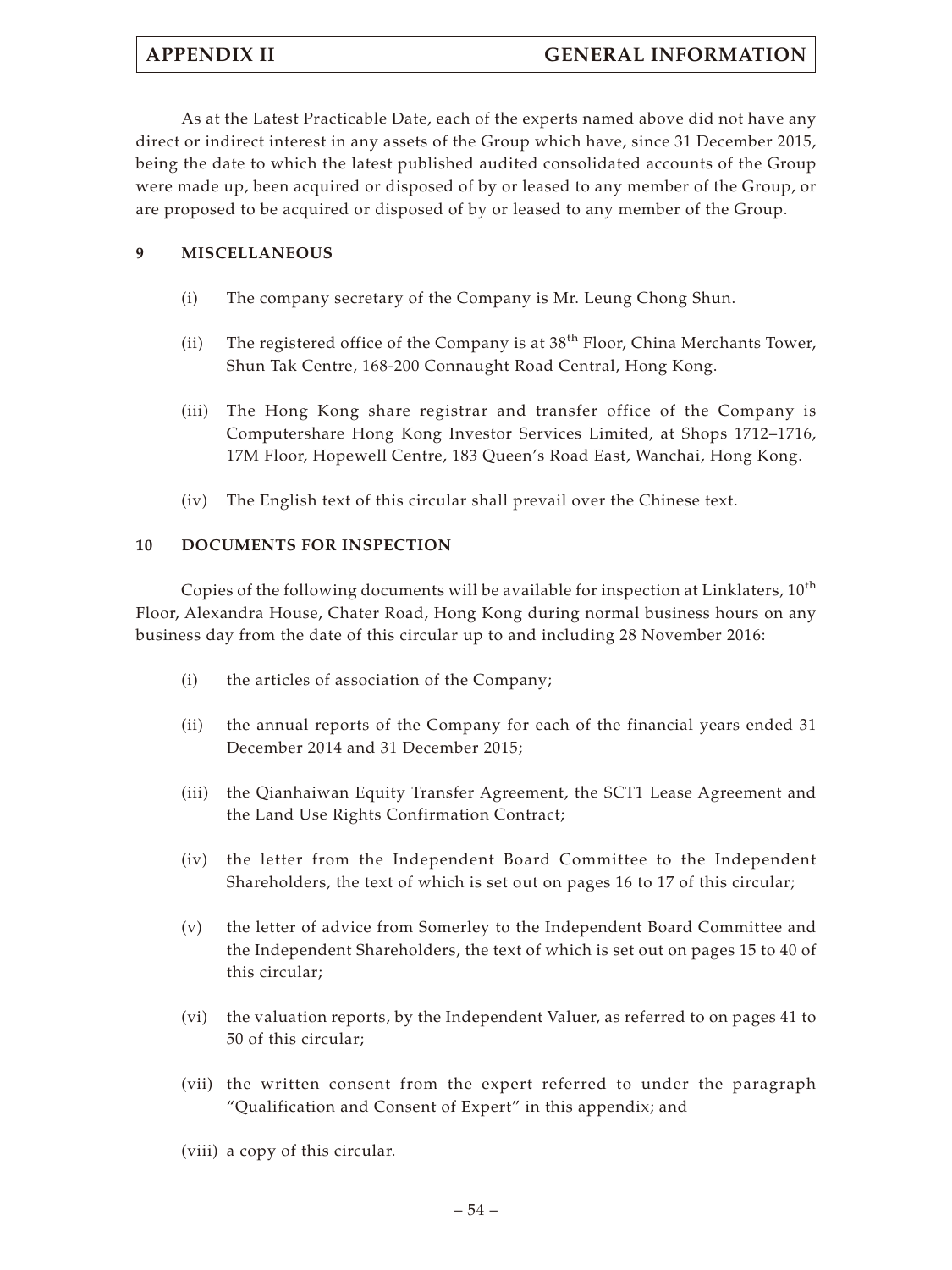As at the Latest Practicable Date, each of the experts named above did not have any direct or indirect interest in any assets of the Group which have, since 31 December 2015, being the date to which the latest published audited consolidated accounts of the Group were made up, been acquired or disposed of by or leased to any member of the Group, or are proposed to be acquired or disposed of by or leased to any member of the Group.

## **9 MISCELLANEOUS**

- (i) The company secretary of the Company is Mr. Leung Chong Shun.
- (ii) The registered office of the Company is at 38<sup>th</sup> Floor, China Merchants Tower, Shun Tak Centre, 168-200 Connaught Road Central, Hong Kong.
- (iii) The Hong Kong share registrar and transfer office of the Company is Computershare Hong Kong Investor Services Limited, at Shops 1712–1716, 17M Floor, Hopewell Centre, 183 Queen's Road East, Wanchai, Hong Kong.
- (iv) The English text of this circular shall prevail over the Chinese text.

## **10 DOCUMENTS FOR INSPECTION**

Copies of the following documents will be available for inspection at Linklaters, 10<sup>th</sup> Floor, Alexandra House, Chater Road, Hong Kong during normal business hours on any business day from the date of this circular up to and including 28 November 2016:

- (i) the articles of association of the Company;
- (ii) the annual reports of the Company for each of the financial years ended 31 December 2014 and 31 December 2015;
- (iii) the Qianhaiwan Equity Transfer Agreement, the SCT1 Lease Agreement and the Land Use Rights Confirmation Contract;
- (iv) the letter from the Independent Board Committee to the Independent Shareholders, the text of which is set out on pages 16 to 17 of this circular;
- (v) the letter of advice from Somerley to the Independent Board Committee and the Independent Shareholders, the text of which is set out on pages 15 to 40 of this circular;
- (vi) the valuation reports, by the Independent Valuer, as referred to on pages 41 to 50 of this circular;
- (vii) the written consent from the expert referred to under the paragraph "Qualification and Consent of Expert" in this appendix; and
- (viii) a copy of this circular.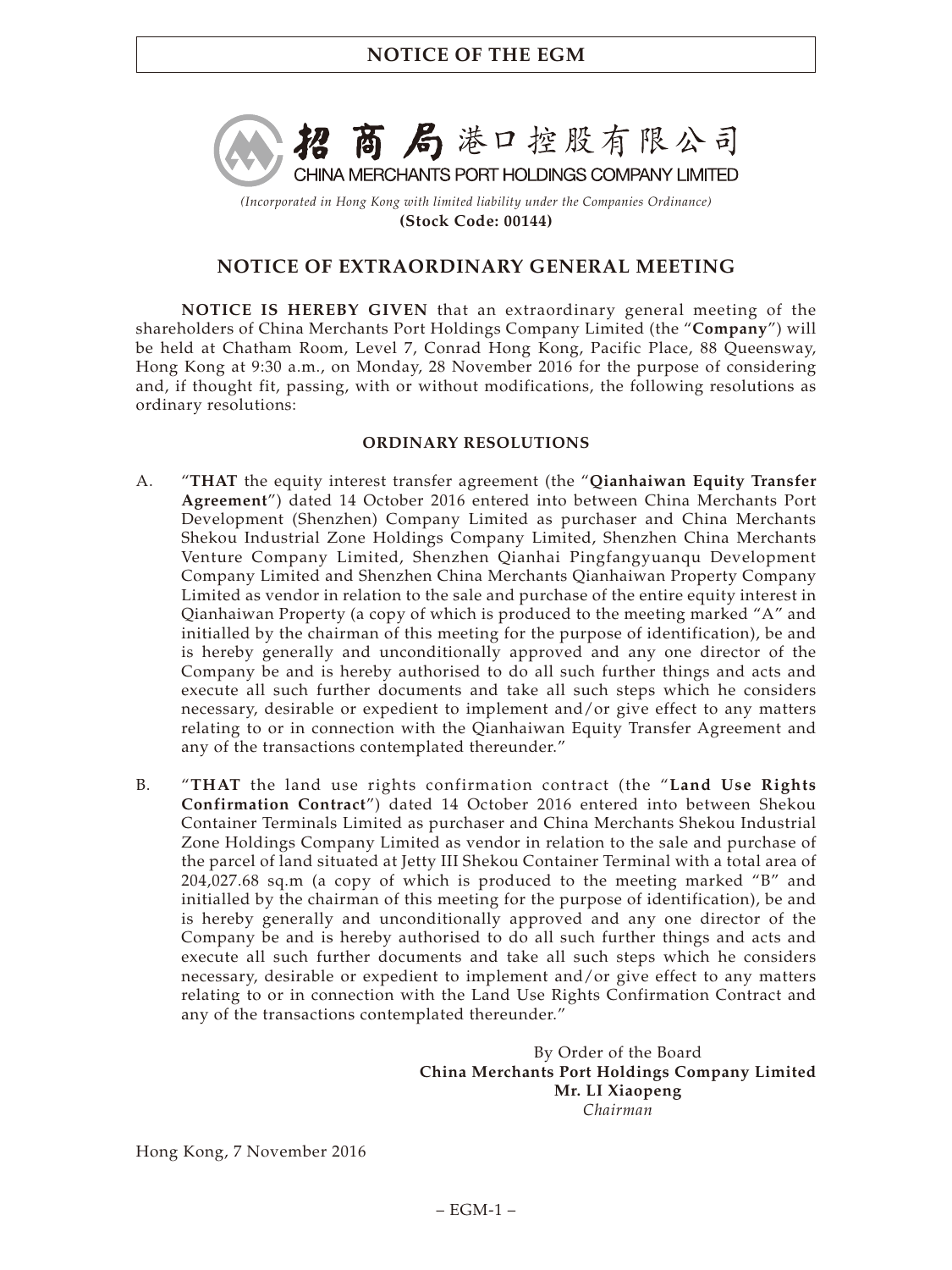

*(Incorporated in Hong Kong with limited liability under the Companies Ordinance)* **(Stock Code: 00144)**

# **NOTICE OF EXTRAORDINARY GENERAL MEETING**

**NOTICE IS HEREBY GIVEN** that an extraordinary general meeting of the shareholders of China Merchants Port Holdings Company Limited (the "**Company**") will be held at Chatham Room, Level 7, Conrad Hong Kong, Pacific Place, 88 Queensway, Hong Kong at 9:30 a.m., on Monday, 28 November 2016 for the purpose of considering and, if thought fit, passing, with or without modifications, the following resolutions as ordinary resolutions:

## **ORDINARY RESOLUTIONS**

- A. "**THAT** the equity interest transfer agreement (the "**Qianhaiwan Equity Transfer Agreement**") dated 14 October 2016 entered into between China Merchants Port Development (Shenzhen) Company Limited as purchaser and China Merchants Shekou Industrial Zone Holdings Company Limited, Shenzhen China Merchants Venture Company Limited, Shenzhen Qianhai Pingfangyuanqu Development Company Limited and Shenzhen China Merchants Qianhaiwan Property Company Limited as vendor in relation to the sale and purchase of the entire equity interest in Qianhaiwan Property (a copy of which is produced to the meeting marked "A" and initialled by the chairman of this meeting for the purpose of identification), be and is hereby generally and unconditionally approved and any one director of the Company be and is hereby authorised to do all such further things and acts and execute all such further documents and take all such steps which he considers necessary, desirable or expedient to implement and/or give effect to any matters relating to or in connection with the Qianhaiwan Equity Transfer Agreement and any of the transactions contemplated thereunder."
- B. "**THAT** the land use rights confirmation contract (the "**Land Use Rights Confirmation Contract**") dated 14 October 2016 entered into between Shekou Container Terminals Limited as purchaser and China Merchants Shekou Industrial Zone Holdings Company Limited as vendor in relation to the sale and purchase of the parcel of land situated at Jetty III Shekou Container Terminal with a total area of 204,027.68 sq.m (a copy of which is produced to the meeting marked "B" and initialled by the chairman of this meeting for the purpose of identification), be and is hereby generally and unconditionally approved and any one director of the Company be and is hereby authorised to do all such further things and acts and execute all such further documents and take all such steps which he considers necessary, desirable or expedient to implement and/or give effect to any matters relating to or in connection with the Land Use Rights Confirmation Contract and any of the transactions contemplated thereunder."

By Order of the Board **China Merchants Port Holdings Company Limited Mr. LI Xiaopeng** *Chairman*

Hong Kong, 7 November 2016